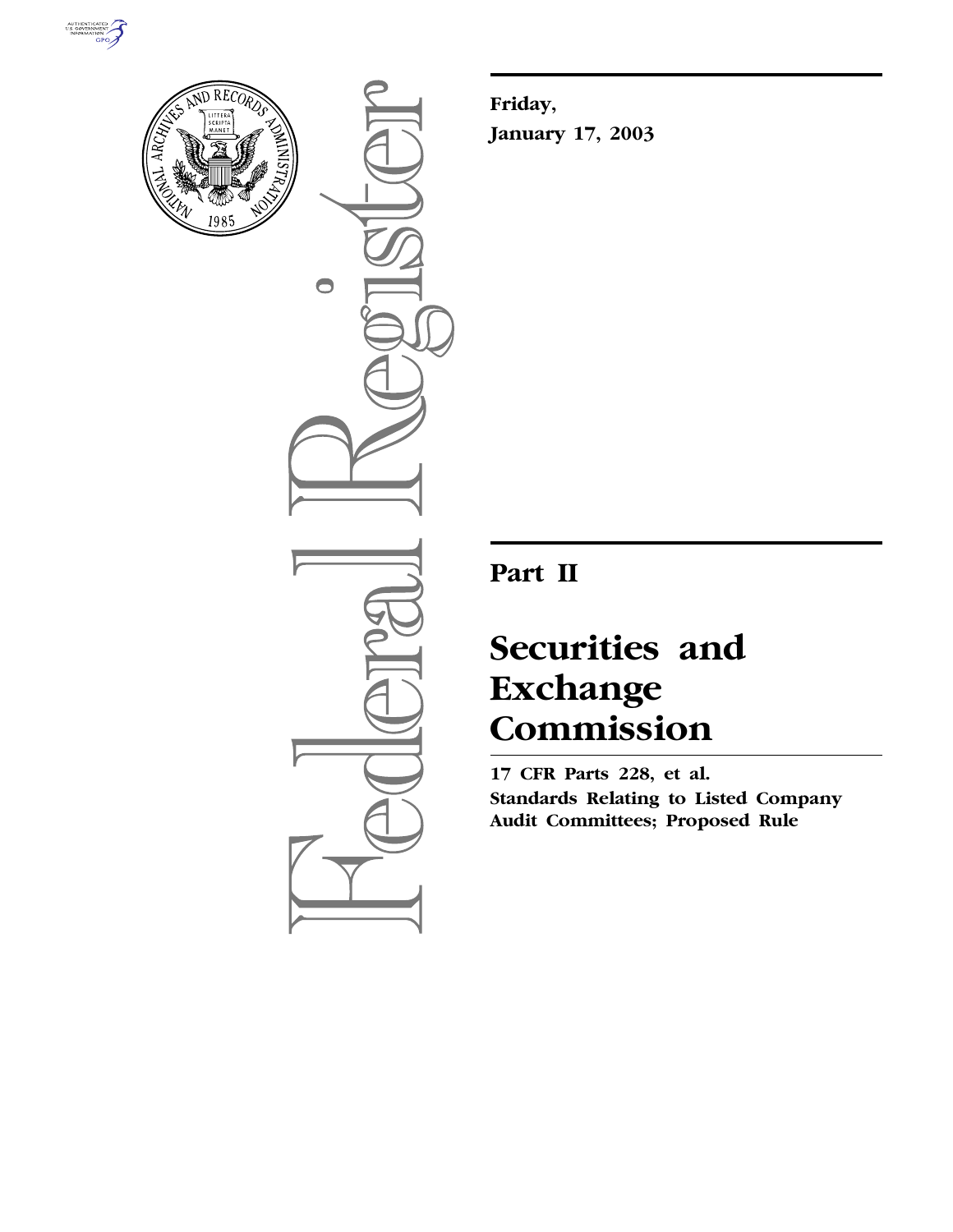



 $\bigcirc$ 

**Friday, January 17, 2003**

# **Part II**

# **Securities and Exchange Commission**

**17 CFR Parts 228, et al. Standards Relating to Listed Company Audit Committees; Proposed Rule**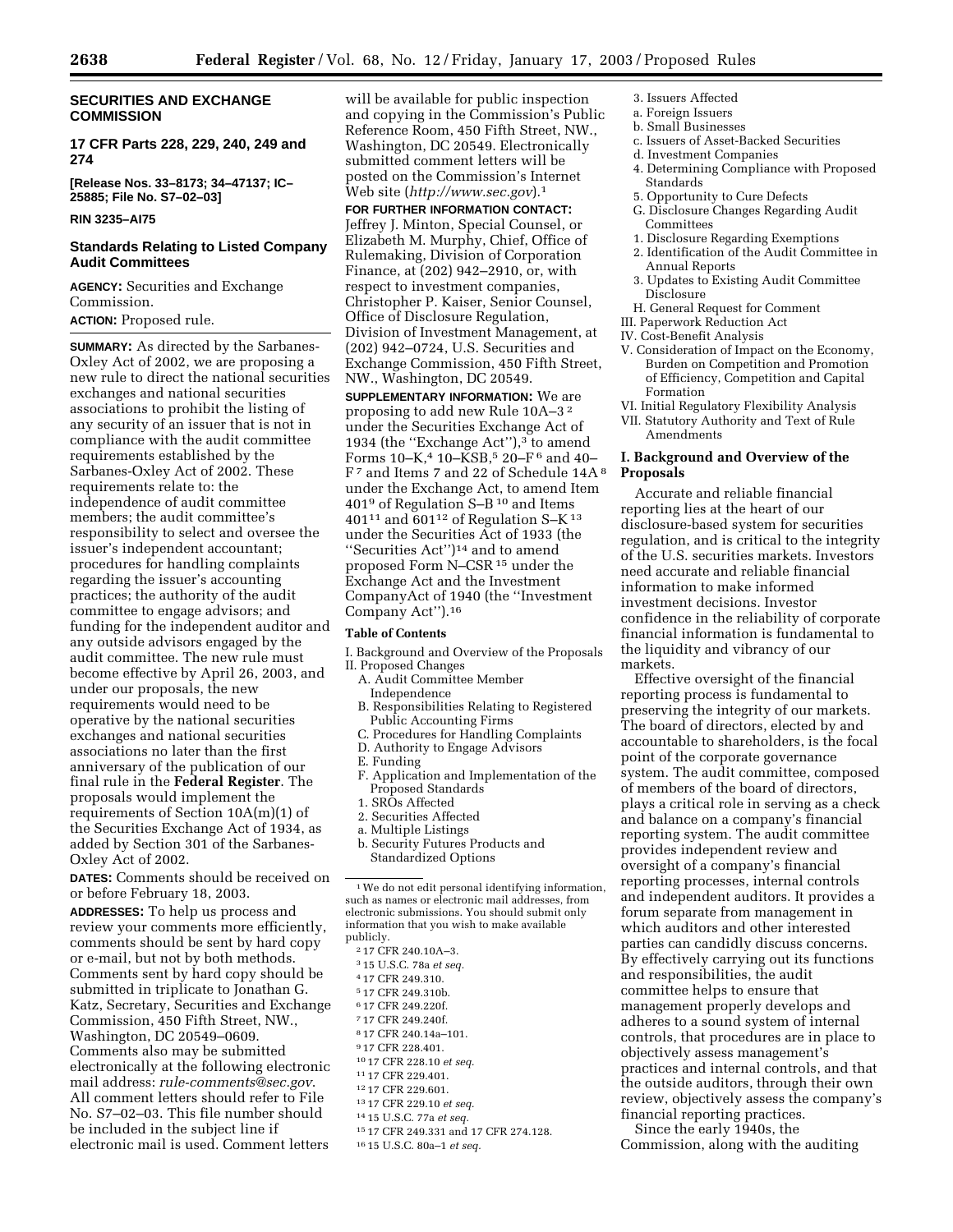# **SECURITIES AND EXCHANGE COMMISSION**

**17 CFR Parts 228, 229, 240, 249 and 274**

**[Release Nos. 33–8173; 34–47137; IC– 25885; File No. S7–02–03]** 

#### **RIN 3235–AI75**

#### **Standards Relating to Listed Company Audit Committees**

**AGENCY:** Securities and Exchange Commission.

# **ACTION:** Proposed rule.

**SUMMARY:** As directed by the Sarbanes-Oxley Act of 2002, we are proposing a new rule to direct the national securities exchanges and national securities associations to prohibit the listing of any security of an issuer that is not in compliance with the audit committee requirements established by the Sarbanes-Oxley Act of 2002. These requirements relate to: the independence of audit committee members; the audit committee's responsibility to select and oversee the issuer's independent accountant; procedures for handling complaints regarding the issuer's accounting practices; the authority of the audit committee to engage advisors; and funding for the independent auditor and any outside advisors engaged by the audit committee. The new rule must become effective by April 26, 2003, and under our proposals, the new requirements would need to be operative by the national securities exchanges and national securities associations no later than the first anniversary of the publication of our final rule in the **Federal Register**. The proposals would implement the requirements of Section 10A(m)(1) of the Securities Exchange Act of 1934, as added by Section 301 of the Sarbanes-Oxley Act of 2002.

**DATES:** Comments should be received on or before February 18, 2003.

**ADDRESSES:** To help us process and review your comments more efficiently, comments should be sent by hard copy or e-mail, but not by both methods. Comments sent by hard copy should be submitted in triplicate to Jonathan G. Katz, Secretary, Securities and Exchange Commission, 450 Fifth Street, NW., Washington, DC 20549–0609. Comments also may be submitted electronically at the following electronic mail address: *rule-comments@sec.gov*. All comment letters should refer to File No. S7–02–03. This file number should be included in the subject line if electronic mail is used. Comment letters

will be available for public inspection and copying in the Commission's Public Reference Room, 450 Fifth Street, NW., Washington, DC 20549. Electronically submitted comment letters will be posted on the Commission's Internet Web site (*http://www.sec.gov*).1

**FOR FURTHER INFORMATION CONTACT:** Jeffrey J. Minton, Special Counsel, or Elizabeth M. Murphy, Chief, Office of Rulemaking, Division of Corporation Finance, at (202) 942–2910, or, with respect to investment companies, Christopher P. Kaiser, Senior Counsel, Office of Disclosure Regulation, Division of Investment Management, at (202) 942–0724, U.S. Securities and Exchange Commission, 450 Fifth Street, NW., Washington, DC 20549.

**SUPPLEMENTARY INFORMATION:** We are proposing to add new Rule 10A–3 2 under the Securities Exchange Act of 1934 (the "Exchange Act"),<sup>3</sup> to amend Forms  $10 - K$ ,<sup>4</sup>  $10 - KSB$ ,<sup>5</sup>  $20 - F$ <sup>6</sup> and  $40 -$ F 7 and Items 7 and 22 of Schedule 14A 8 under the Exchange Act, to amend Item 401<sup>9</sup> of Regulation S–B<sup>10</sup> and Items 401 $11$  and 601 $12$  of Regulation S-K $13$ under the Securities Act of 1933 (the ''Securities Act'')14 and to amend proposed Form N–CSR15 under the Exchange Act and the Investment CompanyAct of 1940 (the ''Investment Company Act'').16

#### **Table of Contents**

- I. Background and Overview of the Proposals II. Proposed Changes
	- A. Audit Committee Member
	- Independence B. Responsibilities Relating to Registered Public Accounting Firms
	- C. Procedures for Handling Complaints
	- D. Authority to Engage Advisors
	- E. Funding
	- F. Application and Implementation of the Proposed Standards
	- 1. SROs Affected
	- 2. Securities Affected
	- a. Multiple Listings
	- b. Security Futures Products and Standardized Options

- 3 15 U.S.C. 78a *et seq.*
- 4 17 CFR 249.310.
- 5 17 CFR 249.310b.
- 6 17 CFR 249.220f.
- 7 17 CFR 249.240f.
- 8 17 CFR 240.14a–101.
- 9 17 CFR 228.401.
- 10 17 CFR 228.10 *et seq.*
- 11 17 CFR 229.401.
- 12 17 CFR 229.601.
- 13 17 CFR 229.10 *et seq.*
- 14 15 U.S.C. 77a *et seq.*
- 15 17 CFR 249.331 and 17 CFR 274.128.
- 16 15 U.S.C. 80a–1 *et seq.*
- 3. Issuers Affected
- a. Foreign Issuers
- b. Small Businesses
- c. Issuers of Asset-Backed Securities
- d. Investment Companies
- 4. Determining Compliance with Proposed Standards
- 5. Opportunity to Cure Defects
- G. Disclosure Changes Regarding Audit Committees
- 1. Disclosure Regarding Exemptions
- 2. Identification of the Audit Committee in Annual Reports
- 3. Updates to Existing Audit Committee Disclosure
- H. General Request for Comment
- III. Paperwork Reduction Act
- IV. Cost-Benefit Analysis
- V. Consideration of Impact on the Economy, Burden on Competition and Promotion of Efficiency, Competition and Capital Formation
- VI. Initial Regulatory Flexibility Analysis
- VII. Statutory Authority and Text of Rule Amendments

# **I. Background and Overview of the Proposals**

Accurate and reliable financial reporting lies at the heart of our disclosure-based system for securities regulation, and is critical to the integrity of the U.S. securities markets. Investors need accurate and reliable financial information to make informed investment decisions. Investor confidence in the reliability of corporate financial information is fundamental to the liquidity and vibrancy of our markets.

Effective oversight of the financial reporting process is fundamental to preserving the integrity of our markets. The board of directors, elected by and accountable to shareholders, is the focal point of the corporate governance system. The audit committee, composed of members of the board of directors, plays a critical role in serving as a check and balance on a company's financial reporting system. The audit committee provides independent review and oversight of a company's financial reporting processes, internal controls and independent auditors. It provides a forum separate from management in which auditors and other interested parties can candidly discuss concerns. By effectively carrying out its functions and responsibilities, the audit committee helps to ensure that management properly develops and adheres to a sound system of internal controls, that procedures are in place to objectively assess management's practices and internal controls, and that the outside auditors, through their own review, objectively assess the company's financial reporting practices.

Since the early 1940s, the Commission, along with the auditing

<sup>&</sup>lt;sup>1</sup>We do not edit personal identifying information, such as names or electronic mail addresses, from electronic submissions. You should submit only information that you wish to make available publicly.

<sup>2</sup> 17 CFR 240.10A–3.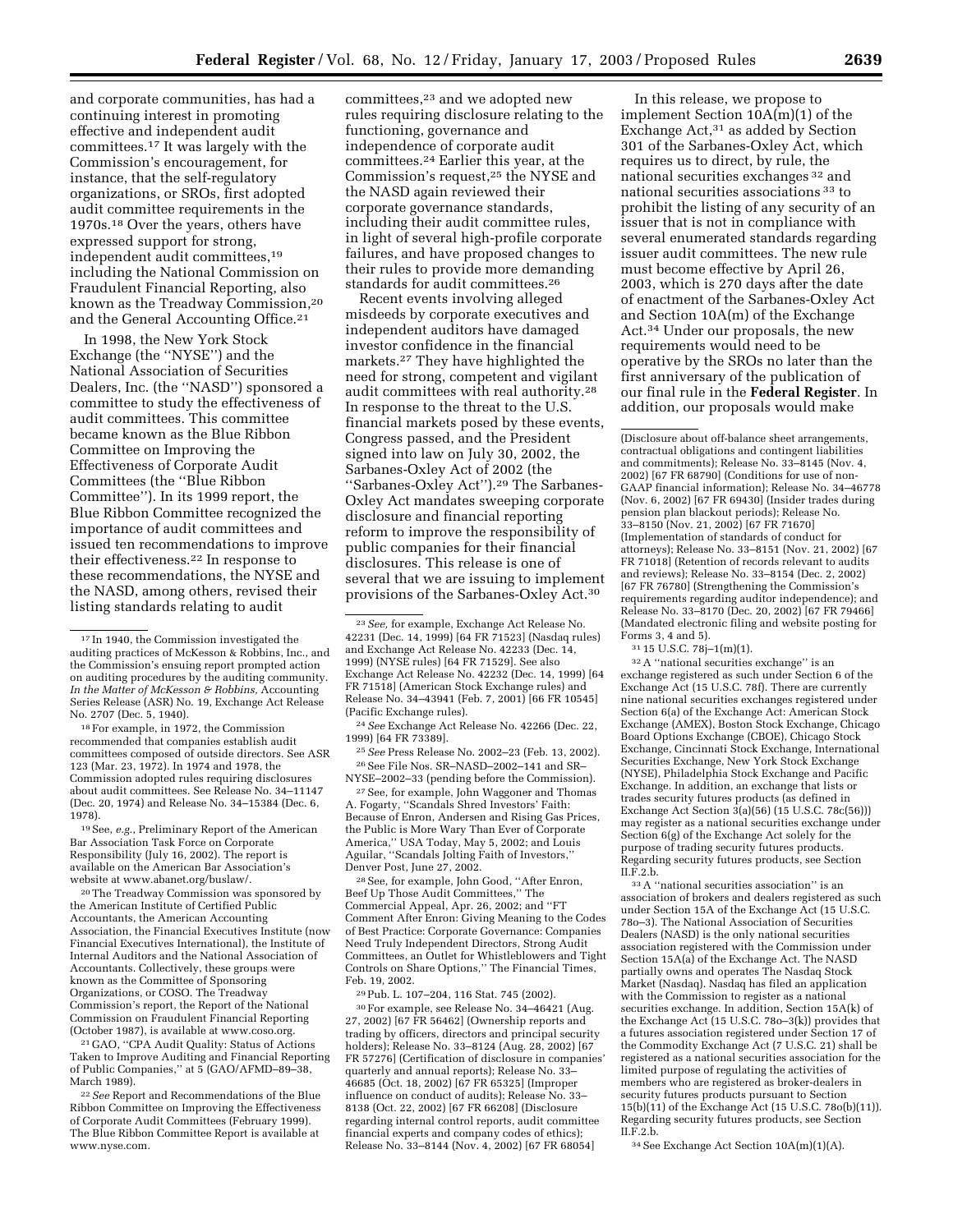and corporate communities, has had a continuing interest in promoting effective and independent audit committees.17 It was largely with the Commission's encouragement, for instance, that the self-regulatory organizations, or SROs, first adopted audit committee requirements in the 1970s.18 Over the years, others have expressed support for strong, independent audit committees,19 including the National Commission on Fraudulent Financial Reporting, also known as the Treadway Commission,20 and the General Accounting Office.21

In 1998, the New York Stock Exchange (the ''NYSE'') and the National Association of Securities Dealers, Inc. (the ''NASD'') sponsored a committee to study the effectiveness of audit committees. This committee became known as the Blue Ribbon Committee on Improving the Effectiveness of Corporate Audit Committees (the ''Blue Ribbon Committee''). In its 1999 report, the Blue Ribbon Committee recognized the importance of audit committees and issued ten recommendations to improve their effectiveness.22 In response to these recommendations, the NYSE and the NASD, among others, revised their listing standards relating to audit

18For example, in 1972, the Commission recommended that companies establish audit committees composed of outside directors. See ASR 123 (Mar. 23, 1972). In 1974 and 1978, the Commission adopted rules requiring disclosures about audit committees. See Release No. 34–11147 (Dec. 20, 1974) and Release No. 34–15384 (Dec. 6, 1978).

19See, *e.g.*, Preliminary Report of the American Bar Association Task Force on Corporate Responsibility (July 16, 2002). The report is available on the American Bar Association's website at www.abanet.org/buslaw/.

20The Treadway Commission was sponsored by the American Institute of Certified Public Accountants, the American Accounting Association, the Financial Executives Institute (now Financial Executives International), the Institute of Internal Auditors and the National Association of Accountants. Collectively, these groups were known as the Committee of Sponsoring Organizations, or COSO. The Treadway Commission's report, the Report of the National Commission on Fraudulent Financial Reporting (October 1987), is available at www.coso.org.

21 GAO, ''CPA Audit Quality: Status of Actions Taken to Improve Auditing and Financial Reporting of Public Companies,'' at 5 (GAO/AFMD–89–38, March 1989).

22*See* Report and Recommendations of the Blue Ribbon Committee on Improving the Effectiveness of Corporate Audit Committees (February 1999). The Blue Ribbon Committee Report is available at www.nyse.com.

committees,23 and we adopted new rules requiring disclosure relating to the functioning, governance and independence of corporate audit committees.24 Earlier this year, at the Commission's request,25 the NYSE and the NASD again reviewed their corporate governance standards, including their audit committee rules, in light of several high-profile corporate failures, and have proposed changes to their rules to provide more demanding standards for audit committees.26

Recent events involving alleged misdeeds by corporate executives and independent auditors have damaged investor confidence in the financial markets.27 They have highlighted the need for strong, competent and vigilant audit committees with real authority.28 In response to the threat to the U.S. financial markets posed by these events, Congress passed, and the President signed into law on July 30, 2002, the Sarbanes-Oxley Act of 2002 (the ''Sarbanes-Oxley Act'').29 The Sarbanes-Oxley Act mandates sweeping corporate disclosure and financial reporting reform to improve the responsibility of public companies for their financial disclosures. This release is one of several that we are issuing to implement provisions of the Sarbanes-Oxley Act.30

24*See* Exchange Act Release No. 42266 (Dec. 22, 1999) [64 FR 73389].

25*See* Press Release No. 2002–23 (Feb. 13, 2002). 26See File Nos. SR–NASD–2002–141 and SR– NYSE–2002–33 (pending before the Commission).

27See, for example, John Waggoner and Thomas A. Fogarty, ''Scandals Shred Investors' Faith: Because of Enron, Andersen and Rising Gas Prices, the Public is More Wary Than Ever of Corporate America,'' USA Today, May 5, 2002; and Louis Aguilar, ''Scandals Jolting Faith of Investors,'' Denver Post, June 27, 2002.

28See, for example, John Good, ''After Enron, Beef Up Those Audit Committees,'' The Commercial Appeal, Apr. 26, 2002; and ''FT Comment After Enron: Giving Meaning to the Codes of Best Practice: Corporate Governance: Companies Need Truly Independent Directors, Strong Audit Committees, an Outlet for Whistleblowers and Tight Controls on Share Options,'' The Financial Times, Feb. 19, 2002.

29Pub. L. 107–204, 116 Stat. 745 (2002).

30For example, see Release No. 34–46421 (Aug. 27, 2002) [67 FR 56462] (Ownership reports and trading by officers, directors and principal security holders); Release No. 33–8124 (Aug. 28, 2002) [67 FR 57276] (Certification of disclosure in companies' quarterly and annual reports); Release No. 33– 46685 (Oct. 18, 2002) [67 FR 65325] (Improper influence on conduct of audits); Release No. 33– 8138 (Oct. 22, 2002) [67 FR 66208] (Disclosure regarding internal control reports, audit committee financial experts and company codes of ethics); Release No. 33–8144 (Nov. 4, 2002) [67 FR 68054]

In this release, we propose to implement Section 10A(m)(1) of the Exchange Act,31 as added by Section 301 of the Sarbanes-Oxley Act, which requires us to direct, by rule, the national securities exchanges 32 and national securities associations 33 to prohibit the listing of any security of an issuer that is not in compliance with several enumerated standards regarding issuer audit committees. The new rule must become effective by April 26, 2003, which is 270 days after the date of enactment of the Sarbanes-Oxley Act and Section 10A(m) of the Exchange Act.34 Under our proposals, the new requirements would need to be operative by the SROs no later than the first anniversary of the publication of our final rule in the **Federal Register**. In addition, our proposals would make

(Disclosure about off-balance sheet arrangements, contractual obligations and contingent liabilities and commitments); Release No. 33–8145 (Nov. 4, 2002) [67 FR 68790] (Conditions for use of non-GAAP financial information); Release No. 34–46778 (Nov. 6, 2002) [67 FR 69430] (Insider trades during pension plan blackout periods); Release No. 33–8150 (Nov. 21, 2002) [67 FR 71670] (Implementation of standards of conduct for attorneys); Release No. 33–8151 (Nov. 21, 2002) [67 FR 71018] (Retention of records relevant to audits and reviews); Release No. 33–8154 (Dec. 2, 2002) [67 FR 76780] (Strengthening the Commission's requirements regarding auditor independence); and Release No. 33–8170 (Dec. 20, 2002) [67 FR 79466] (Mandated electronic filing and website posting for Forms 3, 4 and 5).

31 15 U.S.C. 78j–1(m)(1).

32A ''national securities exchange'' is an exchange registered as such under Section 6 of the Exchange Act (15 U.S.C. 78f). There are currently nine national securities exchanges registered under Section 6(a) of the Exchange Act: American Stock Exchange (AMEX), Boston Stock Exchange, Chicago Board Options Exchange (CBOE), Chicago Stock Exchange, Cincinnati Stock Exchange, International Securities Exchange, New York Stock Exchange (NYSE), Philadelphia Stock Exchange and Pacific Exchange. In addition, an exchange that lists or trades security futures products (as defined in Exchange Act Section 3(a)(56) (15 U.S.C. 78c(56))) may register as a national securities exchange under Section 6(g) of the Exchange Act solely for the purpose of trading security futures products. Regarding security futures products, see Section II.F.2.b.

33A ''national securities association'' is an association of brokers and dealers registered as such under Section 15A of the Exchange Act (15 U.S.C. 78o–3). The National Association of Securities Dealers (NASD) is the only national securities association registered with the Commission under Section 15A(a) of the Exchange Act. The NASD partially owns and operates The Nasdaq Stock Market (Nasdaq). Nasdaq has filed an application with the Commission to register as a national securities exchange. In addition, Section 15A(k) of the Exchange Act (15 U.S.C. 78o–3(k)) provides that a futures association registered under Section 17 of the Commodity Exchange Act (7 U.S.C. 21) shall be registered as a national securities association for the limited purpose of regulating the activities of members who are registered as broker-dealers in security futures products pursuant to Section 15(b)(11) of the Exchange Act (15 U.S.C. 78o(b)(11)). Regarding security futures products, see Section II.F.2.b.

34See Exchange Act Section 10A(m)(1)(A).

<sup>17</sup> In 1940, the Commission investigated the auditing practices of McKesson & Robbins, Inc., and the Commission's ensuing report prompted action on auditing procedures by the auditing community. *In the Matter of McKesson & Robbins,* Accounting Series Release (ASR) No. 19, Exchange Act Release No. 2707 (Dec. 5, 1940).

<sup>23</sup>*See,* for example, Exchange Act Release No. 42231 (Dec. 14, 1999) [64 FR 71523] (Nasdaq rules) and Exchange Act Release No. 42233 (Dec. 14, 1999) (NYSE rules) [64 FR 71529]. See also Exchange Act Release No. 42232 (Dec. 14, 1999) [64 FR 71518] (American Stock Exchange rules) and Release No. 34–43941 (Feb. 7, 2001) [66 FR 10545] (Pacific Exchange rules).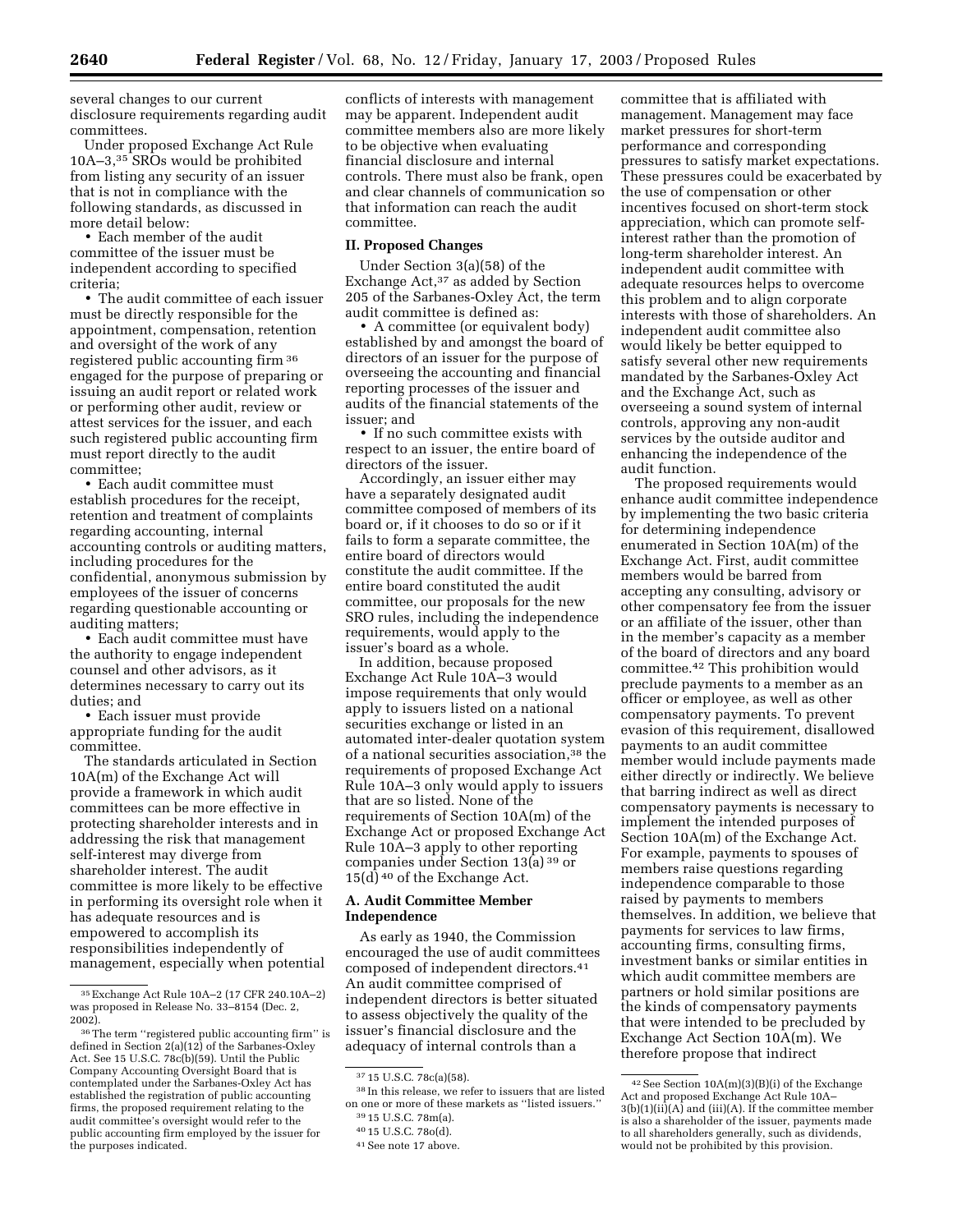several changes to our current disclosure requirements regarding audit committees.

Under proposed Exchange Act Rule 10A–3,35 SROs would be prohibited from listing any security of an issuer that is not in compliance with the following standards, as discussed in more detail below:

• Each member of the audit committee of the issuer must be independent according to specified criteria;

• The audit committee of each issuer must be directly responsible for the appointment, compensation, retention and oversight of the work of any registered public accounting firm 36 engaged for the purpose of preparing or issuing an audit report or related work or performing other audit, review or attest services for the issuer, and each such registered public accounting firm must report directly to the audit committee;

• Each audit committee must establish procedures for the receipt, retention and treatment of complaints regarding accounting, internal accounting controls or auditing matters, including procedures for the confidential, anonymous submission by employees of the issuer of concerns regarding questionable accounting or auditing matters;

• Each audit committee must have the authority to engage independent counsel and other advisors, as it determines necessary to carry out its duties; and

• Each issuer must provide appropriate funding for the audit committee.

The standards articulated in Section 10A(m) of the Exchange Act will provide a framework in which audit committees can be more effective in protecting shareholder interests and in addressing the risk that management self-interest may diverge from shareholder interest. The audit committee is more likely to be effective in performing its oversight role when it has adequate resources and is empowered to accomplish its responsibilities independently of management, especially when potential conflicts of interests with management may be apparent. Independent audit committee members also are more likely to be objective when evaluating financial disclosure and internal controls. There must also be frank, open and clear channels of communication so that information can reach the audit committee.

#### **II. Proposed Changes**

Under Section 3(a)(58) of the Exchange Act,37 as added by Section 205 of the Sarbanes-Oxley Act, the term audit committee is defined as:

• A committee (or equivalent body) established by and amongst the board of directors of an issuer for the purpose of overseeing the accounting and financial reporting processes of the issuer and audits of the financial statements of the issuer; and

• If no such committee exists with respect to an issuer, the entire board of directors of the issuer.

Accordingly, an issuer either may have a separately designated audit committee composed of members of its board or, if it chooses to do so or if it fails to form a separate committee, the entire board of directors would constitute the audit committee. If the entire board constituted the audit committee, our proposals for the new SRO rules, including the independence requirements, would apply to the issuer's board as a whole.

In addition, because proposed Exchange Act Rule 10A–3 would impose requirements that only would apply to issuers listed on a national securities exchange or listed in an automated inter-dealer quotation system of a national securities association,38 the requirements of proposed Exchange Act Rule 10A–3 only would apply to issuers that are so listed. None of the requirements of Section 10A(m) of the Exchange Act or proposed Exchange Act Rule 10A–3 apply to other reporting companies under Section 13(a) 39 or 15(d) 40 of the Exchange Act.

# **A. Audit Committee Member Independence**

As early as 1940, the Commission encouraged the use of audit committees composed of independent directors.41 An audit committee comprised of independent directors is better situated to assess objectively the quality of the issuer's financial disclosure and the adequacy of internal controls than a

38 In this release, we refer to issuers that are listed on one or more of these markets as ''listed issuers.'' 39 15 U.S.C. 78m(a).

committee that is affiliated with management. Management may face market pressures for short-term performance and corresponding pressures to satisfy market expectations. These pressures could be exacerbated by the use of compensation or other incentives focused on short-term stock appreciation, which can promote selfinterest rather than the promotion of long-term shareholder interest. An independent audit committee with adequate resources helps to overcome this problem and to align corporate interests with those of shareholders. An independent audit committee also would likely be better equipped to satisfy several other new requirements mandated by the Sarbanes-Oxley Act and the Exchange Act, such as overseeing a sound system of internal controls, approving any non-audit services by the outside auditor and enhancing the independence of the audit function.

The proposed requirements would enhance audit committee independence by implementing the two basic criteria for determining independence enumerated in Section 10A(m) of the Exchange Act. First, audit committee members would be barred from accepting any consulting, advisory or other compensatory fee from the issuer or an affiliate of the issuer, other than in the member's capacity as a member of the board of directors and any board committee.42 This prohibition would preclude payments to a member as an officer or employee, as well as other compensatory payments. To prevent evasion of this requirement, disallowed payments to an audit committee member would include payments made either directly or indirectly. We believe that barring indirect as well as direct compensatory payments is necessary to implement the intended purposes of Section 10A(m) of the Exchange Act. For example, payments to spouses of members raise questions regarding independence comparable to those raised by payments to members themselves. In addition, we believe that payments for services to law firms, accounting firms, consulting firms, investment banks or similar entities in which audit committee members are partners or hold similar positions are the kinds of compensatory payments that were intended to be precluded by Exchange Act Section 10A(m). We therefore propose that indirect

<sup>35</sup>Exchange Act Rule 10A–2 (17 CFR 240.10A–2) was proposed in Release No. 33–8154 (Dec. 2, 2002).

<sup>36</sup>The term ''registered public accounting firm'' is defined in Section 2(a)(12) of the Sarbanes-Oxley Act. See 15 U.S.C. 78c(b)(59). Until the Public Company Accounting Oversight Board that is contemplated under the Sarbanes-Oxley Act has established the registration of public accounting firms, the proposed requirement relating to the audit committee's oversight would refer to the public accounting firm employed by the issuer for the purposes indicated.

<sup>37</sup> 15 U.S.C. 78c(a)(58).

<sup>40</sup> 15 U.S.C. 78o(d).

<sup>41</sup>See note 17 above.

<sup>42</sup>See Section 10A(m)(3)(B)(i) of the Exchange Act and proposed Exchange Act Rule 10A–  $3(b)(1)(ii)(A)$  and (iii)(A). If the committee member is also a shareholder of the issuer, payments made to all shareholders generally, such as dividends, would not be prohibited by this provision.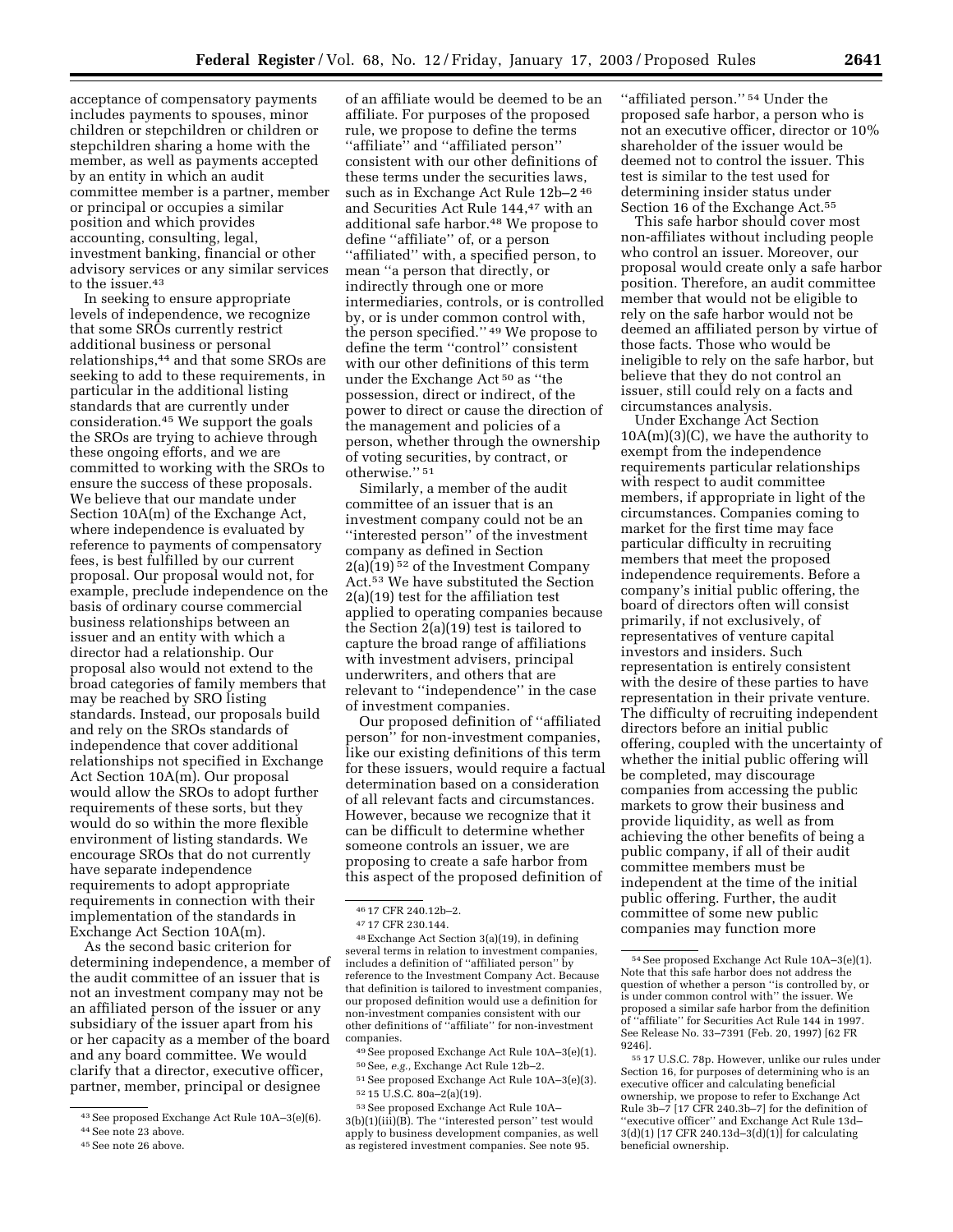acceptance of compensatory payments includes payments to spouses, minor children or stepchildren or children or stepchildren sharing a home with the member, as well as payments accepted by an entity in which an audit committee member is a partner, member or principal or occupies a similar position and which provides accounting, consulting, legal, investment banking, financial or other advisory services or any similar services to the issuer.<sup>43</sup>

In seeking to ensure appropriate levels of independence, we recognize that some SROs currently restrict additional business or personal relationships,44 and that some SROs are seeking to add to these requirements, in particular in the additional listing standards that are currently under consideration.45 We support the goals the SROs are trying to achieve through these ongoing efforts, and we are committed to working with the SROs to ensure the success of these proposals. We believe that our mandate under Section 10A(m) of the Exchange Act, where independence is evaluated by reference to payments of compensatory fees, is best fulfilled by our current proposal. Our proposal would not, for example, preclude independence on the basis of ordinary course commercial business relationships between an issuer and an entity with which a director had a relationship. Our proposal also would not extend to the broad categories of family members that may be reached by SRO listing standards. Instead, our proposals build and rely on the SROs standards of independence that cover additional relationships not specified in Exchange Act Section 10A(m). Our proposal would allow the SROs to adopt further requirements of these sorts, but they would do so within the more flexible environment of listing standards. We encourage SROs that do not currently have separate independence requirements to adopt appropriate requirements in connection with their implementation of the standards in Exchange Act Section 10A(m).

As the second basic criterion for determining independence, a member of the audit committee of an issuer that is not an investment company may not be an affiliated person of the issuer or any subsidiary of the issuer apart from his or her capacity as a member of the board and any board committee. We would clarify that a director, executive officer, partner, member, principal or designee

of an affiliate would be deemed to be an affiliate. For purposes of the proposed rule, we propose to define the terms ''affiliate'' and ''affiliated person'' consistent with our other definitions of these terms under the securities laws, such as in Exchange Act Rule 12b–2 46 and Securities Act Rule 144,47 with an additional safe harbor.48 We propose to define ''affiliate'' of, or a person ''affiliated'' with, a specified person, to mean ''a person that directly, or indirectly through one or more intermediaries, controls, or is controlled by, or is under common control with, the person specified.'' 49 We propose to define the term ''control'' consistent with our other definitions of this term under the Exchange Act 50 as ''the possession, direct or indirect, of the power to direct or cause the direction of the management and policies of a person, whether through the ownership of voting securities, by contract, or otherwise.'' 51

Similarly, a member of the audit committee of an issuer that is an investment company could not be an ''interested person'' of the investment company as defined in Section 2(a)(19) 52 of the Investment Company Act.53 We have substituted the Section 2(a)(19) test for the affiliation test applied to operating companies because the Section 2(a)(19) test is tailored to capture the broad range of affiliations with investment advisers, principal underwriters, and others that are relevant to ''independence'' in the case of investment companies.

Our proposed definition of ''affiliated person'' for non-investment companies, like our existing definitions of this term for these issuers, would require a factual determination based on a consideration of all relevant facts and circumstances. However, because we recognize that it can be difficult to determine whether someone controls an issuer, we are proposing to create a safe harbor from this aspect of the proposed definition of

48Exchange Act Section 3(a)(19), in defining several terms in relation to investment companies, includes a definition of ''affiliated person'' by reference to the Investment Company Act. Because that definition is tailored to investment companies, our proposed definition would use a definition for non-investment companies consistent with our other definitions of ''affiliate'' for non-investment companies.

''affiliated person.'' 54 Under the proposed safe harbor, a person who is not an executive officer, director or 10% shareholder of the issuer would be deemed not to control the issuer. This test is similar to the test used for determining insider status under Section 16 of the Exchange Act.<sup>55</sup>

This safe harbor should cover most non-affiliates without including people who control an issuer. Moreover, our proposal would create only a safe harbor position. Therefore, an audit committee member that would not be eligible to rely on the safe harbor would not be deemed an affiliated person by virtue of those facts. Those who would be ineligible to rely on the safe harbor, but believe that they do not control an issuer, still could rely on a facts and circumstances analysis.

Under Exchange Act Section  $10A(m)(3)(C)$ , we have the authority to exempt from the independence requirements particular relationships with respect to audit committee members, if appropriate in light of the circumstances. Companies coming to market for the first time may face particular difficulty in recruiting members that meet the proposed independence requirements. Before a company's initial public offering, the board of directors often will consist primarily, if not exclusively, of representatives of venture capital investors and insiders. Such representation is entirely consistent with the desire of these parties to have representation in their private venture. The difficulty of recruiting independent directors before an initial public offering, coupled with the uncertainty of whether the initial public offering will be completed, may discourage companies from accessing the public markets to grow their business and provide liquidity, as well as from achieving the other benefits of being a public company, if all of their audit committee members must be independent at the time of the initial public offering. Further, the audit committee of some new public companies may function more

<sup>43</sup>See proposed Exchange Act Rule 10A–3(e)(6). 44See note 23 above.

<sup>45</sup>See note 26 above.

<sup>46</sup> 17 CFR 240.12b–2.

<sup>47</sup> 17 CFR 230.144.

<sup>49</sup>See proposed Exchange Act Rule 10A–3(e)(1). 50See, *e.g.*, Exchange Act Rule 12b–2.

<sup>51</sup>See proposed Exchange Act Rule 10A–3(e)(3). 52 15 U.S.C. 80a–2(a)(19).

<sup>53</sup>See proposed Exchange Act Rule 10A– 3(b)(1)(iii)(B). The ''interested person'' test would apply to business development companies, as well as registered investment companies. See note 95.

<sup>54</sup>See proposed Exchange Act Rule 10A–3(e)(1). Note that this safe harbor does not address the question of whether a person ''is controlled by, or is under common control with'' the issuer. We proposed a similar safe harbor from the definition of ''affiliate'' for Securities Act Rule 144 in 1997. See Release No. 33–7391 (Feb. 20, 1997) [62 FR 9246].

<sup>55</sup> 17 U.S.C. 78p. However, unlike our rules under Section 16, for purposes of determining who is an executive officer and calculating beneficial ownership, we propose to refer to Exchange Act Rule 3b–7 [17 CFR 240.3b–7] for the definition of ''executive officer'' and Exchange Act Rule 13d– 3(d)(1) [17 CFR 240.13d–3(d)(1)] for calculating beneficial ownership.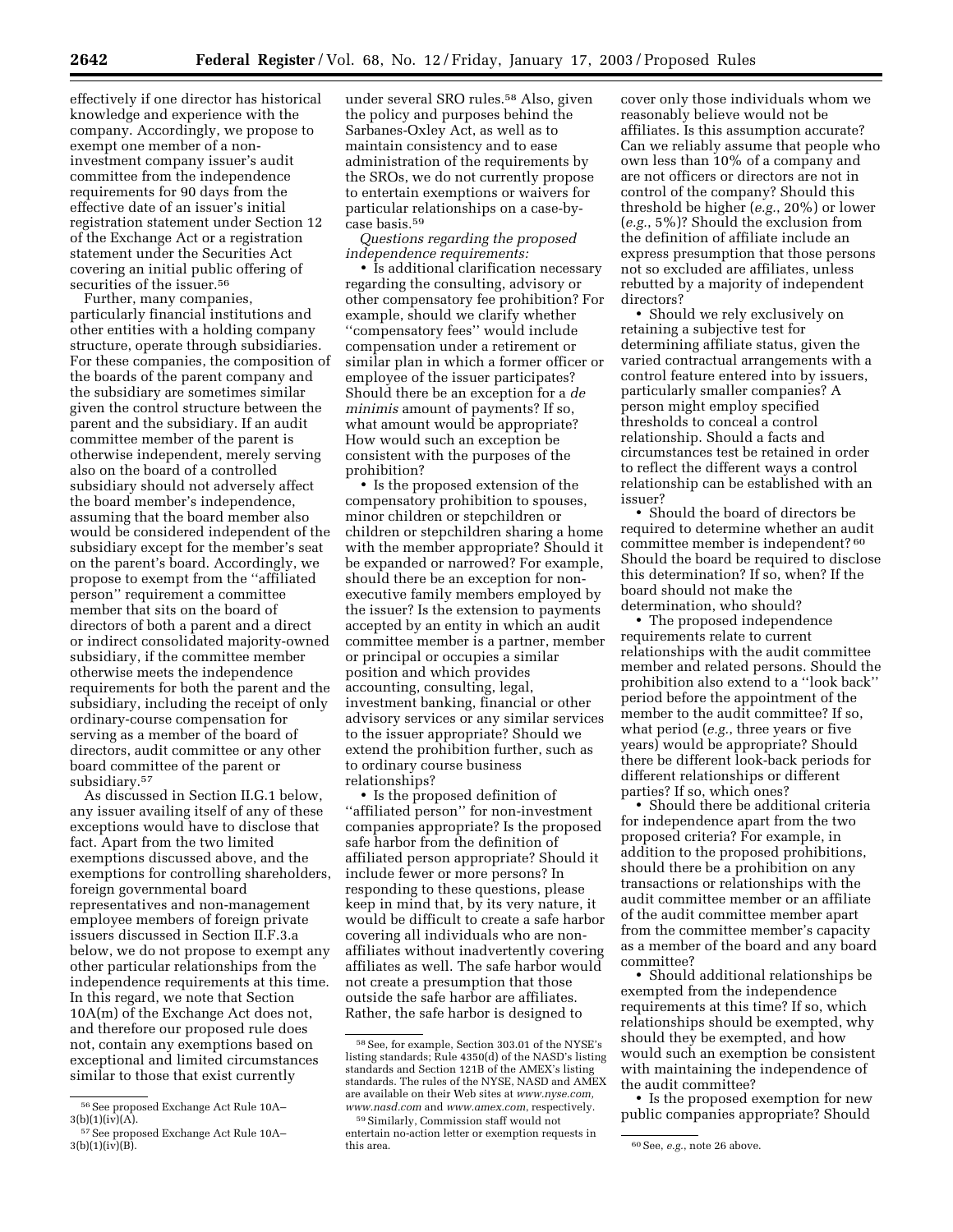effectively if one director has historical knowledge and experience with the company. Accordingly, we propose to exempt one member of a noninvestment company issuer's audit committee from the independence requirements for 90 days from the effective date of an issuer's initial registration statement under Section 12 of the Exchange Act or a registration statement under the Securities Act covering an initial public offering of securities of the issuer.<sup>56</sup>

Further, many companies, particularly financial institutions and other entities with a holding company structure, operate through subsidiaries. For these companies, the composition of the boards of the parent company and the subsidiary are sometimes similar given the control structure between the parent and the subsidiary. If an audit committee member of the parent is otherwise independent, merely serving also on the board of a controlled subsidiary should not adversely affect the board member's independence, assuming that the board member also would be considered independent of the subsidiary except for the member's seat on the parent's board. Accordingly, we propose to exempt from the ''affiliated person'' requirement a committee member that sits on the board of directors of both a parent and a direct or indirect consolidated majority-owned subsidiary, if the committee member otherwise meets the independence requirements for both the parent and the subsidiary, including the receipt of only ordinary-course compensation for serving as a member of the board of directors, audit committee or any other board committee of the parent or subsidiary.57

As discussed in Section II.G.1 below, any issuer availing itself of any of these exceptions would have to disclose that fact. Apart from the two limited exemptions discussed above, and the exemptions for controlling shareholders, foreign governmental board representatives and non-management employee members of foreign private issuers discussed in Section II.F.3.a below, we do not propose to exempt any other particular relationships from the independence requirements at this time. In this regard, we note that Section 10A(m) of the Exchange Act does not, and therefore our proposed rule does not, contain any exemptions based on exceptional and limited circumstances similar to those that exist currently

under several SRO rules.58 Also, given the policy and purposes behind the Sarbanes-Oxley Act, as well as to maintain consistency and to ease administration of the requirements by the SROs, we do not currently propose to entertain exemptions or waivers for particular relationships on a case-bycase basis.59

*Questions regarding the proposed independence requirements:*

• Is additional clarification necessary regarding the consulting, advisory or other compensatory fee prohibition? For example, should we clarify whether ''compensatory fees'' would include compensation under a retirement or similar plan in which a former officer or employee of the issuer participates? Should there be an exception for a *de minimis* amount of payments? If so, what amount would be appropriate? How would such an exception be consistent with the purposes of the prohibition?

• Is the proposed extension of the compensatory prohibition to spouses, minor children or stepchildren or children or stepchildren sharing a home with the member appropriate? Should it be expanded or narrowed? For example, should there be an exception for nonexecutive family members employed by the issuer? Is the extension to payments accepted by an entity in which an audit committee member is a partner, member or principal or occupies a similar position and which provides accounting, consulting, legal, investment banking, financial or other advisory services or any similar services to the issuer appropriate? Should we extend the prohibition further, such as to ordinary course business relationships?

• Is the proposed definition of ''affiliated person'' for non-investment companies appropriate? Is the proposed safe harbor from the definition of affiliated person appropriate? Should it include fewer or more persons? In responding to these questions, please keep in mind that, by its very nature, it would be difficult to create a safe harbor covering all individuals who are nonaffiliates without inadvertently covering affiliates as well. The safe harbor would not create a presumption that those outside the safe harbor are affiliates. Rather, the safe harbor is designed to

cover only those individuals whom we reasonably believe would not be affiliates. Is this assumption accurate? Can we reliably assume that people who own less than 10% of a company and are not officers or directors are not in control of the company? Should this threshold be higher (*e.g.*, 20%) or lower (*e.g.*, 5%)? Should the exclusion from the definition of affiliate include an express presumption that those persons not so excluded are affiliates, unless rebutted by a majority of independent directors?

• Should we rely exclusively on retaining a subjective test for determining affiliate status, given the varied contractual arrangements with a control feature entered into by issuers, particularly smaller companies? A person might employ specified thresholds to conceal a control relationship. Should a facts and circumstances test be retained in order to reflect the different ways a control relationship can be established with an issuer?

• Should the board of directors be required to determine whether an audit committee member is independent? 60 Should the board be required to disclose this determination? If so, when? If the board should not make the determination, who should?

• The proposed independence requirements relate to current relationships with the audit committee member and related persons. Should the prohibition also extend to a ''look back'' period before the appointment of the member to the audit committee? If so, what period (*e.g.*, three years or five years) would be appropriate? Should there be different look-back periods for different relationships or different parties? If so, which ones?

• Should there be additional criteria for independence apart from the two proposed criteria? For example, in addition to the proposed prohibitions, should there be a prohibition on any transactions or relationships with the audit committee member or an affiliate of the audit committee member apart from the committee member's capacity as a member of the board and any board committee?

• Should additional relationships be exempted from the independence requirements at this time? If so, which relationships should be exempted, why should they be exempted, and how would such an exemption be consistent with maintaining the independence of the audit committee?

• Is the proposed exemption for new public companies appropriate? Should

<sup>56</sup>See proposed Exchange Act Rule 10A–  $3(b)(1)(iv)(A)$ .

<sup>57</sup>See proposed Exchange Act Rule 10A–  $3(b)(1)(iv)(B)$ .

<sup>58</sup>See, for example, Section 303.01 of the NYSE's listing standards; Rule 4350(d) of the NASD's listing standards and Section 121B of the AMEX's listing standards. The rules of the NYSE, NASD and AMEX are available on their Web sites at *www.nyse.com, www.nasd.com* and *www.amex.com*, respectively.

<sup>59</sup>Similarly, Commission staff would not entertain no-action letter or exemption requests in

<sup>&</sup>lt;sup>60</sup> See, *e.g.*, note 26 above.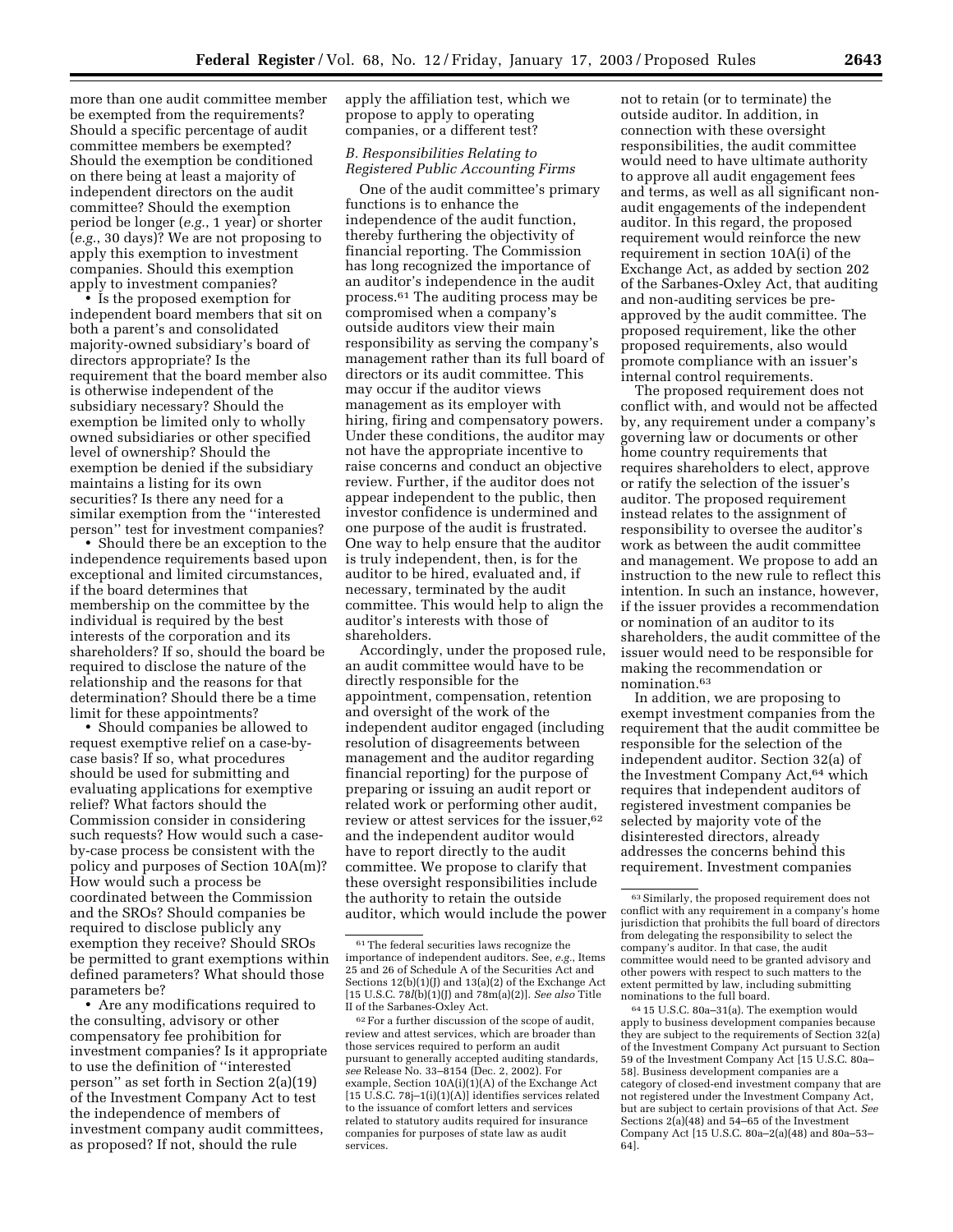more than one audit committee member be exempted from the requirements? Should a specific percentage of audit committee members be exempted? Should the exemption be conditioned on there being at least a majority of independent directors on the audit

committee? Should the exemption period be longer (*e.g.*, 1 year) or shorter (*e.g.*, 30 days)? We are not proposing to apply this exemption to investment companies. Should this exemption apply to investment companies?

• Is the proposed exemption for independent board members that sit on both a parent's and consolidated majority-owned subsidiary's board of directors appropriate? Is the requirement that the board member also is otherwise independent of the subsidiary necessary? Should the exemption be limited only to wholly owned subsidiaries or other specified level of ownership? Should the exemption be denied if the subsidiary maintains a listing for its own securities? Is there any need for a similar exemption from the ''interested person'' test for investment companies?

• Should there be an exception to the independence requirements based upon exceptional and limited circumstances, if the board determines that membership on the committee by the individual is required by the best interests of the corporation and its shareholders? If so, should the board be required to disclose the nature of the relationship and the reasons for that determination? Should there be a time limit for these appointments?

• Should companies be allowed to request exemptive relief on a case-bycase basis? If so, what procedures should be used for submitting and evaluating applications for exemptive relief? What factors should the Commission consider in considering such requests? How would such a caseby-case process be consistent with the policy and purposes of Section 10A(m)? How would such a process be coordinated between the Commission and the SROs? Should companies be required to disclose publicly any exemption they receive? Should SROs be permitted to grant exemptions within defined parameters? What should those parameters be?

• Are any modifications required to the consulting, advisory or other compensatory fee prohibition for investment companies? Is it appropriate to use the definition of ''interested person'' as set forth in Section 2(a)(19) of the Investment Company Act to test the independence of members of investment company audit committees, as proposed? If not, should the rule

apply the affiliation test, which we propose to apply to operating companies, or a different test?

# *B. Responsibilities Relating to Registered Public Accounting Firms*

One of the audit committee's primary functions is to enhance the independence of the audit function, thereby furthering the objectivity of financial reporting. The Commission has long recognized the importance of an auditor's independence in the audit process.61 The auditing process may be compromised when a company's outside auditors view their main responsibility as serving the company's management rather than its full board of directors or its audit committee. This may occur if the auditor views management as its employer with hiring, firing and compensatory powers. Under these conditions, the auditor may not have the appropriate incentive to raise concerns and conduct an objective review. Further, if the auditor does not appear independent to the public, then investor confidence is undermined and one purpose of the audit is frustrated. One way to help ensure that the auditor is truly independent, then, is for the auditor to be hired, evaluated and, if necessary, terminated by the audit committee. This would help to align the auditor's interests with those of shareholders.

Accordingly, under the proposed rule, an audit committee would have to be directly responsible for the appointment, compensation, retention and oversight of the work of the independent auditor engaged (including resolution of disagreements between management and the auditor regarding financial reporting) for the purpose of preparing or issuing an audit report or related work or performing other audit, review or attest services for the issuer,<sup>62</sup> and the independent auditor would have to report directly to the audit committee. We propose to clarify that these oversight responsibilities include the authority to retain the outside auditor, which would include the power

not to retain (or to terminate) the outside auditor. In addition, in connection with these oversight responsibilities, the audit committee would need to have ultimate authority to approve all audit engagement fees and terms, as well as all significant nonaudit engagements of the independent auditor. In this regard, the proposed requirement would reinforce the new requirement in section 10A(i) of the Exchange Act, as added by section 202 of the Sarbanes-Oxley Act, that auditing and non-auditing services be preapproved by the audit committee. The proposed requirement, like the other proposed requirements, also would promote compliance with an issuer's internal control requirements.

The proposed requirement does not conflict with, and would not be affected by, any requirement under a company's governing law or documents or other home country requirements that requires shareholders to elect, approve or ratify the selection of the issuer's auditor. The proposed requirement instead relates to the assignment of responsibility to oversee the auditor's work as between the audit committee and management. We propose to add an instruction to the new rule to reflect this intention. In such an instance, however, if the issuer provides a recommendation or nomination of an auditor to its shareholders, the audit committee of the issuer would need to be responsible for making the recommendation or nomination.63

In addition, we are proposing to exempt investment companies from the requirement that the audit committee be responsible for the selection of the independent auditor. Section 32(a) of the Investment Company Act,<sup>64</sup> which requires that independent auditors of registered investment companies be selected by majority vote of the disinterested directors, already addresses the concerns behind this requirement. Investment companies

64 15 U.S.C. 80a–31(a). The exemption would apply to business development companies because they are subject to the requirements of Section 32(a) of the Investment Company Act pursuant to Section 59 of the Investment Company Act [15 U.S.C. 80a– 58]. Business development companies are a category of closed-end investment company that are not registered under the Investment Company Act, but are subject to certain provisions of that Act. *See* Sections  $2(a)(48)$  and  $54-\overline{65}$  of the Investment Company Act [15 U.S.C. 80a–2(a)(48) and 80a–53– 64].

<sup>61</sup>The federal securities laws recognize the importance of independent auditors. See, *e.g.*, Items 25 and 26 of Schedule A of the Securities Act and Sections  $12(b)(1)(J)$  and  $13(a)(2)$  of the Exchange Act [15 U.S.C. 78*l*(b)(1)(J) and 78m(a)(2)]. *See also* Title II of the Sarbanes-Oxley Act.

<sup>62</sup>For a further discussion of the scope of audit, review and attest services, which are broader than those services required to perform an audit pursuant to generally accepted auditing standards, *see* Release No. 33–8154 (Dec. 2, 2002). For example, Section 10A(i)(1)(A) of the Exchange Act [15 U.S.C. 78j–1(i)(1)(A)] identifies services related to the issuance of comfort letters and services related to statutory audits required for insurance companies for purposes of state law as audit services.

<sup>63</sup>Similarly, the proposed requirement does not conflict with any requirement in a company's home jurisdiction that prohibits the full board of directors from delegating the responsibility to select the company's auditor. In that case, the audit committee would need to be granted advisory and other powers with respect to such matters to the extent permitted by law, including submitting nominations to the full board.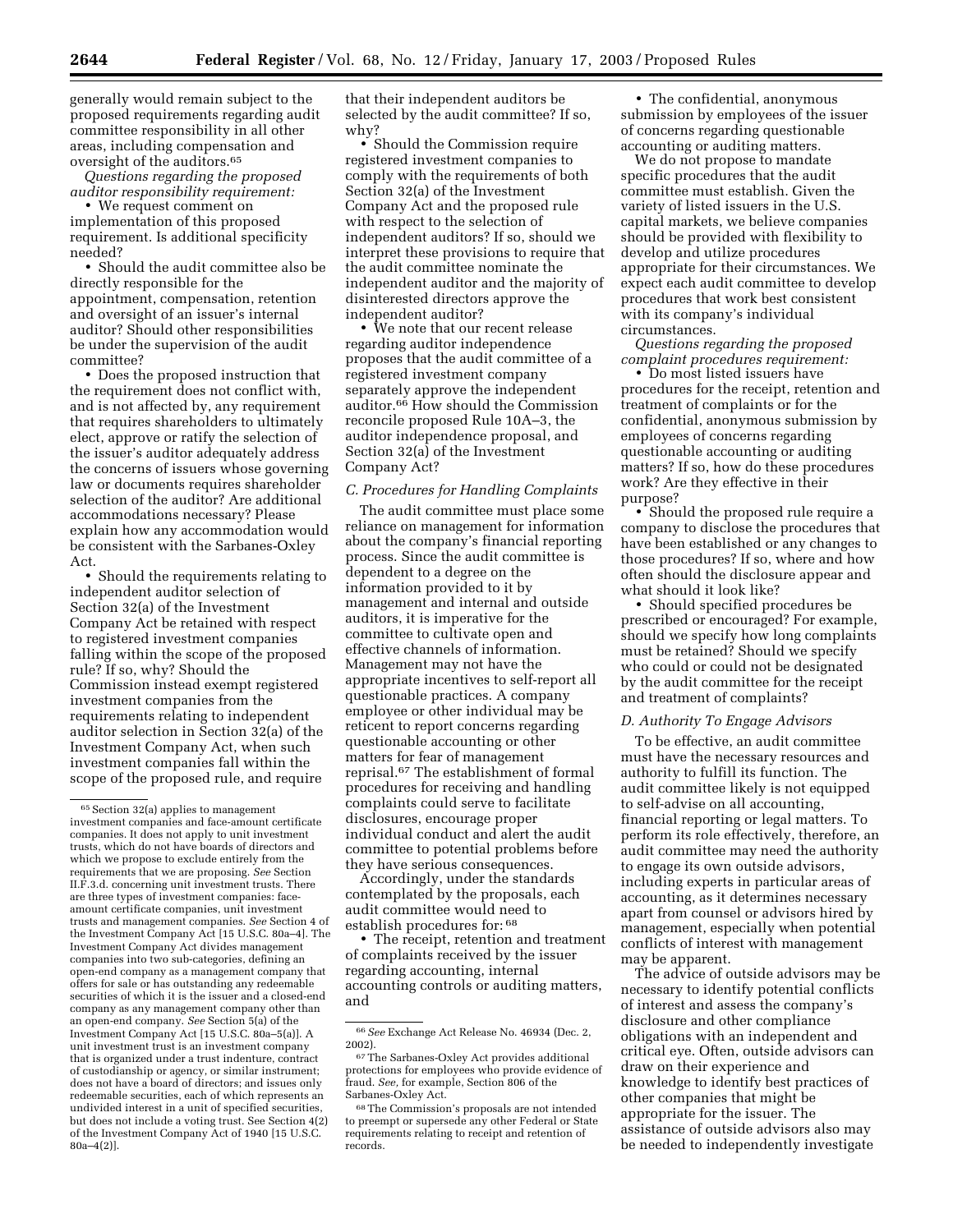generally would remain subject to the proposed requirements regarding audit committee responsibility in all other areas, including compensation and oversight of the auditors.65

*Questions regarding the proposed auditor responsibility requirement:*

• We request comment on implementation of this proposed requirement. Is additional specificity needed?

• Should the audit committee also be directly responsible for the appointment, compensation, retention and oversight of an issuer's internal auditor? Should other responsibilities be under the supervision of the audit committee?

• Does the proposed instruction that the requirement does not conflict with, and is not affected by, any requirement that requires shareholders to ultimately elect, approve or ratify the selection of the issuer's auditor adequately address the concerns of issuers whose governing law or documents requires shareholder selection of the auditor? Are additional accommodations necessary? Please explain how any accommodation would be consistent with the Sarbanes-Oxley Act.

• Should the requirements relating to independent auditor selection of Section 32(a) of the Investment Company Act be retained with respect to registered investment companies falling within the scope of the proposed rule? If so, why? Should the Commission instead exempt registered investment companies from the requirements relating to independent auditor selection in Section 32(a) of the Investment Company Act, when such investment companies fall within the scope of the proposed rule, and require

that their independent auditors be selected by the audit committee? If so, why?

• Should the Commission require registered investment companies to comply with the requirements of both Section 32(a) of the Investment Company Act and the proposed rule with respect to the selection of independent auditors? If so, should we interpret these provisions to require that the audit committee nominate the independent auditor and the majority of disinterested directors approve the independent auditor?

• We note that our recent release regarding auditor independence proposes that the audit committee of a registered investment company separately approve the independent auditor.66 How should the Commission reconcile proposed Rule 10A–3, the auditor independence proposal, and Section 32(a) of the Investment Company Act?

# *C. Procedures for Handling Complaints*

The audit committee must place some reliance on management for information about the company's financial reporting process. Since the audit committee is dependent to a degree on the information provided to it by management and internal and outside auditors, it is imperative for the committee to cultivate open and effective channels of information. Management may not have the appropriate incentives to self-report all questionable practices. A company employee or other individual may be reticent to report concerns regarding questionable accounting or other matters for fear of management reprisal.67 The establishment of formal procedures for receiving and handling complaints could serve to facilitate disclosures, encourage proper individual conduct and alert the audit committee to potential problems before they have serious consequences.

Accordingly, under the standards contemplated by the proposals, each audit committee would need to establish procedures for: 68

• The receipt, retention and treatment of complaints received by the issuer regarding accounting, internal accounting controls or auditing matters, and

• The confidential, anonymous submission by employees of the issuer of concerns regarding questionable accounting or auditing matters.

We do not propose to mandate specific procedures that the audit committee must establish. Given the variety of listed issuers in the U.S. capital markets, we believe companies should be provided with flexibility to develop and utilize procedures appropriate for their circumstances. We expect each audit committee to develop procedures that work best consistent with its company's individual circumstances.

*Questions regarding the proposed complaint procedures requirement:*

• Do most listed issuers have procedures for the receipt, retention and treatment of complaints or for the confidential, anonymous submission by employees of concerns regarding questionable accounting or auditing matters? If so, how do these procedures work? Are they effective in their purpose?

• Should the proposed rule require a company to disclose the procedures that have been established or any changes to those procedures? If so, where and how often should the disclosure appear and what should it look like?

• Should specified procedures be prescribed or encouraged? For example, should we specify how long complaints must be retained? Should we specify who could or could not be designated by the audit committee for the receipt and treatment of complaints?

#### *D. Authority To Engage Advisors*

To be effective, an audit committee must have the necessary resources and authority to fulfill its function. The audit committee likely is not equipped to self-advise on all accounting, financial reporting or legal matters. To perform its role effectively, therefore, an audit committee may need the authority to engage its own outside advisors, including experts in particular areas of accounting, as it determines necessary apart from counsel or advisors hired by management, especially when potential conflicts of interest with management may be apparent.

The advice of outside advisors may be necessary to identify potential conflicts of interest and assess the company's disclosure and other compliance obligations with an independent and critical eye. Often, outside advisors can draw on their experience and knowledge to identify best practices of other companies that might be appropriate for the issuer. The assistance of outside advisors also may be needed to independently investigate

<sup>65</sup>Section 32(a) applies to management investment companies and face-amount certificate companies. It does not apply to unit investment trusts, which do not have boards of directors and which we propose to exclude entirely from the requirements that we are proposing. *See* Section II.F.3.d. concerning unit investment trusts. There are three types of investment companies: faceamount certificate companies, unit investment trusts and management companies. *See* Section 4 of the Investment Company Act [15 U.S.C. 80a–4]. The Investment Company Act divides management companies into two sub-categories, defining an open-end company as a management company that offers for sale or has outstanding any redeemable securities of which it is the issuer and a closed-end company as any management company other than an open-end company. *See* Section 5(a) of the Investment Company Act [15 U.S.C. 80a–5(a)]. A unit investment trust is an investment company that is organized under a trust indenture, contract of custodianship or agency, or similar instrument; does not have a board of directors; and issues only redeemable securities, each of which represents an undivided interest in a unit of specified securities, but does not include a voting trust. See Section 4(2) of the Investment Company Act of 1940 [15 U.S.C. 80a–4(2)].

<sup>66</sup>*See* Exchange Act Release No. 46934 (Dec. 2, 2002).

<sup>67</sup>The Sarbanes-Oxley Act provides additional protections for employees who provide evidence of fraud. *See,* for example, Section 806 of the Sarbanes-Oxley Act.

<sup>68</sup>The Commission's proposals are not intended to preempt or supersede any other Federal or State requirements relating to receipt and retention of records.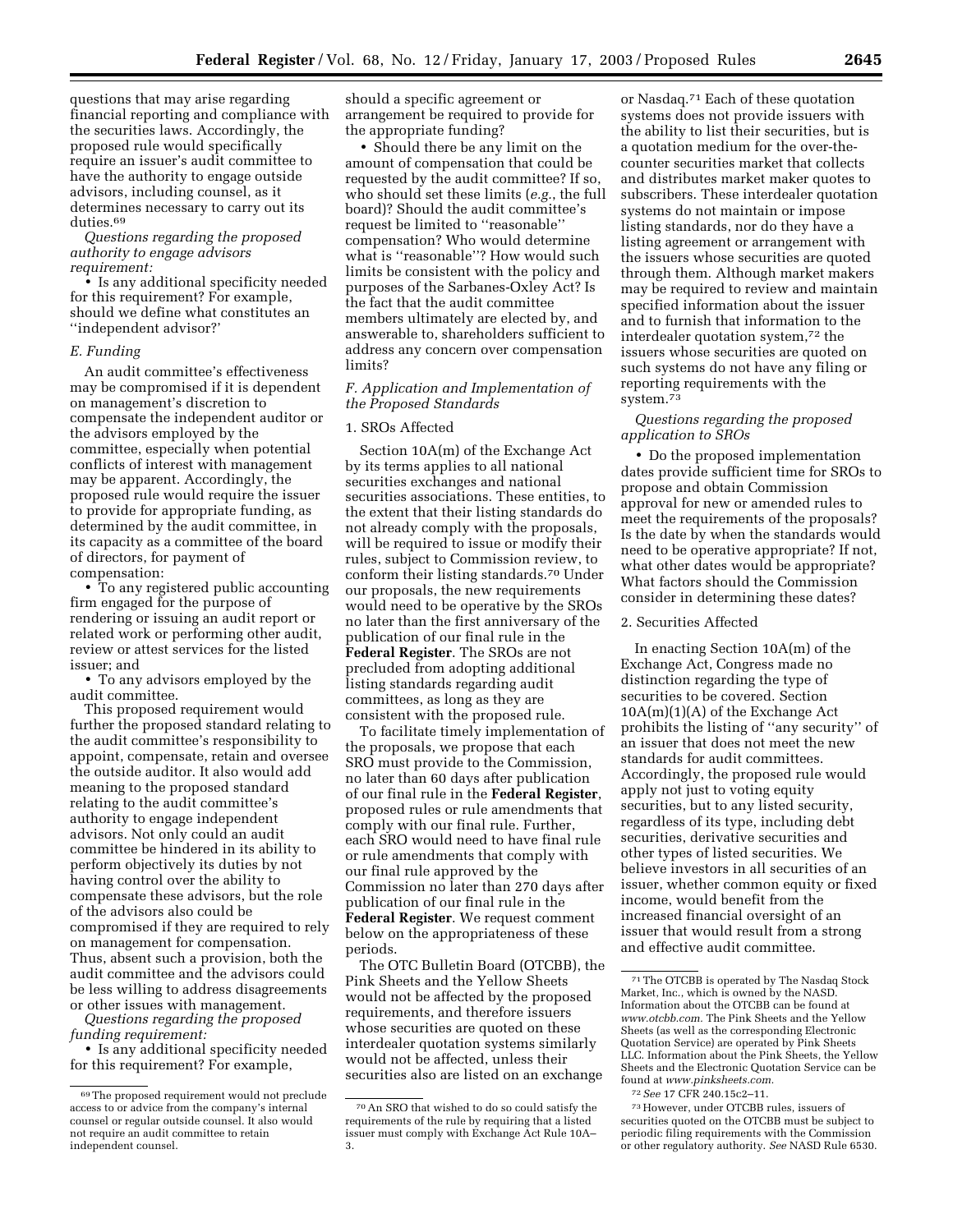questions that may arise regarding financial reporting and compliance with the securities laws. Accordingly, the proposed rule would specifically require an issuer's audit committee to have the authority to engage outside advisors, including counsel, as it determines necessary to carry out its duties.69

*Questions regarding the proposed authority to engage advisors requirement:*

• Is any additional specificity needed for this requirement? For example, should we define what constitutes an ''independent advisor?'

#### *E. Funding*

An audit committee's effectiveness may be compromised if it is dependent on management's discretion to compensate the independent auditor or the advisors employed by the committee, especially when potential conflicts of interest with management may be apparent. Accordingly, the proposed rule would require the issuer to provide for appropriate funding, as determined by the audit committee, in its capacity as a committee of the board of directors, for payment of compensation:

• To any registered public accounting firm engaged for the purpose of rendering or issuing an audit report or related work or performing other audit, review or attest services for the listed issuer; and

• To any advisors employed by the audit committee.

This proposed requirement would further the proposed standard relating to the audit committee's responsibility to appoint, compensate, retain and oversee the outside auditor. It also would add meaning to the proposed standard relating to the audit committee's authority to engage independent advisors. Not only could an audit committee be hindered in its ability to perform objectively its duties by not having control over the ability to compensate these advisors, but the role of the advisors also could be compromised if they are required to rely on management for compensation. Thus, absent such a provision, both the audit committee and the advisors could be less willing to address disagreements or other issues with management.

*Questions regarding the proposed funding requirement:*

• Is any additional specificity needed for this requirement? For example,

should a specific agreement or arrangement be required to provide for the appropriate funding?

• Should there be any limit on the amount of compensation that could be requested by the audit committee? If so, who should set these limits (*e.g.*, the full board)? Should the audit committee's request be limited to ''reasonable'' compensation? Who would determine what is ''reasonable''? How would such limits be consistent with the policy and purposes of the Sarbanes-Oxley Act? Is the fact that the audit committee members ultimately are elected by, and answerable to, shareholders sufficient to address any concern over compensation limits?

#### *F. Application and Implementation of the Proposed Standards*

#### 1. SROs Affected

Section 10A(m) of the Exchange Act by its terms applies to all national securities exchanges and national securities associations. These entities, to the extent that their listing standards do not already comply with the proposals, will be required to issue or modify their rules, subject to Commission review, to conform their listing standards.70 Under our proposals, the new requirements would need to be operative by the SROs no later than the first anniversary of the publication of our final rule in the **Federal Register**. The SROs are not precluded from adopting additional listing standards regarding audit committees, as long as they are consistent with the proposed rule.

To facilitate timely implementation of the proposals, we propose that each SRO must provide to the Commission, no later than 60 days after publication of our final rule in the **Federal Register**, proposed rules or rule amendments that comply with our final rule. Further, each SRO would need to have final rule or rule amendments that comply with our final rule approved by the Commission no later than 270 days after publication of our final rule in the **Federal Register**. We request comment below on the appropriateness of these periods.

The OTC Bulletin Board (OTCBB), the Pink Sheets and the Yellow Sheets would not be affected by the proposed requirements, and therefore issuers whose securities are quoted on these interdealer quotation systems similarly would not be affected, unless their securities also are listed on an exchange

or Nasdaq.71 Each of these quotation systems does not provide issuers with the ability to list their securities, but is a quotation medium for the over-thecounter securities market that collects and distributes market maker quotes to subscribers. These interdealer quotation systems do not maintain or impose listing standards, nor do they have a listing agreement or arrangement with the issuers whose securities are quoted through them. Although market makers may be required to review and maintain specified information about the issuer and to furnish that information to the interdealer quotation system,72 the issuers whose securities are quoted on such systems do not have any filing or reporting requirements with the system.<sup>73</sup>

#### *Questions regarding the proposed application to SROs*

• Do the proposed implementation dates provide sufficient time for SROs to propose and obtain Commission approval for new or amended rules to meet the requirements of the proposals? Is the date by when the standards would need to be operative appropriate? If not, what other dates would be appropriate? What factors should the Commission consider in determining these dates?

#### 2. Securities Affected

In enacting Section 10A(m) of the Exchange Act, Congress made no distinction regarding the type of securities to be covered. Section  $10A(m)(1)(A)$  of the Exchange Act prohibits the listing of ''any security'' of an issuer that does not meet the new standards for audit committees. Accordingly, the proposed rule would apply not just to voting equity securities, but to any listed security, regardless of its type, including debt securities, derivative securities and other types of listed securities. We believe investors in all securities of an issuer, whether common equity or fixed income, would benefit from the increased financial oversight of an issuer that would result from a strong and effective audit committee.

<sup>69</sup>The proposed requirement would not preclude access to or advice from the company's internal counsel or regular outside counsel. It also would not require an audit committee to retain independent counsel.

<sup>70</sup>An SRO that wished to do so could satisfy the requirements of the rule by requiring that a listed issuer must comply with Exchange Act Rule 10A– 3.

<sup>71</sup>The OTCBB is operated by The Nasdaq Stock Market, Inc., which is owned by the NASD Information about the OTCBB can be found at *www.otcbb.com.* The Pink Sheets and the Yellow Sheets (as well as the corresponding Electronic Quotation Service) are operated by Pink Sheets LLC. Information about the Pink Sheets, the Yellow Sheets and the Electronic Quotation Service can be found at *www.pinksheets.com.*

<sup>72</sup>*See* 17 CFR 240.15c2–11.

<sup>73</sup>However, under OTCBB rules, issuers of securities quoted on the OTCBB must be subject to periodic filing requirements with the Commission or other regulatory authority. *See* NASD Rule 6530.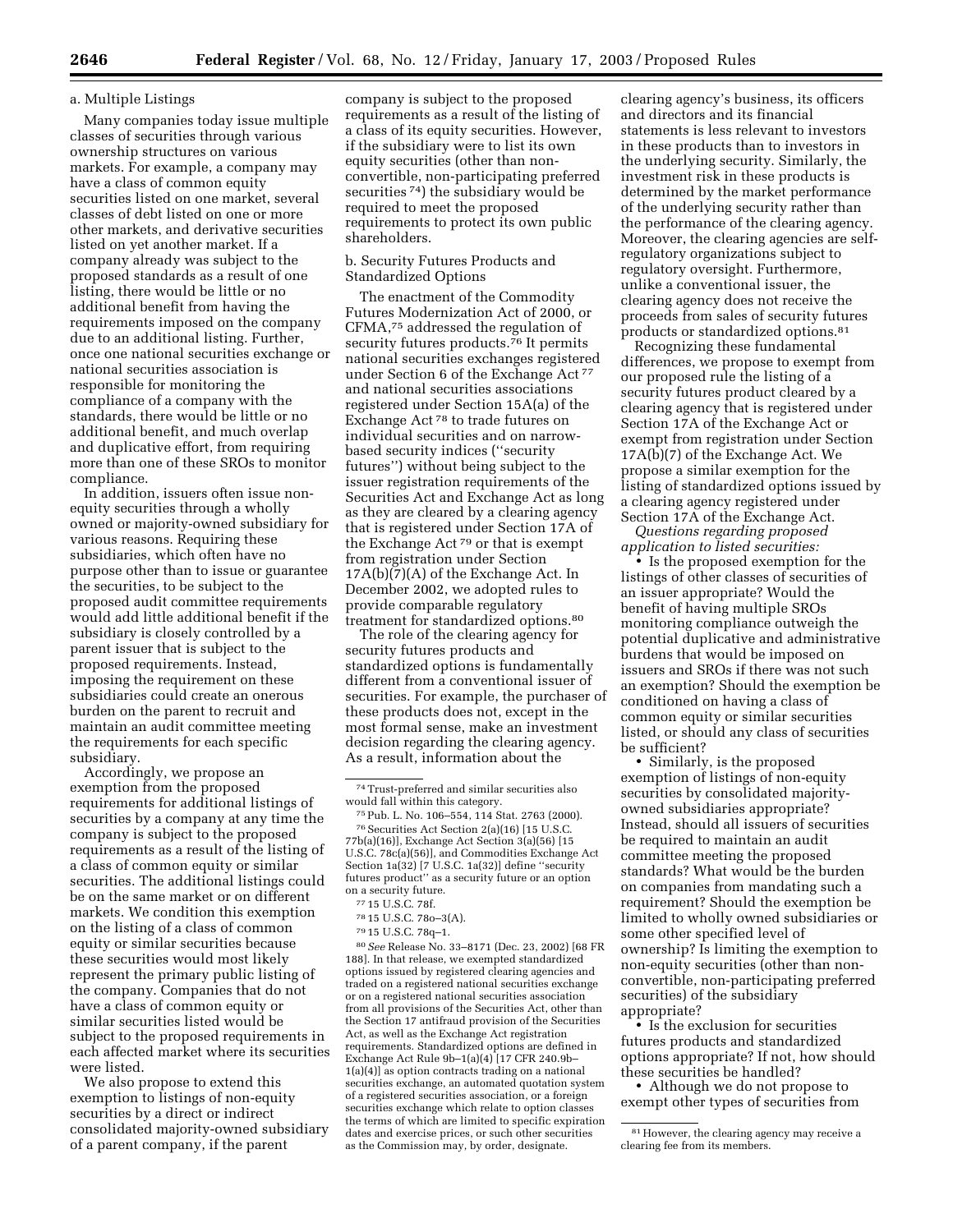#### a. Multiple Listings

Many companies today issue multiple classes of securities through various ownership structures on various markets. For example, a company may have a class of common equity securities listed on one market, several classes of debt listed on one or more other markets, and derivative securities listed on yet another market. If a company already was subject to the proposed standards as a result of one listing, there would be little or no additional benefit from having the requirements imposed on the company due to an additional listing. Further, once one national securities exchange or national securities association is responsible for monitoring the compliance of a company with the standards, there would be little or no additional benefit, and much overlap and duplicative effort, from requiring more than one of these SROs to monitor compliance.

In addition, issuers often issue nonequity securities through a wholly owned or majority-owned subsidiary for various reasons. Requiring these subsidiaries, which often have no purpose other than to issue or guarantee the securities, to be subject to the proposed audit committee requirements would add little additional benefit if the subsidiary is closely controlled by a parent issuer that is subject to the proposed requirements. Instead, imposing the requirement on these subsidiaries could create an onerous burden on the parent to recruit and maintain an audit committee meeting the requirements for each specific subsidiary.

Accordingly, we propose an exemption from the proposed requirements for additional listings of securities by a company at any time the company is subject to the proposed requirements as a result of the listing of a class of common equity or similar securities. The additional listings could be on the same market or on different markets. We condition this exemption on the listing of a class of common equity or similar securities because these securities would most likely represent the primary public listing of the company. Companies that do not have a class of common equity or similar securities listed would be subject to the proposed requirements in each affected market where its securities were listed.

We also propose to extend this exemption to listings of non-equity securities by a direct or indirect consolidated majority-owned subsidiary of a parent company, if the parent

company is subject to the proposed requirements as a result of the listing of a class of its equity securities. However, if the subsidiary were to list its own equity securities (other than nonconvertible, non-participating preferred securities 74) the subsidiary would be required to meet the proposed requirements to protect its own public shareholders.

#### b. Security Futures Products and Standardized Options

The enactment of the Commodity Futures Modernization Act of 2000, or CFMA,75 addressed the regulation of security futures products.76 It permits national securities exchanges registered under Section 6 of the Exchange Act<sup>77</sup> and national securities associations registered under Section 15A(a) of the Exchange Act 78 to trade futures on individual securities and on narrowbased security indices (''security futures'') without being subject to the issuer registration requirements of the Securities Act and Exchange Act as long as they are cleared by a clearing agency that is registered under Section 17A of the Exchange Act 79 or that is exempt from registration under Section  $17A(b)(7)(A)$  of the Exchange Act. In December 2002, we adopted rules to provide comparable regulatory treatment for standardized options.80

The role of the clearing agency for security futures products and standardized options is fundamentally different from a conventional issuer of securities. For example, the purchaser of these products does not, except in the most formal sense, make an investment decision regarding the clearing agency. As a result, information about the

79 15 U.S.C. 78q–1.

80*See* Release No. 33–8171 (Dec. 23, 2002) [68 FR 188]. In that release, we exempted standardized options issued by registered clearing agencies and traded on a registered national securities exchange or on a registered national securities association from all provisions of the Securities Act, other than the Section 17 antifraud provision of the Securities Act, as well as the Exchange Act registration requirements. Standardized options are defined in Exchange Act Rule 9b–1(a)(4) [17 CFR 240.9b– 1(a)(4)] as option contracts trading on a national securities exchange, an automated quotation system of a registered securities association, or a foreign securities exchange which relate to option classes the terms of which are limited to specific expiration dates and exercise prices, or such other securities as the Commission may, by order, designate.

clearing agency's business, its officers and directors and its financial statements is less relevant to investors in these products than to investors in the underlying security. Similarly, the investment risk in these products is determined by the market performance of the underlying security rather than the performance of the clearing agency. Moreover, the clearing agencies are selfregulatory organizations subject to regulatory oversight. Furthermore, unlike a conventional issuer, the clearing agency does not receive the proceeds from sales of security futures products or standardized options.81

Recognizing these fundamental differences, we propose to exempt from our proposed rule the listing of a security futures product cleared by a clearing agency that is registered under Section 17A of the Exchange Act or exempt from registration under Section 17A(b)(7) of the Exchange Act. We propose a similar exemption for the listing of standardized options issued by a clearing agency registered under Section 17A of the Exchange Act.

*Questions regarding proposed application to listed securities:*

• Is the proposed exemption for the listings of other classes of securities of an issuer appropriate? Would the benefit of having multiple SROs monitoring compliance outweigh the potential duplicative and administrative burdens that would be imposed on issuers and SROs if there was not such an exemption? Should the exemption be conditioned on having a class of common equity or similar securities listed, or should any class of securities be sufficient?

• Similarly, is the proposed exemption of listings of non-equity securities by consolidated majorityowned subsidiaries appropriate? Instead, should all issuers of securities be required to maintain an audit committee meeting the proposed standards? What would be the burden on companies from mandating such a requirement? Should the exemption be limited to wholly owned subsidiaries or some other specified level of ownership? Is limiting the exemption to non-equity securities (other than nonconvertible, non-participating preferred securities) of the subsidiary appropriate?

• Is the exclusion for securities futures products and standardized options appropriate? If not, how should these securities be handled?

• Although we do not propose to exempt other types of securities from

<sup>74</sup>Trust-preferred and similar securities also would fall within this category.

<sup>75</sup>Pub. L. No. 106–554, 114 Stat. 2763 (2000). 76Securities Act Section 2(a)(16) [15 U.S.C. 77b(a)(16)], Exchange Act Section 3(a)(56) [15 U.S.C. 78c(a)(56)], and Commodities Exchange Act Section 1a(32) [7 U.S.C. 1a(32)] define ''security futures product'' as a security future or an option on a security future.

<sup>77</sup> 15 U.S.C. 78f.

<sup>78</sup> 15 U.S.C. 78o–3(A).

<sup>81</sup>However, the clearing agency may receive a clearing fee from its members.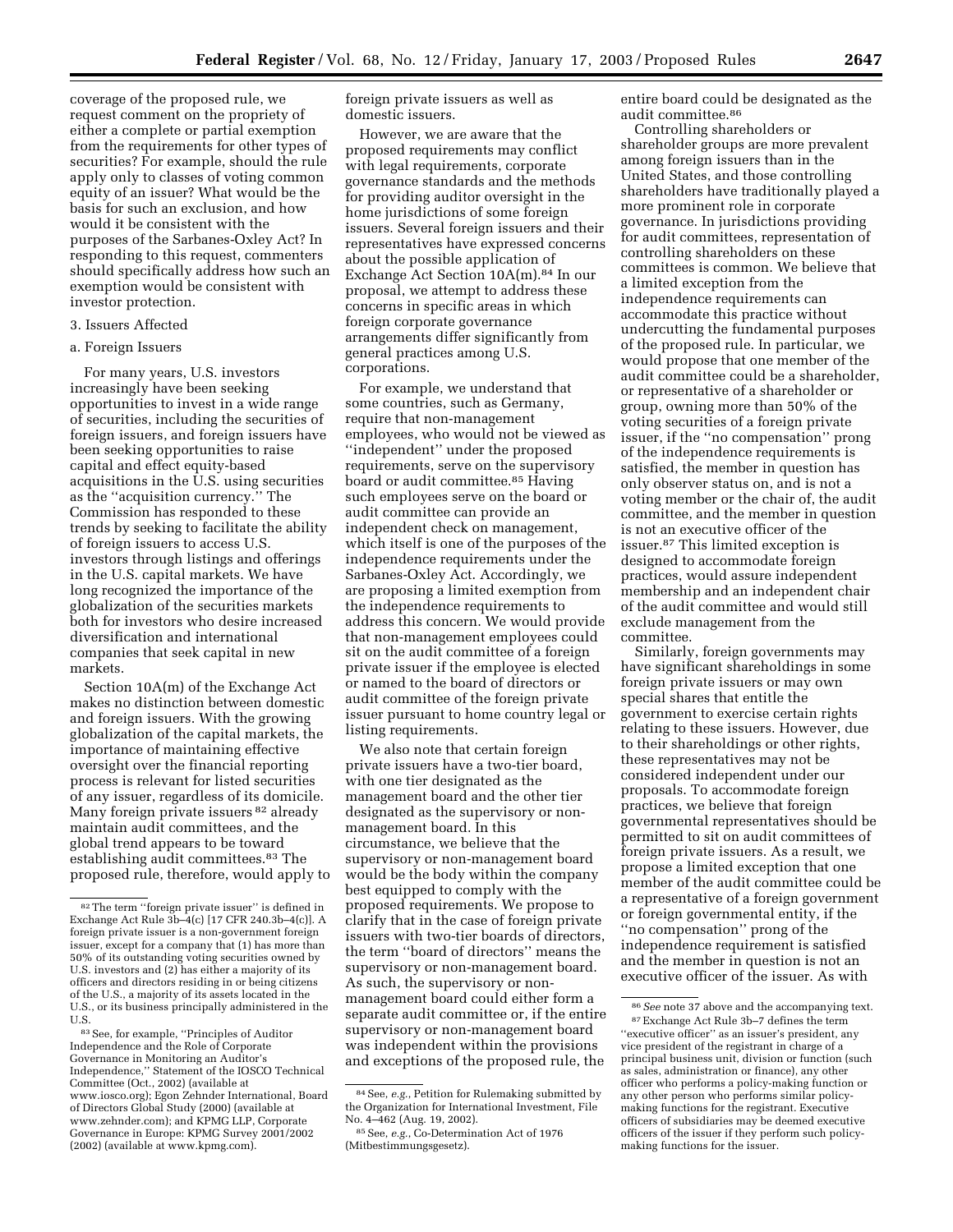coverage of the proposed rule, we request comment on the propriety of either a complete or partial exemption from the requirements for other types of securities? For example, should the rule apply only to classes of voting common equity of an issuer? What would be the basis for such an exclusion, and how would it be consistent with the purposes of the Sarbanes-Oxley Act? In responding to this request, commenters should specifically address how such an exemption would be consistent with investor protection.

# 3. Issuers Affected

#### a. Foreign Issuers

For many years, U.S. investors increasingly have been seeking opportunities to invest in a wide range of securities, including the securities of foreign issuers, and foreign issuers have been seeking opportunities to raise capital and effect equity-based acquisitions in the U.S. using securities as the ''acquisition currency.'' The Commission has responded to these trends by seeking to facilitate the ability of foreign issuers to access U.S. investors through listings and offerings in the U.S. capital markets. We have long recognized the importance of the globalization of the securities markets both for investors who desire increased diversification and international companies that seek capital in new markets.

Section 10A(m) of the Exchange Act makes no distinction between domestic and foreign issuers. With the growing globalization of the capital markets, the importance of maintaining effective oversight over the financial reporting process is relevant for listed securities of any issuer, regardless of its domicile. Many foreign private issuers 82 already maintain audit committees, and the global trend appears to be toward establishing audit committees.<sup>83</sup> The proposed rule, therefore, would apply to

83See, for example, ''Principles of Auditor Independence and the Role of Corporate Governance in Monitoring an Auditor's Independence,'' Statement of the IOSCO Technical Committee (Oct., 2002) (available at www.iosco.org); Egon Zehnder International, Board of Directors Global Study (2000) (available at www.zehnder.com); and KPMG LLP, Corporate Governance in Europe: KPMG Survey 2001/2002 (2002) (available at www.kpmg.com).

foreign private issuers as well as domestic issuers.

However, we are aware that the proposed requirements may conflict with legal requirements, corporate governance standards and the methods for providing auditor oversight in the home jurisdictions of some foreign issuers. Several foreign issuers and their representatives have expressed concerns about the possible application of Exchange Act Section 10A(m).84 In our proposal, we attempt to address these concerns in specific areas in which foreign corporate governance arrangements differ significantly from general practices among U.S. corporations.

For example, we understand that some countries, such as Germany, require that non-management employees, who would not be viewed as ''independent'' under the proposed requirements, serve on the supervisory board or audit committee.85 Having such employees serve on the board or audit committee can provide an independent check on management, which itself is one of the purposes of the independence requirements under the Sarbanes-Oxley Act. Accordingly, we are proposing a limited exemption from the independence requirements to address this concern. We would provide that non-management employees could sit on the audit committee of a foreign private issuer if the employee is elected or named to the board of directors or audit committee of the foreign private issuer pursuant to home country legal or listing requirements.

We also note that certain foreign private issuers have a two-tier board, with one tier designated as the management board and the other tier designated as the supervisory or nonmanagement board. In this circumstance, we believe that the supervisory or non-management board would be the body within the company best equipped to comply with the proposed requirements. We propose to clarify that in the case of foreign private issuers with two-tier boards of directors, the term ''board of directors'' means the supervisory or non-management board. As such, the supervisory or nonmanagement board could either form a separate audit committee or, if the entire supervisory or non-management board was independent within the provisions and exceptions of the proposed rule, the entire board could be designated as the audit committee.86

Controlling shareholders or shareholder groups are more prevalent among foreign issuers than in the United States, and those controlling shareholders have traditionally played a more prominent role in corporate governance. In jurisdictions providing for audit committees, representation of controlling shareholders on these committees is common. We believe that a limited exception from the independence requirements can accommodate this practice without undercutting the fundamental purposes of the proposed rule. In particular, we would propose that one member of the audit committee could be a shareholder, or representative of a shareholder or group, owning more than 50% of the voting securities of a foreign private issuer, if the ''no compensation'' prong of the independence requirements is satisfied, the member in question has only observer status on, and is not a voting member or the chair of, the audit committee, and the member in question is not an executive officer of the issuer.87 This limited exception is designed to accommodate foreign practices, would assure independent membership and an independent chair of the audit committee and would still exclude management from the committee.

Similarly, foreign governments may have significant shareholdings in some foreign private issuers or may own special shares that entitle the government to exercise certain rights relating to these issuers. However, due to their shareholdings or other rights, these representatives may not be considered independent under our proposals. To accommodate foreign practices, we believe that foreign governmental representatives should be permitted to sit on audit committees of foreign private issuers. As a result, we propose a limited exception that one member of the audit committee could be a representative of a foreign government or foreign governmental entity, if the ''no compensation'' prong of the independence requirement is satisfied and the member in question is not an executive officer of the issuer. As with

<sup>82</sup>The term ''foreign private issuer'' is defined in Exchange Act Rule 3b–4(c) [17 CFR 240.3b–4(c)]. A foreign private issuer is a non-government foreign issuer, except for a company that (1) has more than 50% of its outstanding voting securities owned by U.S. investors and (2) has either a majority of its officers and directors residing in or being citizens of the U.S., a majority of its assets located in the U.S., or its business principally administered in the U.S.

<sup>84</sup>See, *e.g.*, Petition for Rulemaking submitted by the Organization for International Investment, File No. 4–462 (Aug. 19, 2002).

<sup>85</sup>See, *e.g.*, Co-Determination Act of 1976 (Mitbestimmungsgesetz).

<sup>86</sup>*See* note 37 above and the accompanying text. 87Exchange Act Rule 3b–7 defines the term "executive officer" as an issuer's president, any vice president of the registrant in charge of a principal business unit, division or function (such as sales, administration or finance), any other officer who performs a policy-making function or any other person who performs similar policymaking functions for the registrant. Executive officers of subsidiaries may be deemed executive officers of the issuer if they perform such policymaking functions for the issuer.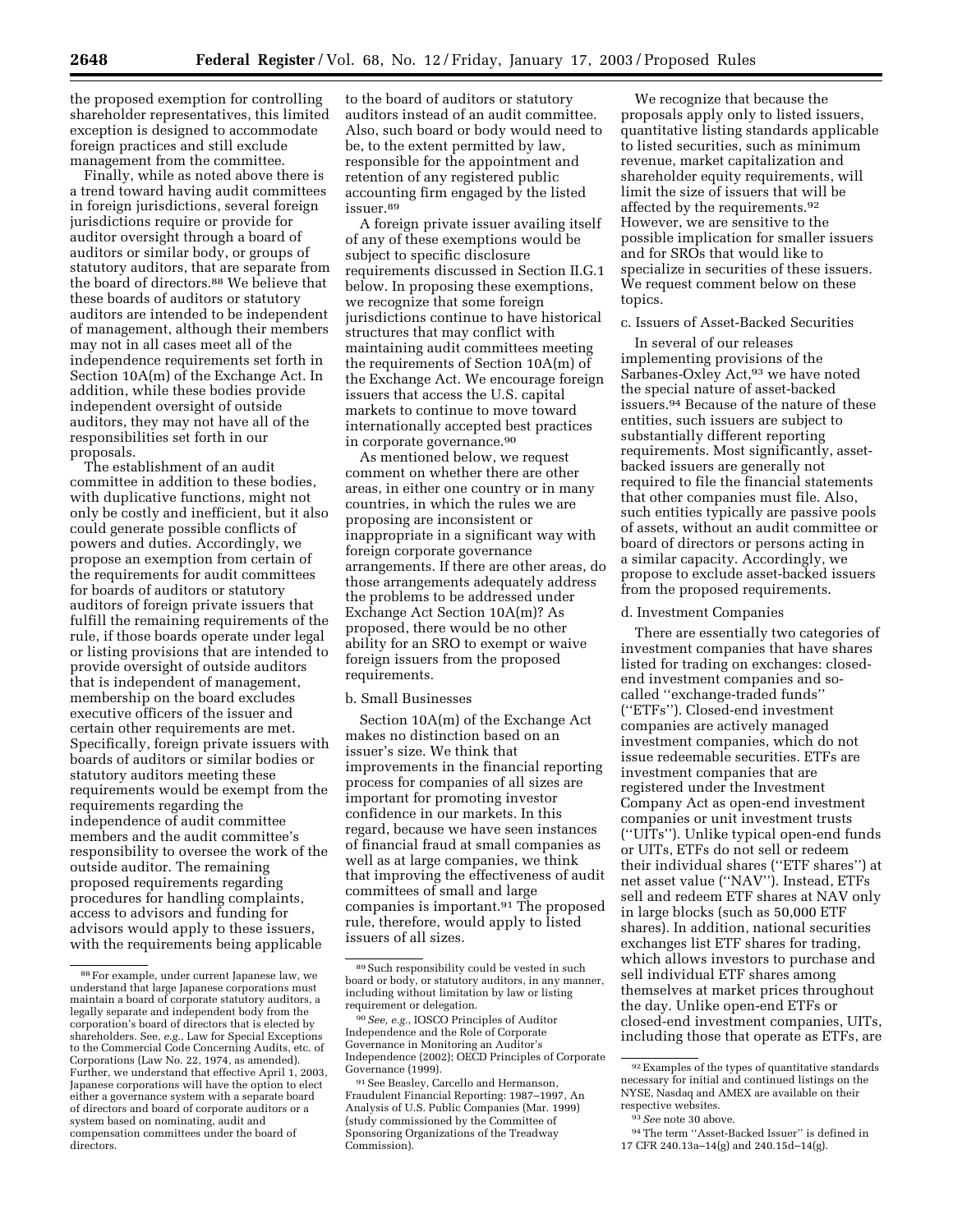the proposed exemption for controlling shareholder representatives, this limited exception is designed to accommodate foreign practices and still exclude management from the committee.

Finally, while as noted above there is a trend toward having audit committees in foreign jurisdictions, several foreign jurisdictions require or provide for auditor oversight through a board of auditors or similar body, or groups of statutory auditors, that are separate from the board of directors.<sup>88</sup> We believe that these boards of auditors or statutory auditors are intended to be independent of management, although their members may not in all cases meet all of the independence requirements set forth in Section 10A(m) of the Exchange Act. In addition, while these bodies provide independent oversight of outside auditors, they may not have all of the responsibilities set forth in our proposals.

The establishment of an audit committee in addition to these bodies, with duplicative functions, might not only be costly and inefficient, but it also could generate possible conflicts of powers and duties. Accordingly, we propose an exemption from certain of the requirements for audit committees for boards of auditors or statutory auditors of foreign private issuers that fulfill the remaining requirements of the rule, if those boards operate under legal or listing provisions that are intended to provide oversight of outside auditors that is independent of management, membership on the board excludes executive officers of the issuer and certain other requirements are met. Specifically, foreign private issuers with boards of auditors or similar bodies or statutory auditors meeting these requirements would be exempt from the requirements regarding the independence of audit committee members and the audit committee's responsibility to oversee the work of the outside auditor. The remaining proposed requirements regarding procedures for handling complaints, access to advisors and funding for advisors would apply to these issuers, with the requirements being applicable

to the board of auditors or statutory auditors instead of an audit committee. Also, such board or body would need to be, to the extent permitted by law, responsible for the appointment and retention of any registered public accounting firm engaged by the listed issuer.89

A foreign private issuer availing itself of any of these exemptions would be subject to specific disclosure requirements discussed in Section II.G.1 below. In proposing these exemptions, we recognize that some foreign jurisdictions continue to have historical structures that may conflict with maintaining audit committees meeting the requirements of Section 10A(m) of the Exchange Act. We encourage foreign issuers that access the U.S. capital markets to continue to move toward internationally accepted best practices in corporate governance.90

As mentioned below, we request comment on whether there are other areas, in either one country or in many countries, in which the rules we are proposing are inconsistent or inappropriate in a significant way with foreign corporate governance arrangements. If there are other areas, do those arrangements adequately address the problems to be addressed under Exchange Act Section 10A(m)? As proposed, there would be no other ability for an SRO to exempt or waive foreign issuers from the proposed requirements.

#### b. Small Businesses

Section 10A(m) of the Exchange Act makes no distinction based on an issuer's size. We think that improvements in the financial reporting process for companies of all sizes are important for promoting investor confidence in our markets. In this regard, because we have seen instances of financial fraud at small companies as well as at large companies, we think that improving the effectiveness of audit committees of small and large companies is important.<sup>91</sup> The proposed rule, therefore, would apply to listed issuers of all sizes.

We recognize that because the proposals apply only to listed issuers, quantitative listing standards applicable to listed securities, such as minimum revenue, market capitalization and shareholder equity requirements, will limit the size of issuers that will be affected by the requirements.92 However, we are sensitive to the possible implication for smaller issuers and for SROs that would like to specialize in securities of these issuers. We request comment below on these topics.

#### c. Issuers of Asset-Backed Securities

In several of our releases implementing provisions of the Sarbanes-Oxley Act,<sup>93</sup> we have noted the special nature of asset-backed issuers.94 Because of the nature of these entities, such issuers are subject to substantially different reporting requirements. Most significantly, assetbacked issuers are generally not required to file the financial statements that other companies must file. Also, such entities typically are passive pools of assets, without an audit committee or board of directors or persons acting in a similar capacity. Accordingly, we propose to exclude asset-backed issuers from the proposed requirements.

# d. Investment Companies

There are essentially two categories of investment companies that have shares listed for trading on exchanges: closedend investment companies and socalled ''exchange-traded funds'' (''ETFs''). Closed-end investment companies are actively managed investment companies, which do not issue redeemable securities. ETFs are investment companies that are registered under the Investment Company Act as open-end investment companies or unit investment trusts (''UITs''). Unlike typical open-end funds or UITs, ETFs do not sell or redeem their individual shares (''ETF shares'') at net asset value (''NAV''). Instead, ETFs sell and redeem ETF shares at NAV only in large blocks (such as 50,000 ETF shares). In addition, national securities exchanges list ETF shares for trading, which allows investors to purchase and sell individual ETF shares among themselves at market prices throughout the day. Unlike open-end ETFs or closed-end investment companies, UITs, including those that operate as ETFs, are

<sup>88</sup>For example, under current Japanese law, we understand that large Japanese corporations must maintain a board of corporate statutory auditors, a legally separate and independent body from the corporation's board of directors that is elected by shareholders. See, *e.g.*, Law for Special Exceptions to the Commercial Code Concerning Audits, etc. of Corporations (Law No. 22, 1974, as amended). Further, we understand that effective April 1, 2003, Japanese corporations will have the option to elect either a governance system with a separate board of directors and board of corporate auditors or a system based on nominating, audit and compensation committees under the board of directors.

<sup>89</sup>Such responsibility could be vested in such board or body, or statutory auditors, in any manner, including without limitation by law or listing requirement or delegation.

<sup>90</sup>*See, e.g.*, IOSCO Principles of Auditor Independence and the Role of Corporate Governance in Monitoring an Auditor's Independence (2002); OECD Principles of Corporate Governance (1999).

<sup>91</sup>See Beasley, Carcello and Hermanson, Fraudulent Financial Reporting: 1987–1997, An Analysis of U.S. Public Companies (Mar. 1999) (study commissioned by the Committee of Sponsoring Organizations of the Treadway Commission).

<sup>92</sup>Examples of the types of quantitative standards necessary for initial and continued listings on the NYSE, Nasdaq and AMEX are available on their respective websites.

<sup>93</sup>*See* note 30 above.

<sup>94</sup>The term ''Asset-Backed Issuer'' is defined in 17 CFR 240.13a–14(g) and 240.15d–14(g).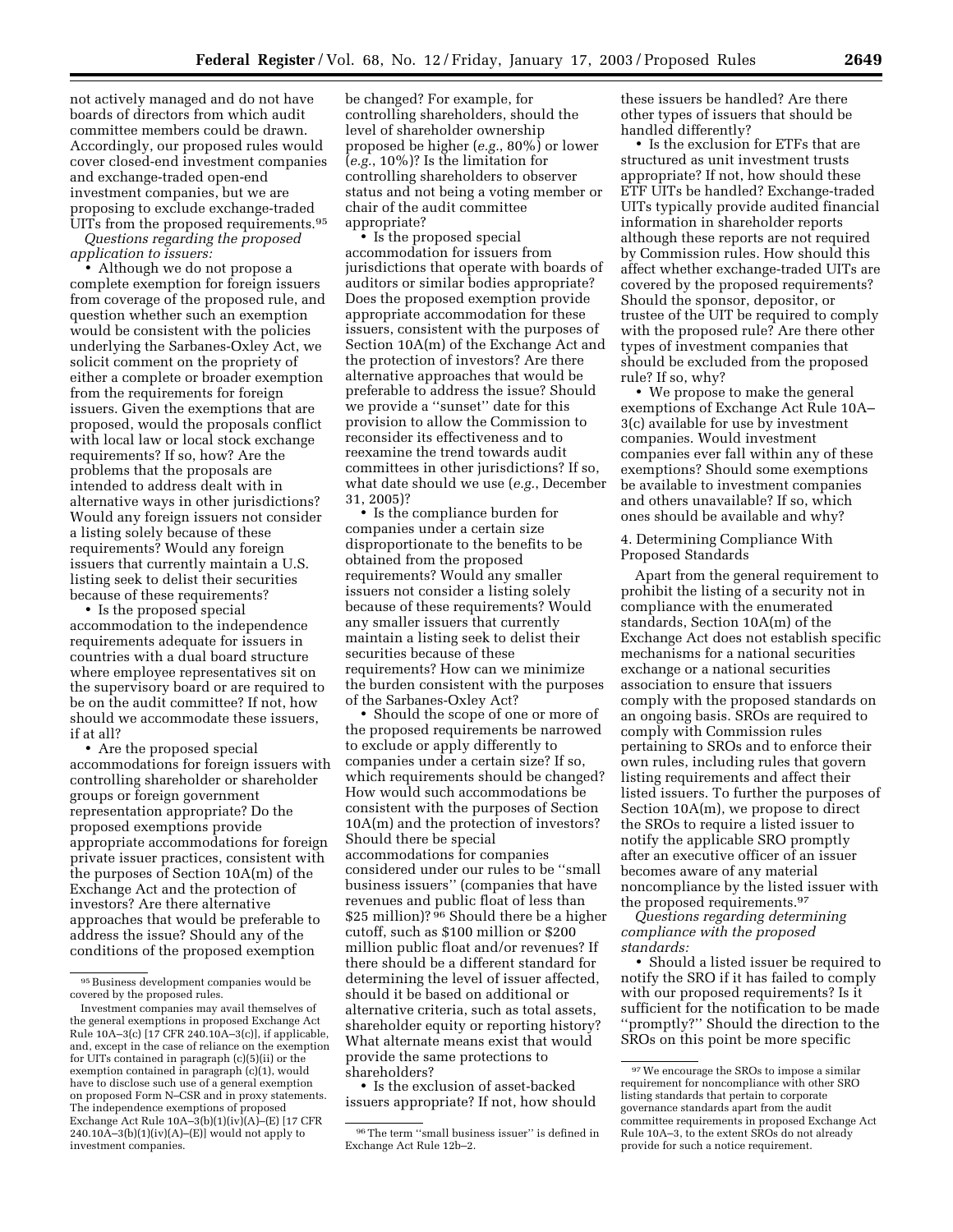not actively managed and do not have boards of directors from which audit committee members could be drawn. Accordingly, our proposed rules would cover closed-end investment companies and exchange-traded open-end investment companies, but we are proposing to exclude exchange-traded UITs from the proposed requirements.95

*Questions regarding the proposed application to issuers:*

• Although we do not propose a complete exemption for foreign issuers from coverage of the proposed rule, and question whether such an exemption would be consistent with the policies underlying the Sarbanes-Oxley Act, we solicit comment on the propriety of either a complete or broader exemption from the requirements for foreign issuers. Given the exemptions that are proposed, would the proposals conflict with local law or local stock exchange requirements? If so, how? Are the problems that the proposals are intended to address dealt with in alternative ways in other jurisdictions? Would any foreign issuers not consider a listing solely because of these requirements? Would any foreign issuers that currently maintain a U.S. listing seek to delist their securities because of these requirements?

• Is the proposed special accommodation to the independence requirements adequate for issuers in countries with a dual board structure where employee representatives sit on the supervisory board or are required to be on the audit committee? If not, how should we accommodate these issuers, if at all?

• Are the proposed special accommodations for foreign issuers with controlling shareholder or shareholder groups or foreign government representation appropriate? Do the proposed exemptions provide appropriate accommodations for foreign private issuer practices, consistent with the purposes of Section 10A(m) of the Exchange Act and the protection of investors? Are there alternative approaches that would be preferable to address the issue? Should any of the conditions of the proposed exemption

be changed? For example, for controlling shareholders, should the level of shareholder ownership proposed be higher (*e.g.*, 80%) or lower (*e.g.*, 10%)? Is the limitation for controlling shareholders to observer status and not being a voting member or chair of the audit committee appropriate?

• Is the proposed special accommodation for issuers from jurisdictions that operate with boards of auditors or similar bodies appropriate? Does the proposed exemption provide appropriate accommodation for these issuers, consistent with the purposes of Section 10A(m) of the Exchange Act and the protection of investors? Are there alternative approaches that would be preferable to address the issue? Should we provide a ''sunset'' date for this provision to allow the Commission to reconsider its effectiveness and to reexamine the trend towards audit committees in other jurisdictions? If so, what date should we use (*e.g.*, December 31, 2005)?

• Is the compliance burden for companies under a certain size disproportionate to the benefits to be obtained from the proposed requirements? Would any smaller issuers not consider a listing solely because of these requirements? Would any smaller issuers that currently maintain a listing seek to delist their securities because of these requirements? How can we minimize the burden consistent with the purposes of the Sarbanes-Oxley Act?

• Should the scope of one or more of the proposed requirements be narrowed to exclude or apply differently to companies under a certain size? If so, which requirements should be changed? How would such accommodations be consistent with the purposes of Section 10A(m) and the protection of investors? Should there be special accommodations for companies considered under our rules to be ''small business issuers'' (companies that have revenues and public float of less than \$25 million)? <sup>96</sup> Should there be a higher cutoff, such as \$100 million or \$200 million public float and/or revenues? If there should be a different standard for determining the level of issuer affected, should it be based on additional or alternative criteria, such as total assets, shareholder equity or reporting history? What alternate means exist that would provide the same protections to shareholders?

• Is the exclusion of asset-backed issuers appropriate? If not, how should these issuers be handled? Are there other types of issuers that should be handled differently?

• Is the exclusion for ETFs that are structured as unit investment trusts appropriate? If not, how should these ETF UITs be handled? Exchange-traded UITs typically provide audited financial information in shareholder reports although these reports are not required by Commission rules. How should this affect whether exchange-traded UITs are covered by the proposed requirements? Should the sponsor, depositor, or trustee of the UIT be required to comply with the proposed rule? Are there other types of investment companies that should be excluded from the proposed rule? If so, why?

• We propose to make the general exemptions of Exchange Act Rule 10A– 3(c) available for use by investment companies. Would investment companies ever fall within any of these exemptions? Should some exemptions be available to investment companies and others unavailable? If so, which ones should be available and why?

4. Determining Compliance With Proposed Standards

Apart from the general requirement to prohibit the listing of a security not in compliance with the enumerated standards, Section 10A(m) of the Exchange Act does not establish specific mechanisms for a national securities exchange or a national securities association to ensure that issuers comply with the proposed standards on an ongoing basis. SROs are required to comply with Commission rules pertaining to SROs and to enforce their own rules, including rules that govern listing requirements and affect their listed issuers. To further the purposes of Section 10A(m), we propose to direct the SROs to require a listed issuer to notify the applicable SRO promptly after an executive officer of an issuer becomes aware of any material noncompliance by the listed issuer with the proposed requirements.97

*Questions regarding determining compliance with the proposed standards:*

• Should a listed issuer be required to notify the SRO if it has failed to comply with our proposed requirements? Is it sufficient for the notification to be made ''promptly?'' Should the direction to the SROs on this point be more specific

<sup>95</sup>Business development companies would be covered by the proposed rules.

Investment companies may avail themselves of the general exemptions in proposed Exchange Act Rule 10A–3(c) [17 CFR 240.10A–3(c)], if applicable, and, except in the case of reliance on the exemption for UITs contained in paragraph (c)(5)(ii) or the exemption contained in paragraph (c)(1), would have to disclose such use of a general exemption on proposed Form N–CSR and in proxy statements. The independence exemptions of proposed Exchange Act Rule  $10A-3(b)(1)(iv)(A)-(E)$  [17 CFR  $240.10\text{\AA}-3(\text{b})(1)(\text{iv})(\text{A})-(\text{E})$  would not apply to investment companies.

 $^{96}\mathrm{The\ term}$  "small business issuer" is defined in Exchange Act Rule 12b–2.

 $\,$  97 We encourage the SROs to impose a similar requirement for noncompliance with other SRO listing standards that pertain to corporate governance standards apart from the audit committee requirements in proposed Exchange Act Rule 10A–3, to the extent SROs do not already provide for such a notice requirement.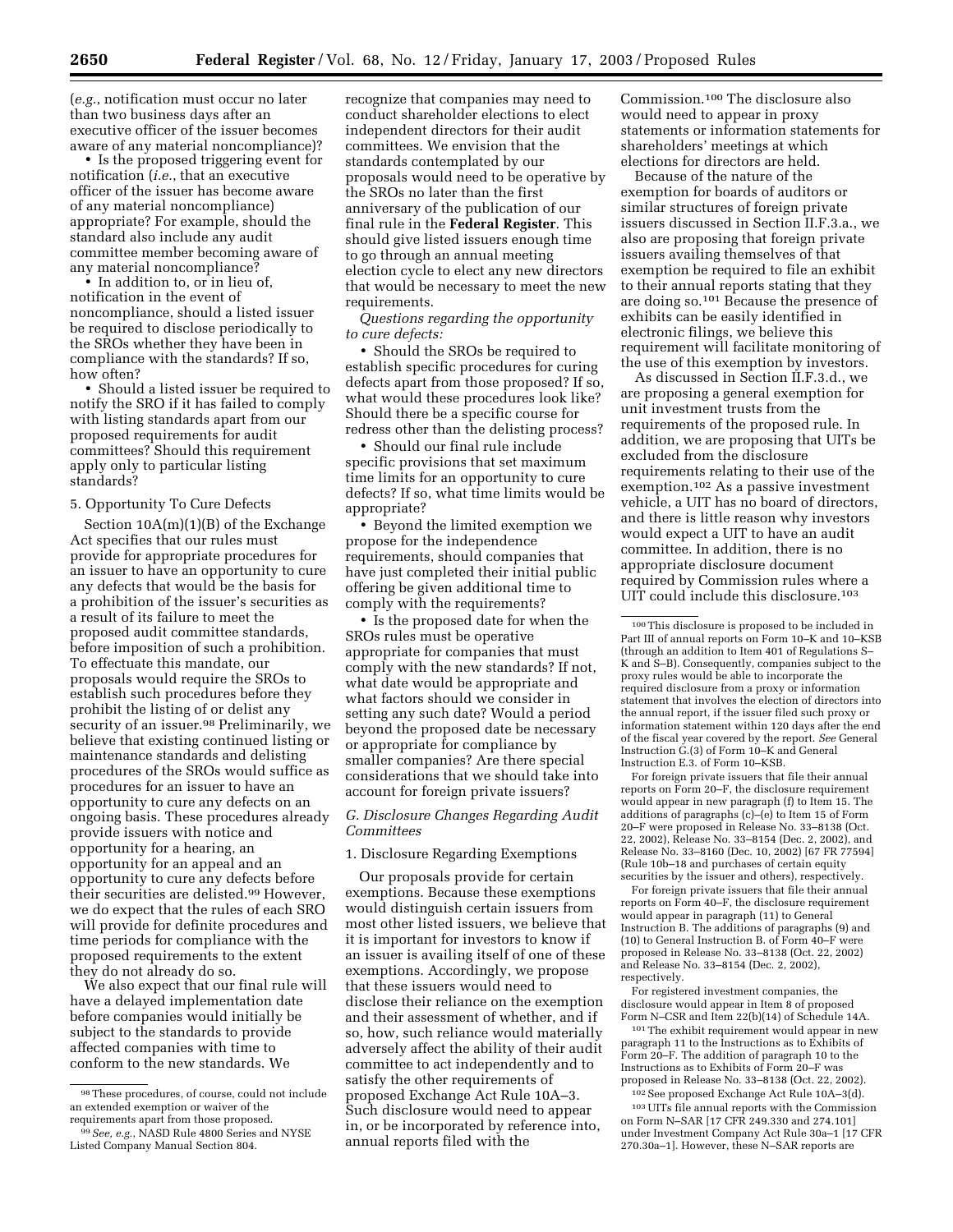(*e.g.*, notification must occur no later than two business days after an executive officer of the issuer becomes aware of any material noncompliance)?

• Is the proposed triggering event for notification (*i.e.*, that an executive officer of the issuer has become aware of any material noncompliance) appropriate? For example, should the standard also include any audit committee member becoming aware of any material noncompliance?

• In addition to, or in lieu of, notification in the event of noncompliance, should a listed issuer be required to disclose periodically to the SROs whether they have been in compliance with the standards? If so, how often?

• Should a listed issuer be required to notify the SRO if it has failed to comply with listing standards apart from our proposed requirements for audit committees? Should this requirement apply only to particular listing standards?

#### 5. Opportunity To Cure Defects

Section  $10A(m)(1)(B)$  of the Exchange Act specifies that our rules must provide for appropriate procedures for an issuer to have an opportunity to cure any defects that would be the basis for a prohibition of the issuer's securities as a result of its failure to meet the proposed audit committee standards, before imposition of such a prohibition. To effectuate this mandate, our proposals would require the SROs to establish such procedures before they prohibit the listing of or delist any security of an issuer.<sup>98</sup> Preliminarily, we believe that existing continued listing or maintenance standards and delisting procedures of the SROs would suffice as procedures for an issuer to have an opportunity to cure any defects on an ongoing basis. These procedures already provide issuers with notice and opportunity for a hearing, an opportunity for an appeal and an opportunity to cure any defects before their securities are delisted.99 However, we do expect that the rules of each SRO will provide for definite procedures and time periods for compliance with the proposed requirements to the extent they do not already do so.

We also expect that our final rule will have a delayed implementation date before companies would initially be subject to the standards to provide affected companies with time to conform to the new standards. We

recognize that companies may need to conduct shareholder elections to elect independent directors for their audit committees. We envision that the standards contemplated by our proposals would need to be operative by the SROs no later than the first anniversary of the publication of our final rule in the **Federal Register**. This should give listed issuers enough time to go through an annual meeting election cycle to elect any new directors that would be necessary to meet the new requirements.

*Questions regarding the opportunity to cure defects:*

• Should the SROs be required to establish specific procedures for curing defects apart from those proposed? If so, what would these procedures look like? Should there be a specific course for redress other than the delisting process?

• Should our final rule include specific provisions that set maximum time limits for an opportunity to cure defects? If so, what time limits would be appropriate?

• Beyond the limited exemption we propose for the independence requirements, should companies that have just completed their initial public offering be given additional time to comply with the requirements?

• Is the proposed date for when the SROs rules must be operative appropriate for companies that must comply with the new standards? If not, what date would be appropriate and what factors should we consider in setting any such date? Would a period beyond the proposed date be necessary or appropriate for compliance by smaller companies? Are there special considerations that we should take into account for foreign private issuers?

#### *G. Disclosure Changes Regarding Audit Committees*

1. Disclosure Regarding Exemptions

Our proposals provide for certain exemptions. Because these exemptions would distinguish certain issuers from most other listed issuers, we believe that it is important for investors to know if an issuer is availing itself of one of these exemptions. Accordingly, we propose that these issuers would need to disclose their reliance on the exemption and their assessment of whether, and if so, how, such reliance would materially adversely affect the ability of their audit committee to act independently and to satisfy the other requirements of proposed Exchange Act Rule 10A–3. Such disclosure would need to appear in, or be incorporated by reference into, annual reports filed with the

Commission.100 The disclosure also would need to appear in proxy statements or information statements for shareholders' meetings at which elections for directors are held.

Because of the nature of the exemption for boards of auditors or similar structures of foreign private issuers discussed in Section II.F.3.a., we also are proposing that foreign private issuers availing themselves of that exemption be required to file an exhibit to their annual reports stating that they are doing so.101 Because the presence of exhibits can be easily identified in electronic filings, we believe this requirement will facilitate monitoring of the use of this exemption by investors.

As discussed in Section II.F.3.d., we are proposing a general exemption for unit investment trusts from the requirements of the proposed rule. In addition, we are proposing that UITs be excluded from the disclosure requirements relating to their use of the exemption.102 As a passive investment vehicle, a UIT has no board of directors, and there is little reason why investors would expect a UIT to have an audit committee. In addition, there is no appropriate disclosure document required by Commission rules where a UIT could include this disclosure.<sup>103</sup>

For foreign private issuers that file their annual reports on Form 20–F, the disclosure requirement would appear in new paragraph (f) to Item 15. The additions of paragraphs (c)–(e) to Item 15 of Form 20–F were proposed in Release No. 33–8138 (Oct. 22, 2002), Release No. 33–8154 (Dec. 2, 2002), and Release No. 33–8160 (Dec. 10, 2002) [67 FR 77594] (Rule 10b–18 and purchases of certain equity securities by the issuer and others), respectively.

For foreign private issuers that file their annual reports on Form 40–F, the disclosure requirement would appear in paragraph (11) to General Instruction B. The additions of paragraphs (9) and (10) to General Instruction B. of Form 40–F were proposed in Release No. 33–8138 (Oct. 22, 2002) and Release No. 33–8154 (Dec. 2, 2002), respectively.

For registered investment companies, the disclosure would appear in Item 8 of proposed Form N–CSR and Item 22(b)(14) of Schedule 14A.

101The exhibit requirement would appear in new paragraph 11 to the Instructions as to Exhibits of Form 20–F. The addition of paragraph 10 to the Instructions as to Exhibits of Form 20–F was proposed in Release No. 33–8138 (Oct. 22, 2002).

102See proposed Exchange Act Rule 10A–3(d). 103UITs file annual reports with the Commission on Form N–SAR [17 CFR 249.330 and 274.101] under Investment Company Act Rule 30a–1 [17 CFR 270.30a–1]. However, these N–SAR reports are

<sup>98</sup>These procedures, of course, could not include an extended exemption or waiver of the requirements apart from those proposed.

<sup>99</sup>*See, e.g.*, NASD Rule 4800 Series and NYSE Listed Company Manual Section 804.

<sup>100</sup>This disclosure is proposed to be included in Part III of annual reports on Form 10–K and 10–KSB (through an addition to Item 401 of Regulations S– K and S–B). Consequently, companies subject to the proxy rules would be able to incorporate the required disclosure from a proxy or information statement that involves the election of directors into the annual report, if the issuer filed such proxy or information statement within 120 days after the end of the fiscal year covered by the report. *See* General Instruction G.(3) of Form 10–K and General Instruction E.3. of Form 10–KSB.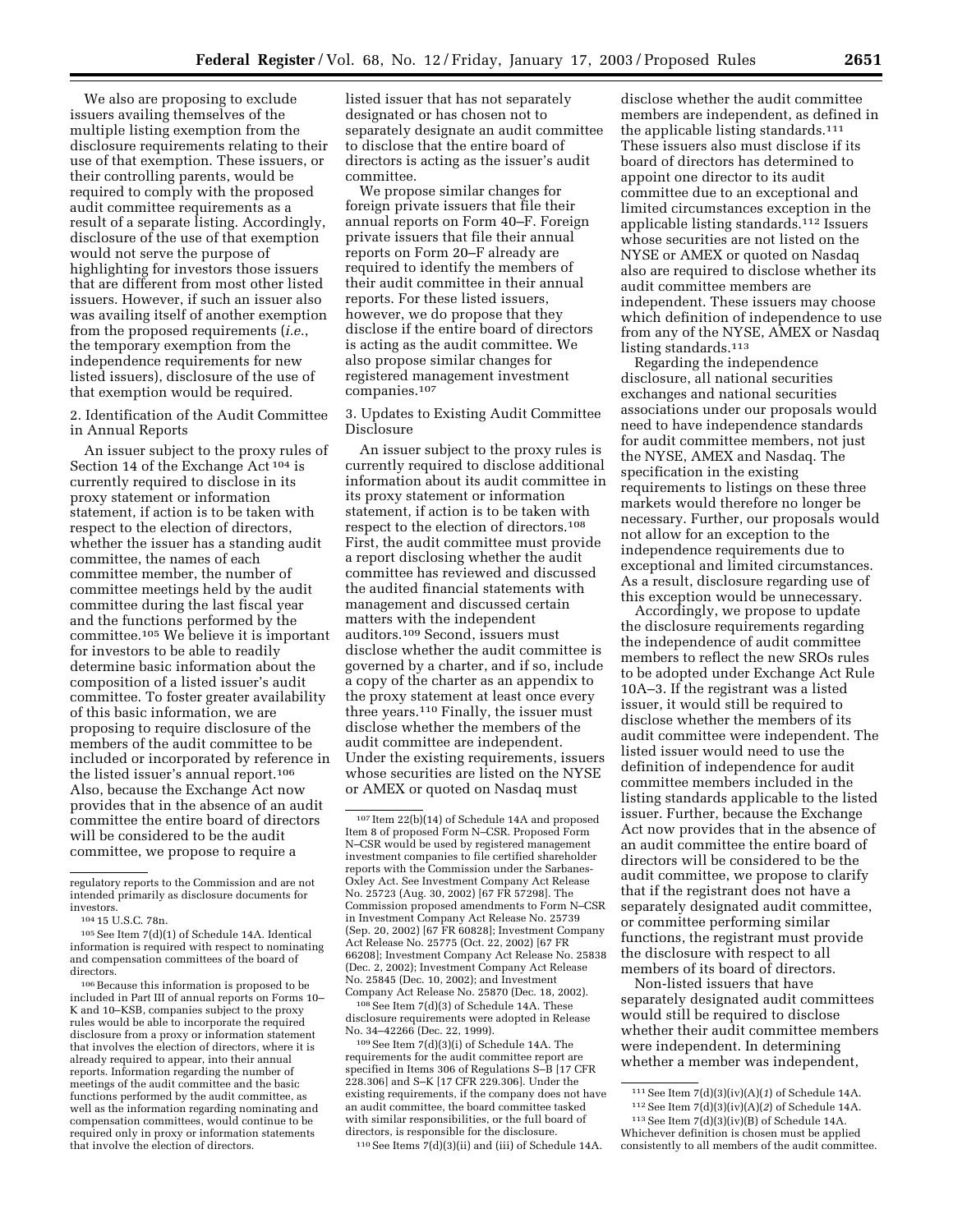We also are proposing to exclude issuers availing themselves of the multiple listing exemption from the disclosure requirements relating to their use of that exemption. These issuers, or their controlling parents, would be required to comply with the proposed audit committee requirements as a result of a separate listing. Accordingly, disclosure of the use of that exemption would not serve the purpose of highlighting for investors those issuers that are different from most other listed issuers. However, if such an issuer also was availing itself of another exemption from the proposed requirements (*i.e.*, the temporary exemption from the independence requirements for new listed issuers), disclosure of the use of that exemption would be required.

2. Identification of the Audit Committee in Annual Reports

An issuer subject to the proxy rules of Section 14 of the Exchange Act 104 is currently required to disclose in its proxy statement or information statement, if action is to be taken with respect to the election of directors, whether the issuer has a standing audit committee, the names of each committee member, the number of committee meetings held by the audit committee during the last fiscal year and the functions performed by the committee.105 We believe it is important for investors to be able to readily determine basic information about the composition of a listed issuer's audit committee. To foster greater availability of this basic information, we are proposing to require disclosure of the members of the audit committee to be included or incorporated by reference in the listed issuer's annual report.106 Also, because the Exchange Act now provides that in the absence of an audit committee the entire board of directors will be considered to be the audit committee, we propose to require a

<sup>106</sup> Because this information is proposed to be included in Part III of annual reports on Forms 10– K and 10–KSB, companies subject to the proxy rules would be able to incorporate the required disclosure from a proxy or information statement that involves the election of directors, where it is already required to appear, into their annual reports. Information regarding the number of meetings of the audit committee and the basic functions performed by the audit committee, as well as the information regarding nominating and compensation committees, would continue to be required only in proxy or information statements that involve the election of directors.

listed issuer that has not separately designated or has chosen not to separately designate an audit committee to disclose that the entire board of directors is acting as the issuer's audit committee.

We propose similar changes for foreign private issuers that file their annual reports on Form 40–F. Foreign private issuers that file their annual reports on Form 20–F already are required to identify the members of their audit committee in their annual reports. For these listed issuers, however, we do propose that they disclose if the entire board of directors is acting as the audit committee. We also propose similar changes for registered management investment companies.107

3. Updates to Existing Audit Committee Disclosure

An issuer subject to the proxy rules is currently required to disclose additional information about its audit committee in its proxy statement or information statement, if action is to be taken with respect to the election of directors.108 First, the audit committee must provide a report disclosing whether the audit committee has reviewed and discussed the audited financial statements with management and discussed certain matters with the independent auditors.109 Second, issuers must disclose whether the audit committee is governed by a charter, and if so, include a copy of the charter as an appendix to the proxy statement at least once every three years.110 Finally, the issuer must disclose whether the members of the audit committee are independent. Under the existing requirements, issuers whose securities are listed on the NYSE or AMEX or quoted on Nasdaq must

108See Item 7(d)(3) of Schedule 14A. These disclosure requirements were adopted in Release No. 34–42266 (Dec. 22, 1999).

109See Item 7(d)(3)(i) of Schedule 14A. The requirements for the audit committee report are specified in Items 306 of Regulations S–B [17 CFR 228.306] and S–K [17 CFR 229.306]. Under the existing requirements, if the company does not have an audit committee, the board committee tasked with similar responsibilities, or the full board of directors, is responsible for the disclosure.

110See Items 7(d)(3)(ii) and (iii) of Schedule 14A.

disclose whether the audit committee members are independent, as defined in the applicable listing standards.111 These issuers also must disclose if its board of directors has determined to appoint one director to its audit committee due to an exceptional and limited circumstances exception in the applicable listing standards.112 Issuers whose securities are not listed on the NYSE or AMEX or quoted on Nasdaq also are required to disclose whether its audit committee members are independent. These issuers may choose which definition of independence to use from any of the NYSE, AMEX or Nasdaq listing standards.113

Regarding the independence disclosure, all national securities exchanges and national securities associations under our proposals would need to have independence standards for audit committee members, not just the NYSE, AMEX and Nasdaq. The specification in the existing requirements to listings on these three markets would therefore no longer be necessary. Further, our proposals would not allow for an exception to the independence requirements due to exceptional and limited circumstances. As a result, disclosure regarding use of this exception would be unnecessary.

Accordingly, we propose to update the disclosure requirements regarding the independence of audit committee members to reflect the new SROs rules to be adopted under Exchange Act Rule 10A–3. If the registrant was a listed issuer, it would still be required to disclose whether the members of its audit committee were independent. The listed issuer would need to use the definition of independence for audit committee members included in the listing standards applicable to the listed issuer. Further, because the Exchange Act now provides that in the absence of an audit committee the entire board of directors will be considered to be the audit committee, we propose to clarify that if the registrant does not have a separately designated audit committee, or committee performing similar functions, the registrant must provide the disclosure with respect to all members of its board of directors.

Non-listed issuers that have separately designated audit committees would still be required to disclose whether their audit committee members were independent. In determining whether a member was independent,

regulatory reports to the Commission and are not intended primarily as disclosure documents for investors.

<sup>104</sup> 15 U.S.C. 78n.

<sup>105</sup>See Item 7(d)(1) of Schedule 14A. Identical information is required with respect to nominating and compensation committees of the board of directors.

<sup>107</sup> Item 22(b)(14) of Schedule 14A and proposed Item 8 of proposed Form N–CSR. Proposed Form N–CSR would be used by registered management investment companies to file certified shareholder reports with the Commission under the Sarbanes-Oxley Act. See Investment Company Act Release No. 25723 (Aug. 30, 2002) [67 FR 57298]. The Commission proposed amendments to Form N–CSR in Investment Company Act Release No. 25739 (Sep. 20, 2002) [67 FR 60828]; Investment Company Act Release No. 25775 (Oct. 22, 2002) [67 FR 66208]; Investment Company Act Release No. 25838 (Dec. 2, 2002); Investment Company Act Release No. 25845 (Dec. 10, 2002); and Investment Company Act Release No. 25870 (Dec. 18, 2002).

<sup>111</sup>See Item 7(d)(3)(iv)(A)(*1*) of Schedule 14A.

 $^{112}$  See Item  $7(d)(3)(\mathrm{i}v)(A)(2)$  of Schedule 14A. 113See Item 7(d)(3)(iv)(B) of Schedule 14A. Whichever definition is chosen must be applied consistently to all members of the audit committee.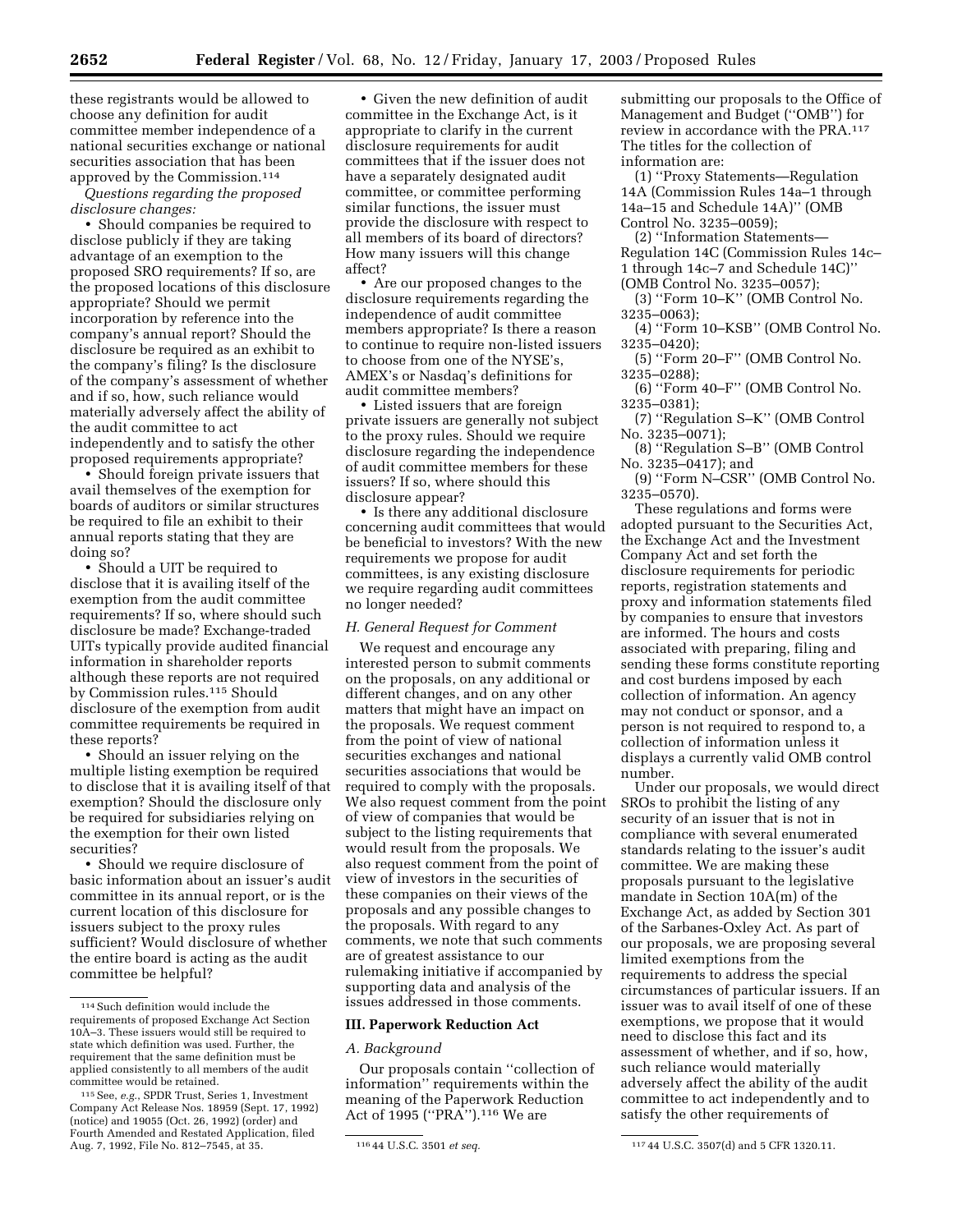these registrants would be allowed to choose any definition for audit committee member independence of a national securities exchange or national securities association that has been approved by the Commission.114

*Questions regarding the proposed disclosure changes:*

• Should companies be required to disclose publicly if they are taking advantage of an exemption to the proposed SRO requirements? If so, are the proposed locations of this disclosure appropriate? Should we permit incorporation by reference into the company's annual report? Should the disclosure be required as an exhibit to the company's filing? Is the disclosure of the company's assessment of whether and if so, how, such reliance would materially adversely affect the ability of the audit committee to act independently and to satisfy the other proposed requirements appropriate?

• Should foreign private issuers that avail themselves of the exemption for boards of auditors or similar structures be required to file an exhibit to their annual reports stating that they are doing so?

• Should a UIT be required to disclose that it is availing itself of the exemption from the audit committee requirements? If so, where should such disclosure be made? Exchange-traded UITs typically provide audited financial information in shareholder reports although these reports are not required by Commission rules.115 Should disclosure of the exemption from audit committee requirements be required in these reports?

• Should an issuer relying on the multiple listing exemption be required to disclose that it is availing itself of that exemption? Should the disclosure only be required for subsidiaries relying on the exemption for their own listed securities?

• Should we require disclosure of basic information about an issuer's audit committee in its annual report, or is the current location of this disclosure for issuers subject to the proxy rules sufficient? Would disclosure of whether the entire board is acting as the audit committee be helpful?

• Given the new definition of audit committee in the Exchange Act, is it appropriate to clarify in the current disclosure requirements for audit committees that if the issuer does not have a separately designated audit committee, or committee performing similar functions, the issuer must provide the disclosure with respect to all members of its board of directors? How many issuers will this change affect?

• Are our proposed changes to the disclosure requirements regarding the independence of audit committee members appropriate? Is there a reason to continue to require non-listed issuers to choose from one of the NYSE's, AMEX's or Nasdaq's definitions for audit committee members?

• Listed issuers that are foreign private issuers are generally not subject to the proxy rules. Should we require disclosure regarding the independence of audit committee members for these issuers? If so, where should this disclosure appear?

• Is there any additional disclosure concerning audit committees that would be beneficial to investors? With the new requirements we propose for audit committees, is any existing disclosure we require regarding audit committees no longer needed?

# *H. General Request for Comment*

We request and encourage any interested person to submit comments on the proposals, on any additional or different changes, and on any other matters that might have an impact on the proposals. We request comment from the point of view of national securities exchanges and national securities associations that would be required to comply with the proposals. We also request comment from the point of view of companies that would be subject to the listing requirements that would result from the proposals. We also request comment from the point of view of investors in the securities of these companies on their views of the proposals and any possible changes to the proposals. With regard to any comments, we note that such comments are of greatest assistance to our rulemaking initiative if accompanied by supporting data and analysis of the issues addressed in those comments.

#### **III. Paperwork Reduction Act**

#### *A. Background*

Our proposals contain ''collection of information'' requirements within the meaning of the Paperwork Reduction Act of 1995 (''PRA'').116 We are

submitting our proposals to the Office of Management and Budget (''OMB'') for review in accordance with the PRA.117 The titles for the collection of information are:

(1) ''Proxy Statements—Regulation 14A (Commission Rules 14a–1 through 14a–15 and Schedule 14A)'' (OMB Control No. 3235–0059);

(2) ''Information Statements— Regulation 14C (Commission Rules 14c– 1 through 14c–7 and Schedule 14C)'' (OMB Control No. 3235–0057);

(3) ''Form 10–K'' (OMB Control No. 3235–0063);

(4) ''Form 10–KSB'' (OMB Control No. 3235–0420);

(5) ''Form 20–F'' (OMB Control No. 3235–0288);

(6) ''Form 40–F'' (OMB Control No. 3235–0381);

(7) ''Regulation S–K'' (OMB Control No. 3235–0071);

(8) ''Regulation S–B'' (OMB Control No. 3235–0417); and

(9) ''Form N–CSR'' (OMB Control No. 3235–0570).

These regulations and forms were adopted pursuant to the Securities Act, the Exchange Act and the Investment Company Act and set forth the disclosure requirements for periodic reports, registration statements and proxy and information statements filed by companies to ensure that investors are informed. The hours and costs associated with preparing, filing and sending these forms constitute reporting and cost burdens imposed by each collection of information. An agency may not conduct or sponsor, and a person is not required to respond to, a collection of information unless it displays a currently valid OMB control number.

Under our proposals, we would direct SROs to prohibit the listing of any security of an issuer that is not in compliance with several enumerated standards relating to the issuer's audit committee. We are making these proposals pursuant to the legislative mandate in Section 10A(m) of the Exchange Act, as added by Section 301 of the Sarbanes-Oxley Act. As part of our proposals, we are proposing several limited exemptions from the requirements to address the special circumstances of particular issuers. If an issuer was to avail itself of one of these exemptions, we propose that it would need to disclose this fact and its assessment of whether, and if so, how, such reliance would materially adversely affect the ability of the audit committee to act independently and to satisfy the other requirements of

 $^{\rm 114}\!\!$  Such definition would include the requirements of proposed Exchange Act Section 10A–3. These issuers would still be required to state which definition was used. Further, the requirement that the same definition must be applied consistently to all members of the audit committee would be retained.

<sup>115</sup>See, *e.g.*, SPDR Trust, Series 1, Investment Company Act Release Nos. 18959 (Sept. 17, 1992) (notice) and 19055 (Oct. 26, 1992) (order) and Fourth Amended and Restated Application, filed Aug. 7, 1992, File No. 812–7545, at 35. 116 44 U.S.C. 3501 *et seq.* 117 44 U.S.C. 3507(d) and 5 CFR 1320.11.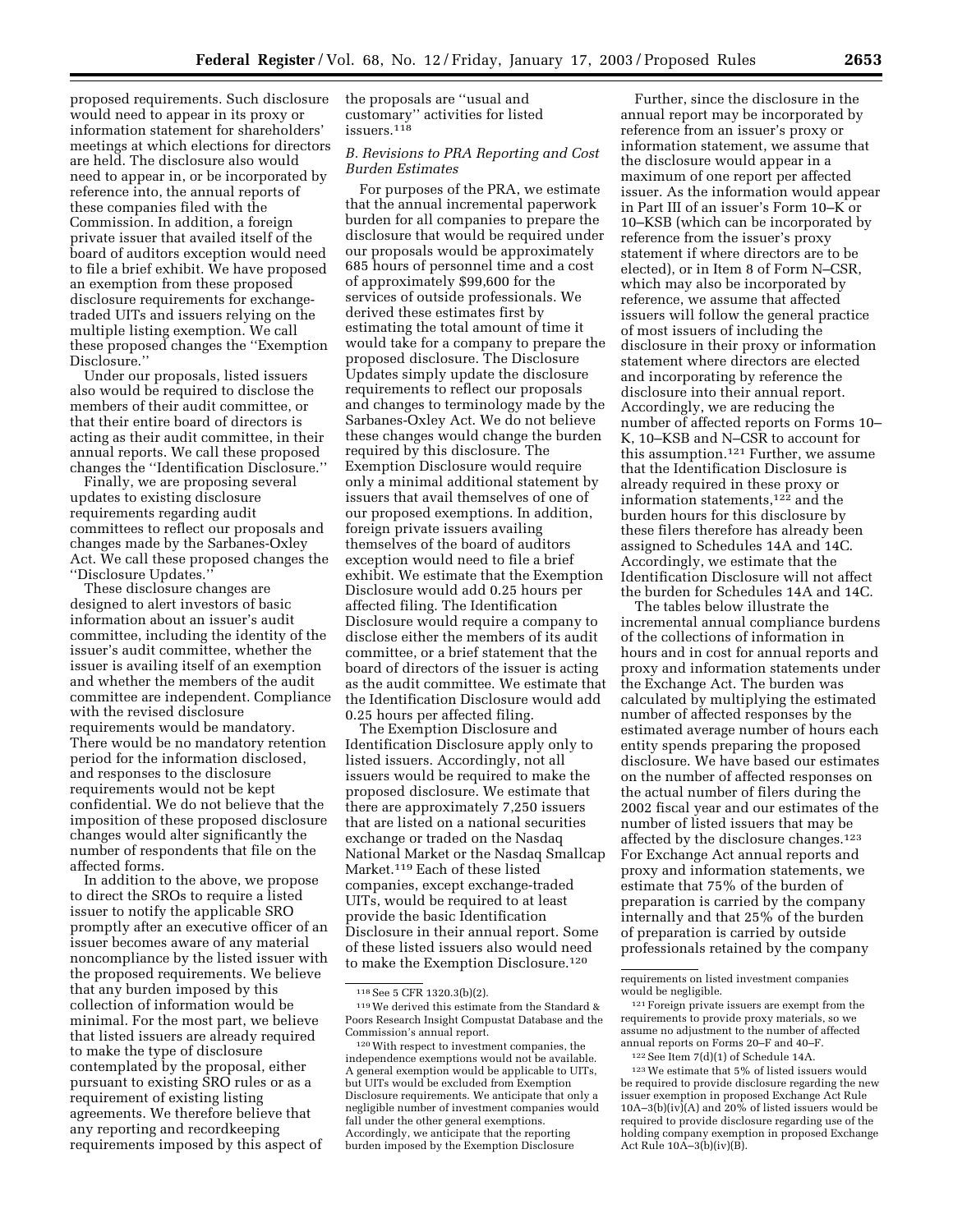proposed requirements. Such disclosure would need to appear in its proxy or information statement for shareholders' meetings at which elections for directors are held. The disclosure also would need to appear in, or be incorporated by reference into, the annual reports of these companies filed with the Commission. In addition, a foreign private issuer that availed itself of the board of auditors exception would need to file a brief exhibit. We have proposed an exemption from these proposed disclosure requirements for exchangetraded UITs and issuers relying on the multiple listing exemption. We call these proposed changes the ''Exemption Disclosure.''

Under our proposals, listed issuers also would be required to disclose the members of their audit committee, or that their entire board of directors is acting as their audit committee, in their annual reports. We call these proposed changes the ''Identification Disclosure.''

Finally, we are proposing several updates to existing disclosure requirements regarding audit committees to reflect our proposals and changes made by the Sarbanes-Oxley Act. We call these proposed changes the ''Disclosure Updates.''

These disclosure changes are designed to alert investors of basic information about an issuer's audit committee, including the identity of the issuer's audit committee, whether the issuer is availing itself of an exemption and whether the members of the audit committee are independent. Compliance with the revised disclosure requirements would be mandatory. There would be no mandatory retention period for the information disclosed, and responses to the disclosure requirements would not be kept confidential. We do not believe that the imposition of these proposed disclosure changes would alter significantly the number of respondents that file on the affected forms.

In addition to the above, we propose to direct the SROs to require a listed issuer to notify the applicable SRO promptly after an executive officer of an issuer becomes aware of any material noncompliance by the listed issuer with the proposed requirements. We believe that any burden imposed by this collection of information would be minimal. For the most part, we believe that listed issuers are already required to make the type of disclosure contemplated by the proposal, either pursuant to existing SRO rules or as a requirement of existing listing agreements. We therefore believe that any reporting and recordkeeping requirements imposed by this aspect of

the proposals are ''usual and customary'' activities for listed issuers.118

#### *B. Revisions to PRA Reporting and Cost Burden Estimates*

For purposes of the PRA, we estimate that the annual incremental paperwork burden for all companies to prepare the disclosure that would be required under our proposals would be approximately 685 hours of personnel time and a cost of approximately \$99,600 for the services of outside professionals. We derived these estimates first by estimating the total amount of time it would take for a company to prepare the proposed disclosure. The Disclosure Updates simply update the disclosure requirements to reflect our proposals and changes to terminology made by the Sarbanes-Oxley Act. We do not believe these changes would change the burden required by this disclosure. The Exemption Disclosure would require only a minimal additional statement by issuers that avail themselves of one of our proposed exemptions. In addition, foreign private issuers availing themselves of the board of auditors exception would need to file a brief exhibit. We estimate that the Exemption Disclosure would add 0.25 hours per affected filing. The Identification Disclosure would require a company to disclose either the members of its audit committee, or a brief statement that the board of directors of the issuer is acting as the audit committee. We estimate that the Identification Disclosure would add 0.25 hours per affected filing.

The Exemption Disclosure and Identification Disclosure apply only to listed issuers. Accordingly, not all issuers would be required to make the proposed disclosure. We estimate that there are approximately 7,250 issuers that are listed on a national securities exchange or traded on the Nasdaq National Market or the Nasdaq Smallcap Market.119 Each of these listed companies, except exchange-traded UITs, would be required to at least provide the basic Identification Disclosure in their annual report. Some of these listed issuers also would need to make the Exemption Disclosure.120

Further, since the disclosure in the annual report may be incorporated by reference from an issuer's proxy or information statement, we assume that the disclosure would appear in a maximum of one report per affected issuer. As the information would appear in Part III of an issuer's Form 10–K or 10–KSB (which can be incorporated by reference from the issuer's proxy statement if where directors are to be elected), or in Item 8 of Form N–CSR, which may also be incorporated by reference, we assume that affected issuers will follow the general practice of most issuers of including the disclosure in their proxy or information statement where directors are elected and incorporating by reference the disclosure into their annual report. Accordingly, we are reducing the number of affected reports on Forms 10– K, 10–KSB and N–CSR to account for this assumption.121 Further, we assume that the Identification Disclosure is already required in these proxy or information statements,122 and the burden hours for this disclosure by these filers therefore has already been assigned to Schedules 14A and 14C. Accordingly, we estimate that the Identification Disclosure will not affect the burden for Schedules 14A and 14C.

The tables below illustrate the incremental annual compliance burdens of the collections of information in hours and in cost for annual reports and proxy and information statements under the Exchange Act. The burden was calculated by multiplying the estimated number of affected responses by the estimated average number of hours each entity spends preparing the proposed disclosure. We have based our estimates on the number of affected responses on the actual number of filers during the 2002 fiscal year and our estimates of the number of listed issuers that may be affected by the disclosure changes.123 For Exchange Act annual reports and proxy and information statements, we estimate that 75% of the burden of preparation is carried by the company internally and that 25% of the burden of preparation is carried by outside professionals retained by the company

<sup>118</sup>See 5 CFR 1320.3(b)(2).

<sup>119</sup>We derived this estimate from the Standard & Poors Research Insight Compustat Database and the Commission's annual report.

<sup>120</sup>With respect to investment companies, the independence exemptions would not be available. A general exemption would be applicable to UITs, but UITs would be excluded from Exemption Disclosure requirements. We anticipate that only a negligible number of investment companies would fall under the other general exemptions. Accordingly, we anticipate that the reporting burden imposed by the Exemption Disclosure

requirements on listed investment companies would be negligible.

<sup>121</sup>Foreign private issuers are exempt from the requirements to provide proxy materials, so we assume no adjustment to the number of affected annual reports on Forms 20–F and 40–F.

<sup>122</sup>See Item 7(d)(1) of Schedule 14A.

<sup>123</sup>We estimate that 5% of listed issuers would be required to provide disclosure regarding the new issuer exemption in proposed Exchange Act Rule 10A–3(b)(iv)(A) and  $20\%$  of listed issuers would be required to provide disclosure regarding use of the holding company exemption in proposed Exchange Act Rule  $10\overline{A} - 3(\overline{b})(iv)(\overline{B})$ .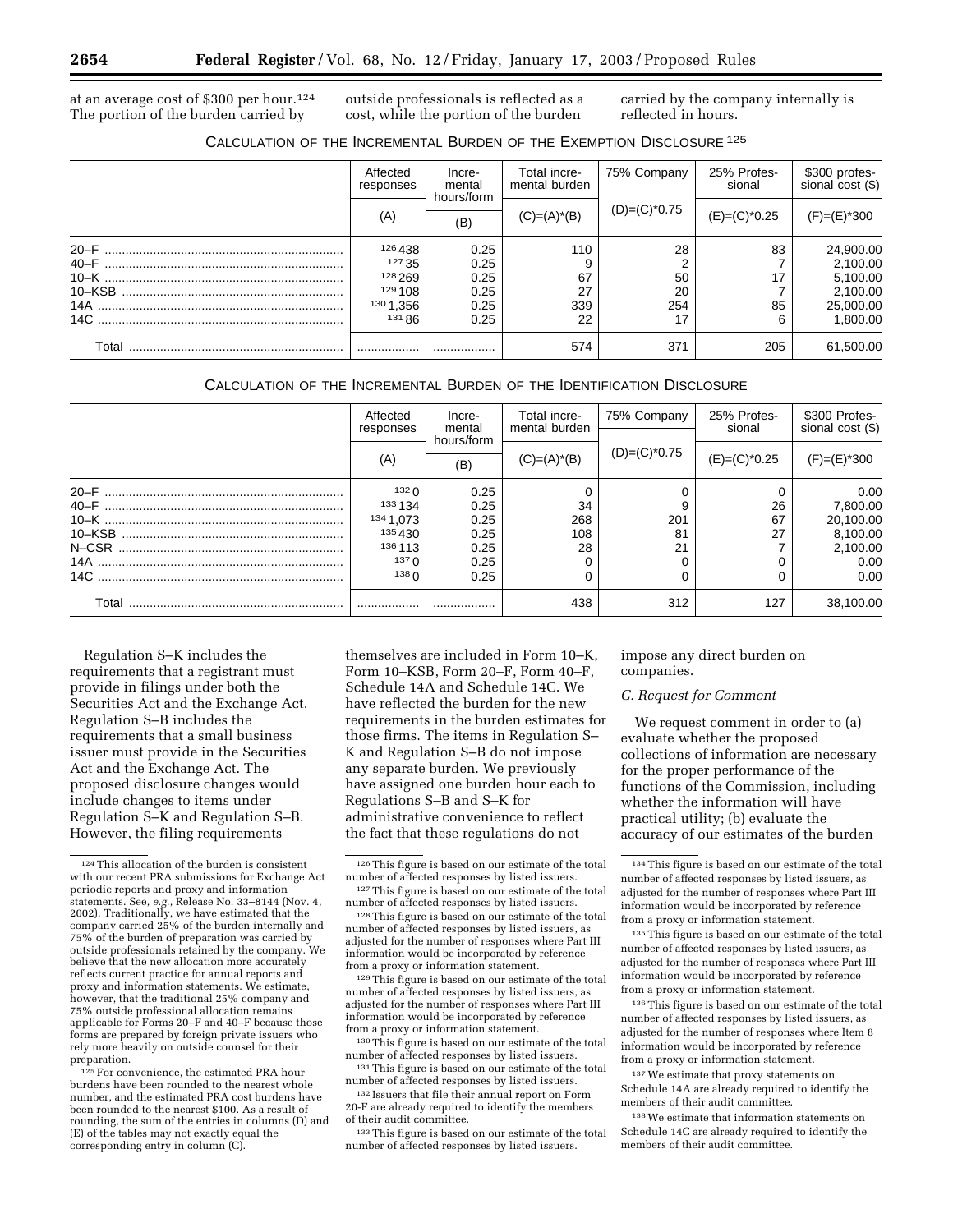at an average cost of \$300 per hour.124 The portion of the burden carried by

outside professionals is reflected as a cost, while the portion of the burden

carried by the company internally is reflected in hours.

|       | Affected<br>responses                                                      | Incre-<br>mental<br>hours/form<br>(B)        | Total incre-<br>mental burden | 75% Company<br>$(D)=(C)^*0.75$ | 25% Profes-<br>sional | \$300 profes-<br>sional cost (\$)                                      |
|-------|----------------------------------------------------------------------------|----------------------------------------------|-------------------------------|--------------------------------|-----------------------|------------------------------------------------------------------------|
|       | (A)                                                                        |                                              | $(C)=(A)^*(B)$                |                                | $(E)=(C)^*0.25$       | $(F)=(E)^*300$                                                         |
|       | 126 438<br>127 35<br>128 269<br>129 108<br>130 1,356<br>131 B <sub>6</sub> | 0.25<br>0.25<br>0.25<br>0.25<br>0.25<br>0.25 | 110<br>67<br>27<br>339<br>22  | 28<br>50<br>20<br>254<br>17    | 83<br>17<br>85<br>6   | 24,900.00<br>2,100.00<br>5,100.00<br>2,100.00<br>25,000.00<br>1,800.00 |
| Total |                                                                            |                                              | 574                           | 371                            | 205                   | 61,500.00                                                              |

# CALCULATION OF THE INCREMENTAL BURDEN OF THE IDENTIFICATION DISCLOSURE

|        | Affected<br>responses        | Incre-<br>mental<br>hours/form<br>(B) | Total incre-<br>mental burden | 75% Company<br>$(D)=(C)^*0.75$ | 25% Profes-<br>sional | \$300 Profes-<br>sional cost (\$) |
|--------|------------------------------|---------------------------------------|-------------------------------|--------------------------------|-----------------------|-----------------------------------|
|        | (A)                          |                                       | $(C)=(A)^*(B)$                |                                | $(E)=(C)^*0.25$       | $(F)=(E)^*300$                    |
| $20-F$ | 132 <sub>0</sub><br>133 1 34 | 0.25<br>0.25                          | 34                            | 9                              | 26                    | 0.00<br>7,800.00                  |
|        | 134 1,073<br>135430          | 0.25<br>0.25                          | 268<br>108                    | 201<br>81                      | 67<br>27              | 20,100.00<br>8,100.00             |
|        | 136 113<br>137 $\Omega$      | 0.25<br>0.25                          | 28                            | 21                             |                       | 2,100.00<br>0.00                  |
|        | 138 <sub>0</sub>             | 0.25                                  |                               |                                |                       | 0.00                              |
| Total  | .                            |                                       | 438                           | 312                            | 127                   | 38,100.00                         |

Regulation S–K includes the requirements that a registrant must provide in filings under both the Securities Act and the Exchange Act. Regulation S–B includes the requirements that a small business issuer must provide in the Securities Act and the Exchange Act. The proposed disclosure changes would include changes to items under Regulation S–K and Regulation S–B. However, the filing requirements

 $^{125}\mathrm{For}$  convenience, the estimated PRA hour burdens have been rounded to the nearest whole number, and the estimated PRA cost burdens have been rounded to the nearest \$100. As a result of rounding, the sum of the entries in columns (D) and (E) of the tables may not exactly equal the corresponding entry in column (C).

themselves are included in Form 10–K, Form 10–KSB, Form 20–F, Form 40–F, Schedule 14A and Schedule 14C. We have reflected the burden for the new requirements in the burden estimates for those firms. The items in Regulation S– K and Regulation S–B do not impose any separate burden. We previously have assigned one burden hour each to Regulations S–B and S–K for administrative convenience to reflect the fact that these regulations do not

129This figure is based on our estimate of the total number of affected responses by listed issuers, as adjusted for the number of responses where Part III information would be incorporated by reference from a proxy or information statement.

130This figure is based on our estimate of the total number of affected responses by listed issuers. <sup>131</sup>This figure is based on our estimate of the total

number of affected responses by listed issuers. 132 Issuers that file their annual report on Form

20-F are already required to identify the members of their audit committee.

133This figure is based on our estimate of the total number of affected responses by listed issuers.

impose any direct burden on companies.

# *C. Request for Comment*

We request comment in order to (a) evaluate whether the proposed collections of information are necessary for the proper performance of the functions of the Commission, including whether the information will have practical utility; (b) evaluate the accuracy of our estimates of the burden

135This figure is based on our estimate of the total number of affected responses by listed issuers, as adjusted for the number of responses where Part III information would be incorporated by reference from a proxy or information statement.

136This figure is based on our estimate of the total number of affected responses by listed issuers, as adjusted for the number of responses where Item 8 information would be incorporated by reference from a proxy or information statement.

137We estimate that proxy statements on Schedule 14A are already required to identify the members of their audit committee.

138We estimate that information statements on Schedule 14C are already required to identify the members of their audit committee.

<sup>124</sup>This allocation of the burden is consistent with our recent PRA submissions for Exchange Act periodic reports and proxy and information statements. See, *e.g.*, Release No. 33–8144 (Nov. 4, 2002). Traditionally, we have estimated that the company carried 25% of the burden internally and 75% of the burden of preparation was carried by outside professionals retained by the company. We believe that the new allocation more accurately reflects current practice for annual reports and proxy and information statements. We estimate, however, that the traditional 25% company and 75% outside professional allocation remains applicable for Forms 20–F and 40–F because those forms are prepared by foreign private issuers who rely more heavily on outside counsel for their preparation.

 $^{\rm 126}\!$  This figure is based on our estimate of the total number of affected responses by listed issuers.

<sup>127</sup>This figure is based on our estimate of the total number of affected responses by listed issuers.

<sup>128</sup>This figure is based on our estimate of the total number of affected responses by listed issuers, as adjusted for the number of responses where Part III information would be incorporated by reference from a proxy or information statement.

<sup>134</sup>This figure is based on our estimate of the total number of affected responses by listed issuers, as adjusted for the number of responses where Part III information would be incorporated by reference from a proxy or information statement.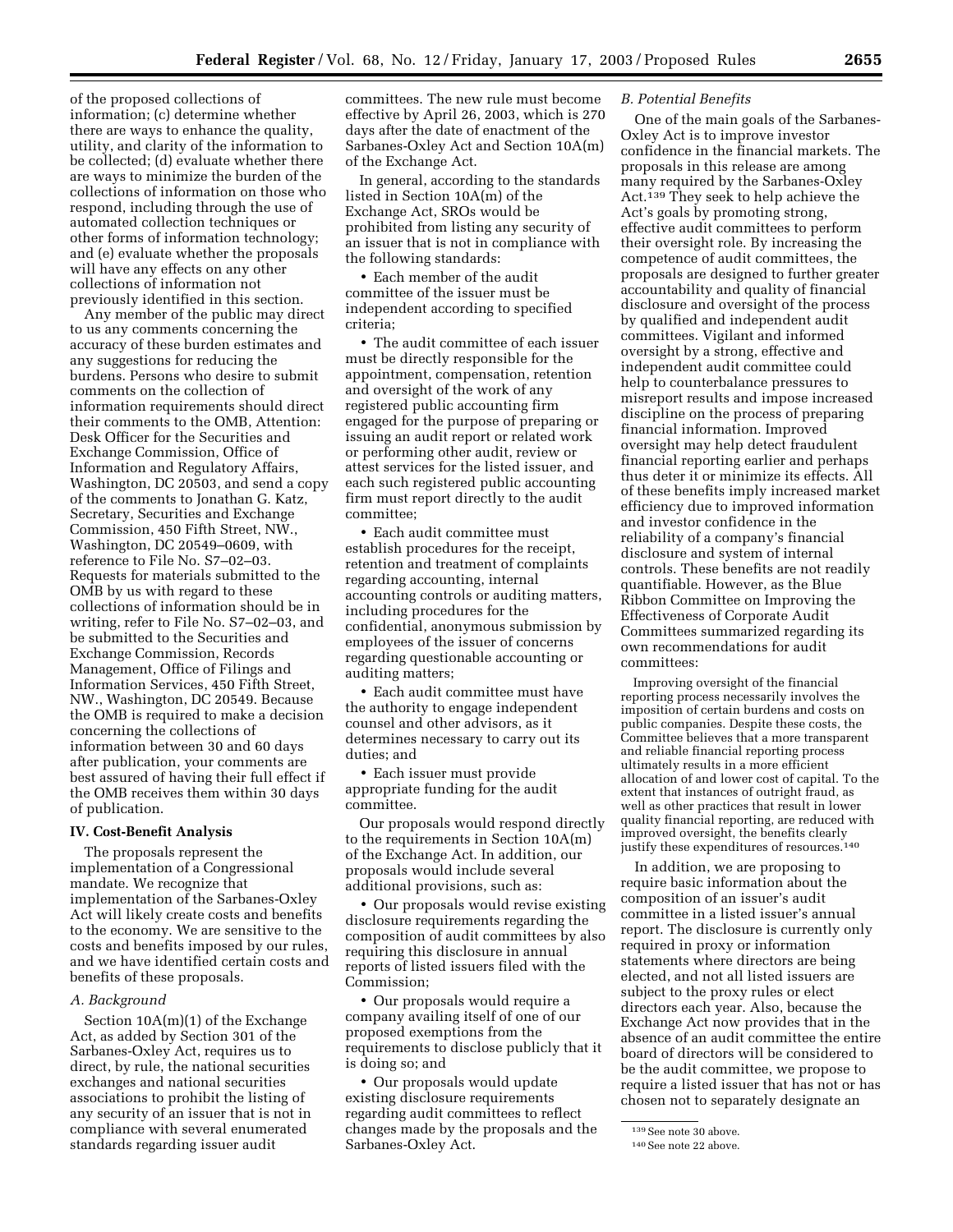of the proposed collections of information; (c) determine whether there are ways to enhance the quality, utility, and clarity of the information to be collected; (d) evaluate whether there are ways to minimize the burden of the collections of information on those who respond, including through the use of automated collection techniques or other forms of information technology; and (e) evaluate whether the proposals will have any effects on any other collections of information not previously identified in this section.

Any member of the public may direct to us any comments concerning the accuracy of these burden estimates and any suggestions for reducing the burdens. Persons who desire to submit comments on the collection of information requirements should direct their comments to the OMB, Attention: Desk Officer for the Securities and Exchange Commission, Office of Information and Regulatory Affairs, Washington, DC 20503, and send a copy of the comments to Jonathan G. Katz, Secretary, Securities and Exchange Commission, 450 Fifth Street, NW., Washington, DC 20549–0609, with reference to File No. S7–02–03. Requests for materials submitted to the OMB by us with regard to these collections of information should be in writing, refer to File No. S7–02–03, and be submitted to the Securities and Exchange Commission, Records Management, Office of Filings and Information Services, 450 Fifth Street, NW., Washington, DC 20549. Because the OMB is required to make a decision concerning the collections of information between 30 and 60 days after publication, your comments are best assured of having their full effect if the OMB receives them within 30 days of publication.

#### **IV. Cost-Benefit Analysis**

The proposals represent the implementation of a Congressional mandate. We recognize that implementation of the Sarbanes-Oxley Act will likely create costs and benefits to the economy. We are sensitive to the costs and benefits imposed by our rules, and we have identified certain costs and benefits of these proposals.

#### *A. Background*

Section 10A(m)(1) of the Exchange Act, as added by Section 301 of the Sarbanes-Oxley Act, requires us to direct, by rule, the national securities exchanges and national securities associations to prohibit the listing of any security of an issuer that is not in compliance with several enumerated standards regarding issuer audit

committees. The new rule must become effective by April 26, 2003, which is 270 days after the date of enactment of the Sarbanes-Oxley Act and Section 10A(m) of the Exchange Act.

In general, according to the standards listed in Section 10A(m) of the Exchange Act, SROs would be prohibited from listing any security of an issuer that is not in compliance with the following standards:

• Each member of the audit committee of the issuer must be independent according to specified criteria;

• The audit committee of each issuer must be directly responsible for the appointment, compensation, retention and oversight of the work of any registered public accounting firm engaged for the purpose of preparing or issuing an audit report or related work or performing other audit, review or attest services for the listed issuer, and each such registered public accounting firm must report directly to the audit committee;

• Each audit committee must establish procedures for the receipt, retention and treatment of complaints regarding accounting, internal accounting controls or auditing matters, including procedures for the confidential, anonymous submission by employees of the issuer of concerns regarding questionable accounting or auditing matters;

• Each audit committee must have the authority to engage independent counsel and other advisors, as it determines necessary to carry out its duties; and

• Each issuer must provide appropriate funding for the audit committee.

Our proposals would respond directly to the requirements in Section 10A(m) of the Exchange Act. In addition, our proposals would include several additional provisions, such as:

• Our proposals would revise existing disclosure requirements regarding the composition of audit committees by also requiring this disclosure in annual reports of listed issuers filed with the Commission;

• Our proposals would require a company availing itself of one of our proposed exemptions from the requirements to disclose publicly that it is doing so; and

• Our proposals would update existing disclosure requirements regarding audit committees to reflect changes made by the proposals and the Sarbanes-Oxley Act.

#### *B. Potential Benefits*

One of the main goals of the Sarbanes-Oxley Act is to improve investor confidence in the financial markets. The proposals in this release are among many required by the Sarbanes-Oxley Act.139 They seek to help achieve the Act's goals by promoting strong, effective audit committees to perform their oversight role. By increasing the competence of audit committees, the proposals are designed to further greater accountability and quality of financial disclosure and oversight of the process by qualified and independent audit committees. Vigilant and informed oversight by a strong, effective and independent audit committee could help to counterbalance pressures to misreport results and impose increased discipline on the process of preparing financial information. Improved oversight may help detect fraudulent financial reporting earlier and perhaps thus deter it or minimize its effects. All of these benefits imply increased market efficiency due to improved information and investor confidence in the reliability of a company's financial disclosure and system of internal controls. These benefits are not readily quantifiable. However, as the Blue Ribbon Committee on Improving the Effectiveness of Corporate Audit Committees summarized regarding its own recommendations for audit committees:

Improving oversight of the financial reporting process necessarily involves the imposition of certain burdens and costs on public companies. Despite these costs, the Committee believes that a more transparent and reliable financial reporting process ultimately results in a more efficient allocation of and lower cost of capital. To the extent that instances of outright fraud, as well as other practices that result in lower quality financial reporting, are reduced with improved oversight, the benefits clearly justify these expenditures of resources.<sup>140</sup>

In addition, we are proposing to require basic information about the composition of an issuer's audit committee in a listed issuer's annual report. The disclosure is currently only required in proxy or information statements where directors are being elected, and not all listed issuers are subject to the proxy rules or elect directors each year. Also, because the Exchange Act now provides that in the absence of an audit committee the entire board of directors will be considered to be the audit committee, we propose to require a listed issuer that has not or has chosen not to separately designate an

<sup>139</sup>See note 30 above.

<sup>140</sup>See note 22 above.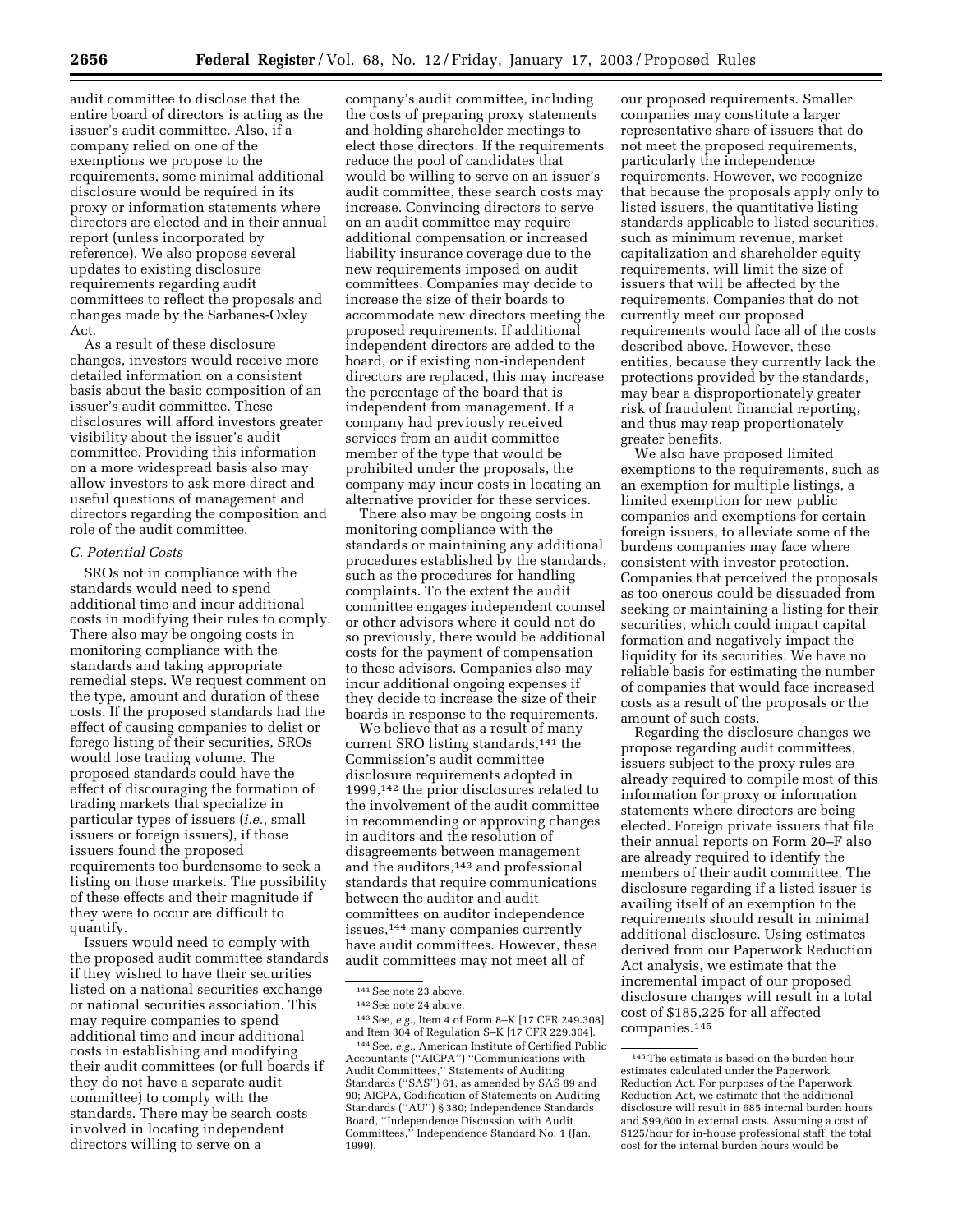audit committee to disclose that the entire board of directors is acting as the issuer's audit committee. Also, if a company relied on one of the exemptions we propose to the requirements, some minimal additional disclosure would be required in its proxy or information statements where directors are elected and in their annual report (unless incorporated by reference). We also propose several updates to existing disclosure requirements regarding audit committees to reflect the proposals and changes made by the Sarbanes-Oxley Act.

As a result of these disclosure changes, investors would receive more detailed information on a consistent basis about the basic composition of an issuer's audit committee. These disclosures will afford investors greater visibility about the issuer's audit committee. Providing this information on a more widespread basis also may allow investors to ask more direct and useful questions of management and directors regarding the composition and role of the audit committee.

#### *C. Potential Costs*

SROs not in compliance with the standards would need to spend additional time and incur additional costs in modifying their rules to comply. There also may be ongoing costs in monitoring compliance with the standards and taking appropriate remedial steps. We request comment on the type, amount and duration of these costs. If the proposed standards had the effect of causing companies to delist or forego listing of their securities, SROs would lose trading volume. The proposed standards could have the effect of discouraging the formation of trading markets that specialize in particular types of issuers (*i.e.*, small issuers or foreign issuers), if those issuers found the proposed requirements too burdensome to seek a listing on those markets. The possibility of these effects and their magnitude if they were to occur are difficult to quantify.

Issuers would need to comply with the proposed audit committee standards if they wished to have their securities listed on a national securities exchange or national securities association. This may require companies to spend additional time and incur additional costs in establishing and modifying their audit committees (or full boards if they do not have a separate audit committee) to comply with the standards. There may be search costs involved in locating independent directors willing to serve on a

company's audit committee, including the costs of preparing proxy statements and holding shareholder meetings to elect those directors. If the requirements reduce the pool of candidates that would be willing to serve on an issuer's audit committee, these search costs may increase. Convincing directors to serve on an audit committee may require additional compensation or increased liability insurance coverage due to the new requirements imposed on audit committees. Companies may decide to increase the size of their boards to accommodate new directors meeting the proposed requirements. If additional independent directors are added to the board, or if existing non-independent directors are replaced, this may increase the percentage of the board that is independent from management. If a company had previously received services from an audit committee member of the type that would be prohibited under the proposals, the company may incur costs in locating an alternative provider for these services.

There also may be ongoing costs in monitoring compliance with the standards or maintaining any additional procedures established by the standards, such as the procedures for handling complaints. To the extent the audit committee engages independent counsel or other advisors where it could not do so previously, there would be additional costs for the payment of compensation to these advisors. Companies also may incur additional ongoing expenses if they decide to increase the size of their boards in response to the requirements.

We believe that as a result of many current SRO listing standards,<sup>141</sup> the Commission's audit committee disclosure requirements adopted in 1999,142 the prior disclosures related to the involvement of the audit committee in recommending or approving changes in auditors and the resolution of disagreements between management and the auditors,<sup>143</sup> and professional standards that require communications between the auditor and audit committees on auditor independence issues,144 many companies currently have audit committees. However, these audit committees may not meet all of

our proposed requirements. Smaller companies may constitute a larger representative share of issuers that do not meet the proposed requirements, particularly the independence requirements. However, we recognize that because the proposals apply only to listed issuers, the quantitative listing standards applicable to listed securities, such as minimum revenue, market capitalization and shareholder equity requirements, will limit the size of issuers that will be affected by the requirements. Companies that do not currently meet our proposed requirements would face all of the costs described above. However, these entities, because they currently lack the protections provided by the standards, may bear a disproportionately greater risk of fraudulent financial reporting, and thus may reap proportionately greater benefits.

We also have proposed limited exemptions to the requirements, such as an exemption for multiple listings, a limited exemption for new public companies and exemptions for certain foreign issuers, to alleviate some of the burdens companies may face where consistent with investor protection. Companies that perceived the proposals as too onerous could be dissuaded from seeking or maintaining a listing for their securities, which could impact capital formation and negatively impact the liquidity for its securities. We have no reliable basis for estimating the number of companies that would face increased costs as a result of the proposals or the amount of such costs.

Regarding the disclosure changes we propose regarding audit committees, issuers subject to the proxy rules are already required to compile most of this information for proxy or information statements where directors are being elected. Foreign private issuers that file their annual reports on Form 20–F also are already required to identify the members of their audit committee. The disclosure regarding if a listed issuer is availing itself of an exemption to the requirements should result in minimal additional disclosure. Using estimates derived from our Paperwork Reduction Act analysis, we estimate that the incremental impact of our proposed disclosure changes will result in a total cost of \$185,225 for all affected companies.145

<sup>141</sup>See note 23 above.

<sup>142</sup>See note 24 above.

<sup>143</sup>See, *e.g.*, Item 4 of Form 8–K [17 CFR 249.308] and Item 304 of Regulation S–K [17 CFR 229.304].

<sup>144</sup>See, *e.g.*, American Institute of Certified Public Accountants (''AICPA'') ''Communications with Audit Committees,'' Statements of Auditing Standards (''SAS'') 61, as amended by SAS 89 and 90; AICPA, Codification of Statements on Auditing Standards (''AU'') § 380; Independence Standards Board, ''Independence Discussion with Audit Committees,'' Independence Standard No. 1 (Jan. 1999).

 $^{\rm 145}\mathrm{The}$  estimate is based on the burden hour estimates calculated under the Paperwork Reduction Act. For purposes of the Paperwork Reduction Act, we estimate that the additional disclosure will result in 685 internal burden hours and \$99,600 in external costs. Assuming a cost of \$125/hour for in-house professional staff, the total cost for the internal burden hours would be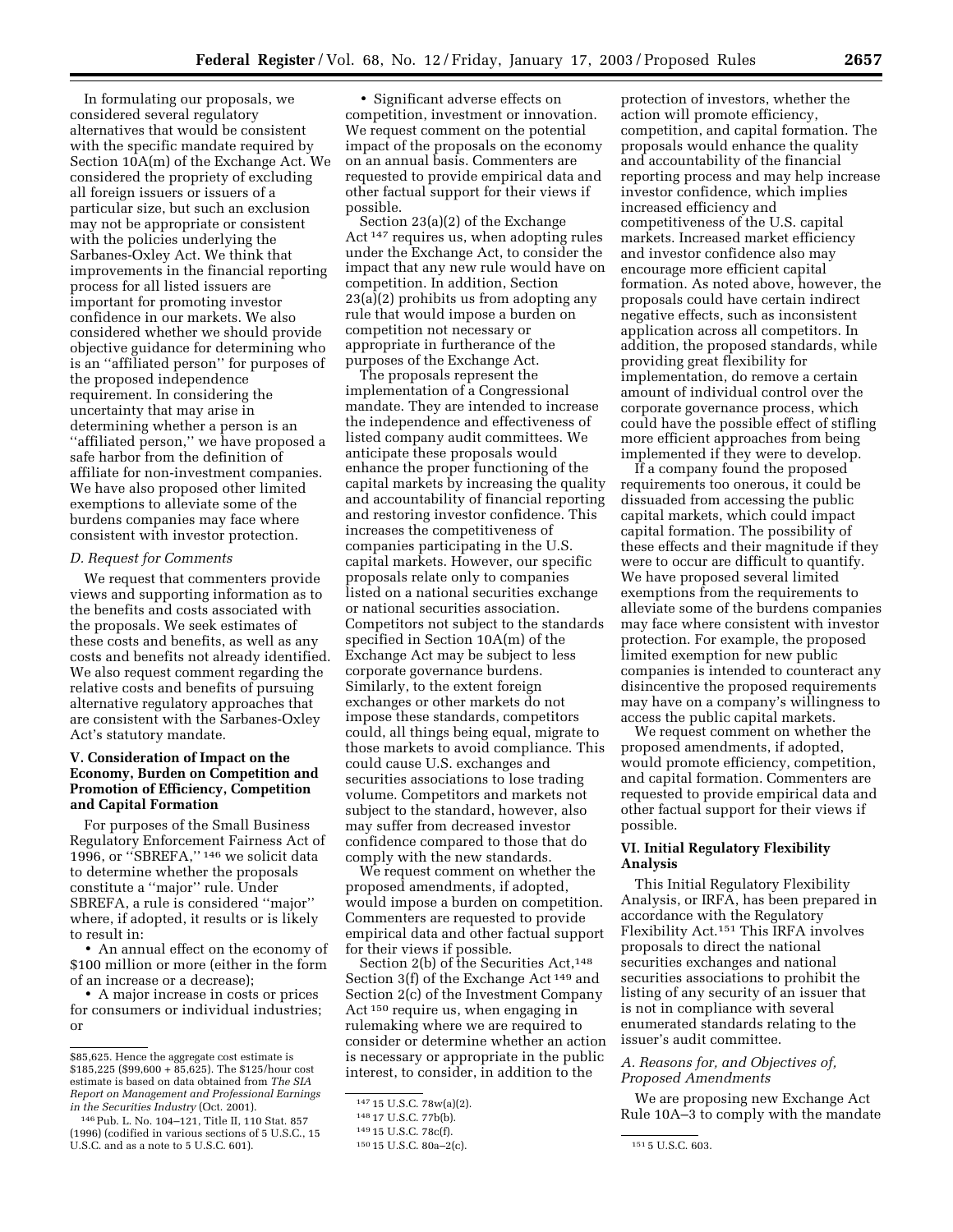In formulating our proposals, we considered several regulatory alternatives that would be consistent with the specific mandate required by Section 10A(m) of the Exchange Act. We considered the propriety of excluding all foreign issuers or issuers of a particular size, but such an exclusion may not be appropriate or consistent with the policies underlying the Sarbanes-Oxley Act. We think that improvements in the financial reporting process for all listed issuers are important for promoting investor confidence in our markets. We also considered whether we should provide objective guidance for determining who is an ''affiliated person'' for purposes of the proposed independence requirement. In considering the uncertainty that may arise in determining whether a person is an ''affiliated person,'' we have proposed a safe harbor from the definition of affiliate for non-investment companies. We have also proposed other limited exemptions to alleviate some of the burdens companies may face where consistent with investor protection.

#### *D. Request for Comments*

We request that commenters provide views and supporting information as to the benefits and costs associated with the proposals. We seek estimates of these costs and benefits, as well as any costs and benefits not already identified. We also request comment regarding the relative costs and benefits of pursuing alternative regulatory approaches that are consistent with the Sarbanes-Oxley Act's statutory mandate.

# **V. Consideration of Impact on the Economy, Burden on Competition and Promotion of Efficiency, Competition and Capital Formation**

For purposes of the Small Business Regulatory Enforcement Fairness Act of 1996, or ''SBREFA,'' 146 we solicit data to determine whether the proposals constitute a ''major'' rule. Under SBREFA, a rule is considered ''major'' where, if adopted, it results or is likely to result in:

• An annual effect on the economy of \$100 million or more (either in the form of an increase or a decrease);

• A major increase in costs or prices for consumers or individual industries; or

• Significant adverse effects on competition, investment or innovation. We request comment on the potential impact of the proposals on the economy on an annual basis. Commenters are requested to provide empirical data and other factual support for their views if possible.

Section 23(a)(2) of the Exchange Act 147 requires us, when adopting rules under the Exchange Act, to consider the impact that any new rule would have on competition. In addition, Section 23(a)(2) prohibits us from adopting any rule that would impose a burden on competition not necessary or appropriate in furtherance of the purposes of the Exchange Act.

The proposals represent the implementation of a Congressional mandate. They are intended to increase the independence and effectiveness of listed company audit committees. We anticipate these proposals would enhance the proper functioning of the capital markets by increasing the quality and accountability of financial reporting and restoring investor confidence. This increases the competitiveness of companies participating in the U.S. capital markets. However, our specific proposals relate only to companies listed on a national securities exchange or national securities association. Competitors not subject to the standards specified in Section 10A(m) of the Exchange Act may be subject to less corporate governance burdens. Similarly, to the extent foreign exchanges or other markets do not impose these standards, competitors could, all things being equal, migrate to those markets to avoid compliance. This could cause U.S. exchanges and securities associations to lose trading volume. Competitors and markets not subject to the standard, however, also may suffer from decreased investor confidence compared to those that do comply with the new standards.

We request comment on whether the proposed amendments, if adopted, would impose a burden on competition. Commenters are requested to provide empirical data and other factual support for their views if possible.

Section 2(b) of the Securities Act,<sup>148</sup> Section 3(f) of the Exchange Act 149 and Section 2(c) of the Investment Company Act 150 require us, when engaging in rulemaking where we are required to consider or determine whether an action is necessary or appropriate in the public interest, to consider, in addition to the

protection of investors, whether the action will promote efficiency, competition, and capital formation. The proposals would enhance the quality and accountability of the financial reporting process and may help increase investor confidence, which implies increased efficiency and competitiveness of the U.S. capital markets. Increased market efficiency and investor confidence also may encourage more efficient capital formation. As noted above, however, the proposals could have certain indirect negative effects, such as inconsistent application across all competitors. In addition, the proposed standards, while providing great flexibility for implementation, do remove a certain amount of individual control over the corporate governance process, which could have the possible effect of stifling more efficient approaches from being implemented if they were to develop.

If a company found the proposed requirements too onerous, it could be dissuaded from accessing the public capital markets, which could impact capital formation. The possibility of these effects and their magnitude if they were to occur are difficult to quantify. We have proposed several limited exemptions from the requirements to alleviate some of the burdens companies may face where consistent with investor protection. For example, the proposed limited exemption for new public companies is intended to counteract any disincentive the proposed requirements may have on a company's willingness to access the public capital markets.

We request comment on whether the proposed amendments, if adopted, would promote efficiency, competition, and capital formation. Commenters are requested to provide empirical data and other factual support for their views if possible.

#### **VI. Initial Regulatory Flexibility Analysis**

This Initial Regulatory Flexibility Analysis, or IRFA, has been prepared in accordance with the Regulatory Flexibility Act.151 This IRFA involves proposals to direct the national securities exchanges and national securities associations to prohibit the listing of any security of an issuer that is not in compliance with several enumerated standards relating to the issuer's audit committee.

# *A. Reasons for, and Objectives of, Proposed Amendments*

We are proposing new Exchange Act Rule 10A–3 to comply with the mandate

<sup>\$85,625.</sup> Hence the aggregate cost estimate is \$185,225 (\$99,600 + 85,625). The \$125/hour cost estimate is based on data obtained from *The SIA Report on Management and Professional Earnings in the Securities Industry* (Oct. 2001).

<sup>146</sup>Pub. L. No. 104–121, Title II, 110 Stat. 857 (1996) (codified in various sections of 5 U.S.C., 15 U.S.C. and as a note to 5 U.S.C. 601).

<sup>147</sup> 15 U.S.C. 78w(a)(2).

<sup>148</sup> 17 U.S.C. 77b(b).

<sup>149</sup> 15 U.S.C. 78c(f).

<sup>150</sup> 15 U.S.C. 80a–2(c). 151 5 U.S.C. 603.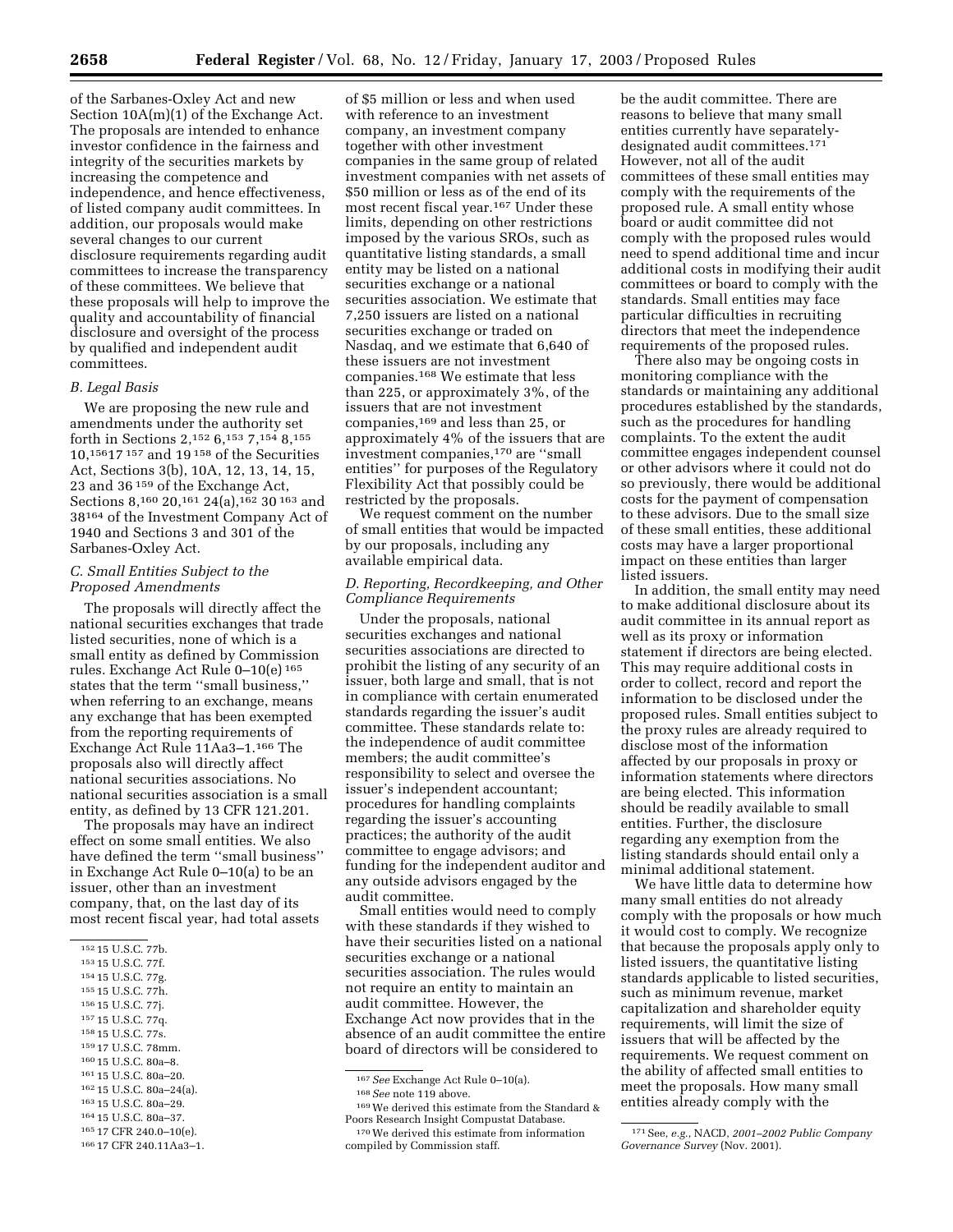of the Sarbanes-Oxley Act and new Section 10A(m)(1) of the Exchange Act. The proposals are intended to enhance investor confidence in the fairness and integrity of the securities markets by increasing the competence and independence, and hence effectiveness, of listed company audit committees. In addition, our proposals would make several changes to our current disclosure requirements regarding audit committees to increase the transparency of these committees. We believe that these proposals will help to improve the quality and accountability of financial disclosure and oversight of the process by qualified and independent audit committees.

#### *B. Legal Basis*

We are proposing the new rule and amendments under the authority set forth in Sections 2,152 6,153 7,154 8,155 10,15617 157 and 19 158 of the Securities Act, Sections 3(b), 10A, 12, 13, 14, 15, 23 and 36 159 of the Exchange Act, Sections 8,<sup>160</sup> 20,<sup>161</sup> 24(a),<sup>162</sup> 30<sup>163</sup> and 38164 of the Investment Company Act of 1940 and Sections 3 and 301 of the Sarbanes-Oxley Act.

# *C. Small Entities Subject to the Proposed Amendments*

The proposals will directly affect the national securities exchanges that trade listed securities, none of which is a small entity as defined by Commission rules. Exchange Act Rule 0–10(e) 165 states that the term ''small business,'' when referring to an exchange, means any exchange that has been exempted from the reporting requirements of Exchange Act Rule 11Aa3–1.166 The proposals also will directly affect national securities associations. No national securities association is a small entity, as defined by 13 CFR 121.201.

The proposals may have an indirect effect on some small entities. We also have defined the term ''small business'' in Exchange Act Rule 0–10(a) to be an issuer, other than an investment company, that, on the last day of its most recent fiscal year, had total assets

- 157 15 U.S.C. 77q.
- 158 15 U.S.C. 77s.
- 159 17 U.S.C. 78mm.
- 160 15 U.S.C. 80a–8.
- 161 15 U.S.C. 80a–20.
- 162 15 U.S.C. 80a–24(a).
- 163 15 U.S.C. 80a–29.
- 164 15 U.S.C. 80a–37.

166 17 CFR 240.11Aa3–1.

of \$5 million or less and when used with reference to an investment company, an investment company together with other investment companies in the same group of related investment companies with net assets of \$50 million or less as of the end of its most recent fiscal year.167 Under these limits, depending on other restrictions imposed by the various SROs, such as quantitative listing standards, a small entity may be listed on a national securities exchange or a national securities association. We estimate that 7,250 issuers are listed on a national securities exchange or traded on Nasdaq, and we estimate that 6,640 of these issuers are not investment companies.168 We estimate that less than 225, or approximately 3%, of the issuers that are not investment companies,169 and less than 25, or approximately 4% of the issuers that are investment companies,170 are ''small entities'' for purposes of the Regulatory Flexibility Act that possibly could be restricted by the proposals.

We request comment on the number of small entities that would be impacted by our proposals, including any available empirical data.

#### *D. Reporting, Recordkeeping, and Other Compliance Requirements*

Under the proposals, national securities exchanges and national securities associations are directed to prohibit the listing of any security of an issuer, both large and small, that is not in compliance with certain enumerated standards regarding the issuer's audit committee. These standards relate to: the independence of audit committee members; the audit committee's responsibility to select and oversee the issuer's independent accountant; procedures for handling complaints regarding the issuer's accounting practices; the authority of the audit committee to engage advisors; and funding for the independent auditor and any outside advisors engaged by the audit committee.

Small entities would need to comply with these standards if they wished to have their securities listed on a national securities exchange or a national securities association. The rules would not require an entity to maintain an audit committee. However, the Exchange Act now provides that in the absence of an audit committee the entire board of directors will be considered to

167*See* Exchange Act Rule 0–10(a).

169We derived this estimate from the Standard & Poors Research Insight Compustat Database.

be the audit committee. There are reasons to believe that many small entities currently have separatelydesignated audit committees.171 However, not all of the audit committees of these small entities may comply with the requirements of the proposed rule. A small entity whose board or audit committee did not comply with the proposed rules would need to spend additional time and incur additional costs in modifying their audit committees or board to comply with the standards. Small entities may face particular difficulties in recruiting directors that meet the independence requirements of the proposed rules.

There also may be ongoing costs in monitoring compliance with the standards or maintaining any additional procedures established by the standards, such as the procedures for handling complaints. To the extent the audit committee engages independent counsel or other advisors where it could not do so previously, there would be additional costs for the payment of compensation to these advisors. Due to the small size of these small entities, these additional costs may have a larger proportional impact on these entities than larger listed issuers.

In addition, the small entity may need to make additional disclosure about its audit committee in its annual report as well as its proxy or information statement if directors are being elected. This may require additional costs in order to collect, record and report the information to be disclosed under the proposed rules. Small entities subject to the proxy rules are already required to disclose most of the information affected by our proposals in proxy or information statements where directors are being elected. This information should be readily available to small entities. Further, the disclosure regarding any exemption from the listing standards should entail only a minimal additional statement.

We have little data to determine how many small entities do not already comply with the proposals or how much it would cost to comply. We recognize that because the proposals apply only to listed issuers, the quantitative listing standards applicable to listed securities, such as minimum revenue, market capitalization and shareholder equity requirements, will limit the size of issuers that will be affected by the requirements. We request comment on the ability of affected small entities to meet the proposals. How many small entities already comply with the

<sup>152</sup> 15 U.S.C. 77b.

<sup>153</sup> 15 U.S.C. 77f.

<sup>154</sup> 15 U.S.C. 77g. 155 15 U.S.C. 77h.

<sup>156</sup> 15 U.S.C. 77j.

<sup>165</sup> 17 CFR 240.0–10(e).

<sup>168</sup>*See* note 119 above.

<sup>170</sup>We derived this estimate from information compiled by Commission staff.

<sup>171</sup>See, *e.g.*, NACD, *2001–2002 Public Company Governance Survey* (Nov. 2001).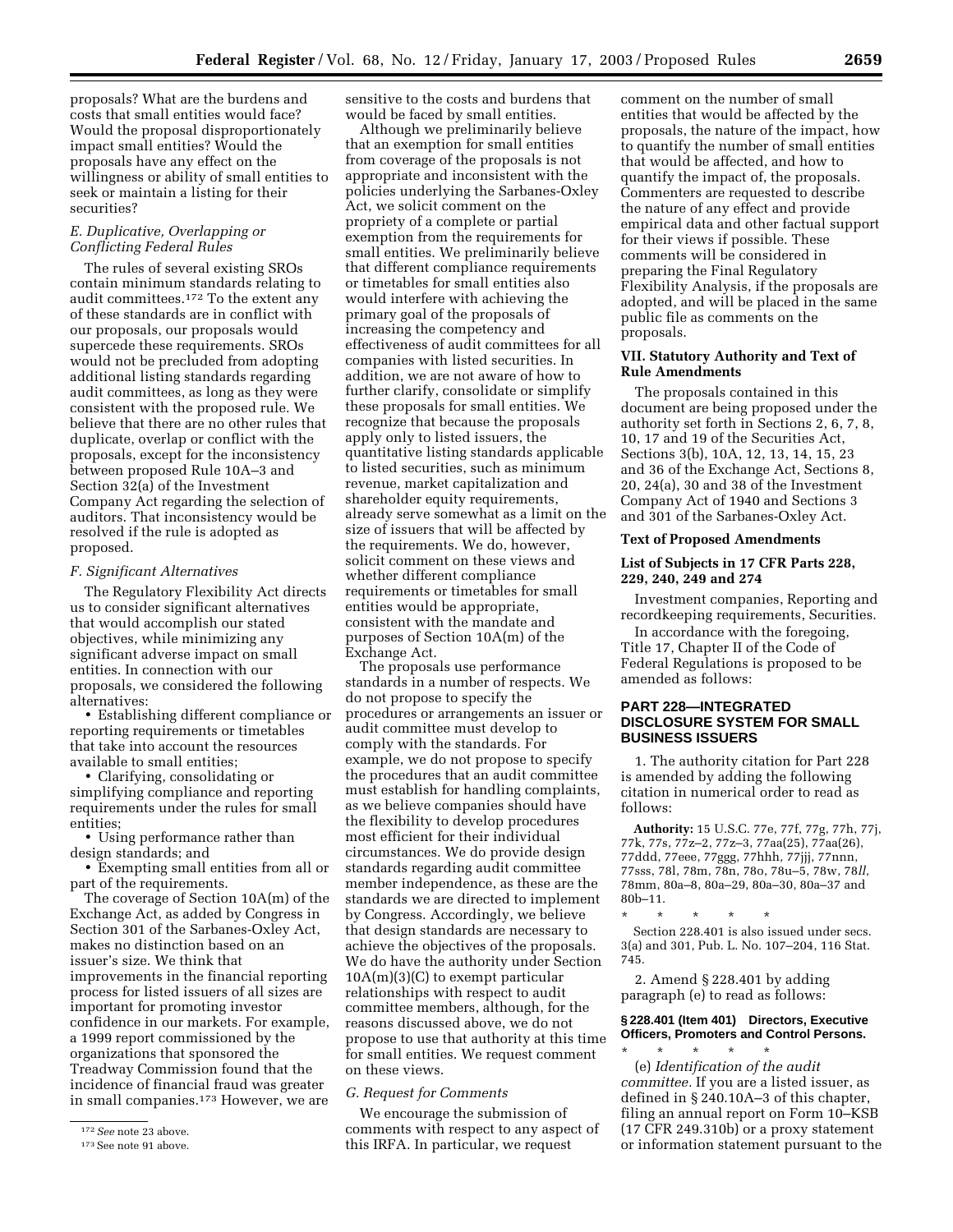proposals? What are the burdens and costs that small entities would face? Would the proposal disproportionately impact small entities? Would the proposals have any effect on the willingness or ability of small entities to seek or maintain a listing for their securities?

# *E. Duplicative, Overlapping or Conflicting Federal Rules*

The rules of several existing SROs contain minimum standards relating to audit committees.172 To the extent any of these standards are in conflict with our proposals, our proposals would supercede these requirements. SROs would not be precluded from adopting additional listing standards regarding audit committees, as long as they were consistent with the proposed rule. We believe that there are no other rules that duplicate, overlap or conflict with the proposals, except for the inconsistency between proposed Rule 10A–3 and Section 32(a) of the Investment Company Act regarding the selection of auditors. That inconsistency would be resolved if the rule is adopted as proposed.

# *F. Significant Alternatives*

The Regulatory Flexibility Act directs us to consider significant alternatives that would accomplish our stated objectives, while minimizing any significant adverse impact on small entities. In connection with our proposals, we considered the following alternatives:

• Establishing different compliance or reporting requirements or timetables that take into account the resources available to small entities;

• Clarifying, consolidating or simplifying compliance and reporting requirements under the rules for small entities;

• Using performance rather than design standards; and

• Exempting small entities from all or part of the requirements.

The coverage of Section 10A(m) of the Exchange Act, as added by Congress in Section 301 of the Sarbanes-Oxley Act, makes no distinction based on an issuer's size. We think that improvements in the financial reporting process for listed issuers of all sizes are important for promoting investor confidence in our markets. For example, a 1999 report commissioned by the organizations that sponsored the Treadway Commission found that the incidence of financial fraud was greater in small companies.173 However, we are

sensitive to the costs and burdens that would be faced by small entities.

Although we preliminarily believe that an exemption for small entities from coverage of the proposals is not appropriate and inconsistent with the policies underlying the Sarbanes-Oxley Act, we solicit comment on the propriety of a complete or partial exemption from the requirements for small entities. We preliminarily believe that different compliance requirements or timetables for small entities also would interfere with achieving the primary goal of the proposals of increasing the competency and effectiveness of audit committees for all companies with listed securities. In addition, we are not aware of how to further clarify, consolidate or simplify these proposals for small entities. We recognize that because the proposals apply only to listed issuers, the quantitative listing standards applicable to listed securities, such as minimum revenue, market capitalization and shareholder equity requirements, already serve somewhat as a limit on the size of issuers that will be affected by the requirements. We do, however, solicit comment on these views and whether different compliance requirements or timetables for small entities would be appropriate, consistent with the mandate and purposes of Section 10A(m) of the Exchange Act.

The proposals use performance standards in a number of respects. We do not propose to specify the procedures or arrangements an issuer or audit committee must develop to comply with the standards. For example, we do not propose to specify the procedures that an audit committee must establish for handling complaints, as we believe companies should have the flexibility to develop procedures most efficient for their individual circumstances. We do provide design standards regarding audit committee member independence, as these are the standards we are directed to implement by Congress. Accordingly, we believe that design standards are necessary to achieve the objectives of the proposals. We do have the authority under Section  $10A(m)(3)(C)$  to exempt particular relationships with respect to audit committee members, although, for the reasons discussed above, we do not propose to use that authority at this time for small entities. We request comment on these views.

# *G. Request for Comments*

We encourage the submission of comments with respect to any aspect of this IRFA. In particular, we request

comment on the number of small entities that would be affected by the proposals, the nature of the impact, how to quantify the number of small entities that would be affected, and how to quantify the impact of, the proposals. Commenters are requested to describe the nature of any effect and provide empirical data and other factual support for their views if possible. These comments will be considered in preparing the Final Regulatory Flexibility Analysis, if the proposals are adopted, and will be placed in the same public file as comments on the proposals.

# **VII. Statutory Authority and Text of Rule Amendments**

The proposals contained in this document are being proposed under the authority set forth in Sections 2, 6, 7, 8, 10, 17 and 19 of the Securities Act, Sections 3(b), 10A, 12, 13, 14, 15, 23 and 36 of the Exchange Act, Sections 8, 20, 24(a), 30 and 38 of the Investment Company Act of 1940 and Sections 3 and 301 of the Sarbanes-Oxley Act.

#### **Text of Proposed Amendments**

# **List of Subjects in 17 CFR Parts 228, 229, 240, 249 and 274**

Investment companies, Reporting and recordkeeping requirements, Securities.

In accordance with the foregoing, Title 17, Chapter II of the Code of Federal Regulations is proposed to be amended as follows:

# **PART 228—INTEGRATED DISCLOSURE SYSTEM FOR SMALL BUSINESS ISSUERS**

1. The authority citation for Part 228 is amended by adding the following citation in numerical order to read as follows:

**Authority:** 15 U.S.C. 77e, 77f, 77g, 77h, 77j, 77k, 77s, 77z–2, 77z–3, 77aa(25), 77aa(26), 77ddd, 77eee, 77ggg, 77hhh, 77jjj, 77nnn, 77sss, 78l, 78m, 78n, 78o, 78u–5, 78w, 78*ll*, 78mm, 80a–8, 80a–29, 80a–30, 80a–37 and 80b–11.

\* \* \* \* \*

Section 228.401 is also issued under secs. 3(a) and 301, Pub. L. No. 107–204, 116 Stat. 745.

2. Amend § 228.401 by adding paragraph (e) to read as follows:

#### **§ 228.401 (Item 401) Directors, Executive Officers, Promoters and Control Persons.**

\* \* \* \* \* (e) *Identification of the audit committee.* If you are a listed issuer, as defined in § 240.10A–3 of this chapter, filing an annual report on Form 10–KSB (17 CFR 249.310b) or a proxy statement or information statement pursuant to the

<sup>172</sup>*See* note 23 above.

<sup>173</sup>See note 91 above.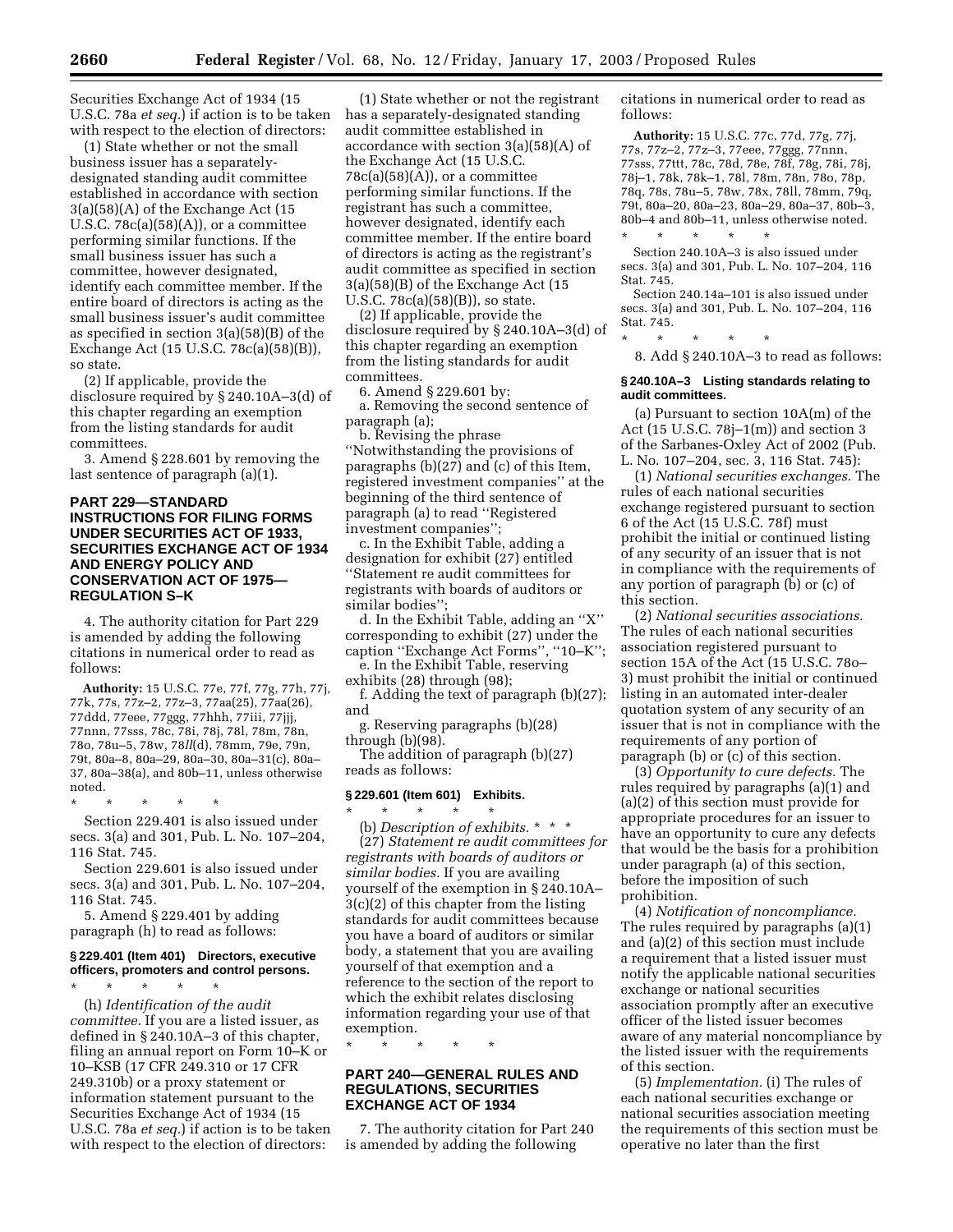Securities Exchange Act of 1934 (15 U.S.C. 78a *et seq.*) if action is to be taken with respect to the election of directors:

(1) State whether or not the small business issuer has a separatelydesignated standing audit committee established in accordance with section 3(a)(58)(A) of the Exchange Act (15 U.S.C.  $78c(a)(58)(A)$ , or a committee performing similar functions. If the small business issuer has such a committee, however designated, identify each committee member. If the entire board of directors is acting as the small business issuer's audit committee as specified in section 3(a)(58)(B) of the Exchange Act (15 U.S.C. 78c(a)(58)(B)), so state.

(2) If applicable, provide the disclosure required by § 240.10A–3(d) of this chapter regarding an exemption from the listing standards for audit committees.

3. Amend § 228.601 by removing the last sentence of paragraph (a)(1).

# **PART 229—STANDARD INSTRUCTIONS FOR FILING FORMS UNDER SECURITIES ACT OF 1933, SECURITIES EXCHANGE ACT OF 1934 AND ENERGY POLICY AND CONSERVATION ACT OF 1975— REGULATION S–K**

4. The authority citation for Part 229 is amended by adding the following citations in numerical order to read as follows:

**Authority:** 15 U.S.C. 77e, 77f, 77g, 77h, 77j, 77k, 77s, 77z–2, 77z–3, 77aa(25), 77aa(26), 77ddd, 77eee, 77ggg, 77hhh, 77iii, 77jjj, 77nnn, 77sss, 78c, 78i, 78j, 78l, 78m, 78n, 78o, 78u–5, 78w, 78*ll*(d), 78mm, 79e, 79n, 79t, 80a–8, 80a–29, 80a–30, 80a–31(c), 80a– 37, 80a–38(a), and 80b–11, unless otherwise noted.

\* \* \* \* \* Section 229.401 is also issued under secs. 3(a) and 301, Pub. L. No. 107–204, 116 Stat. 745.

Section 229.601 is also issued under secs. 3(a) and 301, Pub. L. No. 107–204, 116 Stat. 745.

5. Amend § 229.401 by adding paragraph (h) to read as follows:

# **§ 229.401 (Item 401) Directors, executive officers, promoters and control persons.**

\* \* \* \* \* (h) *Identification of the audit committee.* If you are a listed issuer, as defined in § 240.10A–3 of this chapter, filing an annual report on Form 10–K or 10–KSB (17 CFR 249.310 or 17 CFR 249.310b) or a proxy statement or information statement pursuant to the Securities Exchange Act of 1934 (15 U.S.C. 78a *et seq.*) if action is to be taken with respect to the election of directors:

(1) State whether or not the registrant has a separately-designated standing audit committee established in accordance with section 3(a)(58)(A) of the Exchange Act (15 U.S.C.  $78c(a)(58)(A)$ , or a committee performing similar functions. If the registrant has such a committee, however designated, identify each committee member. If the entire board of directors is acting as the registrant's audit committee as specified in section 3(a)(58)(B) of the Exchange Act (15 U.S.C. 78c(a)(58)(B)), so state.

(2) If applicable, provide the disclosure required by § 240.10A–3(d) of this chapter regarding an exemption from the listing standards for audit committees.

6. Amend § 229.601 by: a. Removing the second sentence of paragraph (a);

b. Revising the phrase ''Notwithstanding the provisions of paragraphs (b)(27) and (c) of this Item, registered investment companies'' at the beginning of the third sentence of paragraph (a) to read ''Registered investment companies'';

c. In the Exhibit Table, adding a designation for exhibit (27) entitled ''Statement re audit committees for registrants with boards of auditors or similar bodies'';

d. In the Exhibit Table, adding an ''X'' corresponding to exhibit (27) under the caption ''Exchange Act Forms'', ''10–K''; e. In the Exhibit Table, reserving

exhibits (28) through (98);

f. Adding the text of paragraph (b)(27); and

g. Reserving paragraphs (b)(28) through (b)(98).

The addition of paragraph (b)(27) reads as follows:

#### **§ 229.601 (Item 601) Exhibits.**

\* \* \* \* \* (b) *Description of exhibits.* \*\*\* (27) *Statement re audit committees for registrants with boards of auditors or similar bodies.* If you are availing yourself of the exemption in § 240.10A– 3(c)(2) of this chapter from the listing standards for audit committees because you have a board of auditors or similar body, a statement that you are availing yourself of that exemption and a reference to the section of the report to which the exhibit relates disclosing information regarding your use of that exemption.

\* \* \* \* \*

#### **PART 240—GENERAL RULES AND REGULATIONS, SECURITIES EXCHANGE ACT OF 1934**

7. The authority citation for Part 240 is amended by adding the following

citations in numerical order to read as follows:

**Authority:** 15 U.S.C. 77c, 77d, 77g, 77j, 77s, 77z–2, 77z–3, 77eee, 77ggg, 77nnn, 77sss, 77ttt, 78c, 78d, 78e, 78f, 78g, 78i, 78j, 78j–1, 78k, 78k–1, 78l, 78m, 78n, 78o, 78p, 78q, 78s, 78u–5, 78w, 78x, 78ll, 78mm, 79q, 79t, 80a–20, 80a–23, 80a–29, 80a–37, 80b–3, 80b–4 and 80b–11, unless otherwise noted. \* \* \* \* \*

Section 240.10A–3 is also issued under secs. 3(a) and 301, Pub. L. No. 107–204, 116 Stat. 745.

Section 240.14a–101 is also issued under secs. 3(a) and 301, Pub. L. No. 107–204, 116 Stat. 745.

\* \* \* \* \* 8. Add § 240.10A–3 to read as follows:

#### **§ 240.10A–3 Listing standards relating to audit committees.**

(a) Pursuant to section 10A(m) of the Act (15 U.S.C. 78j–1(m)) and section 3 of the Sarbanes-Oxley Act of 2002 (Pub. L. No. 107–204, sec. 3, 116 Stat. 745):

(1) *National securities exchanges.* The rules of each national securities exchange registered pursuant to section 6 of the Act (15 U.S.C. 78f) must prohibit the initial or continued listing of any security of an issuer that is not in compliance with the requirements of any portion of paragraph (b) or (c) of this section.

(2) *National securities associations.* The rules of each national securities association registered pursuant to section 15A of the Act (15 U.S.C. 78o– 3) must prohibit the initial or continued listing in an automated inter-dealer quotation system of any security of an issuer that is not in compliance with the requirements of any portion of paragraph (b) or (c) of this section.

(3) *Opportunity to cure defects.* The rules required by paragraphs (a)(1) and (a)(2) of this section must provide for appropriate procedures for an issuer to have an opportunity to cure any defects that would be the basis for a prohibition under paragraph (a) of this section, before the imposition of such prohibition.

(4) *Notification of noncompliance.* The rules required by paragraphs (a)(1) and (a)(2) of this section must include a requirement that a listed issuer must notify the applicable national securities exchange or national securities association promptly after an executive officer of the listed issuer becomes aware of any material noncompliance by the listed issuer with the requirements of this section.

(5) *Implementation.* (i) The rules of each national securities exchange or national securities association meeting the requirements of this section must be operative no later than the first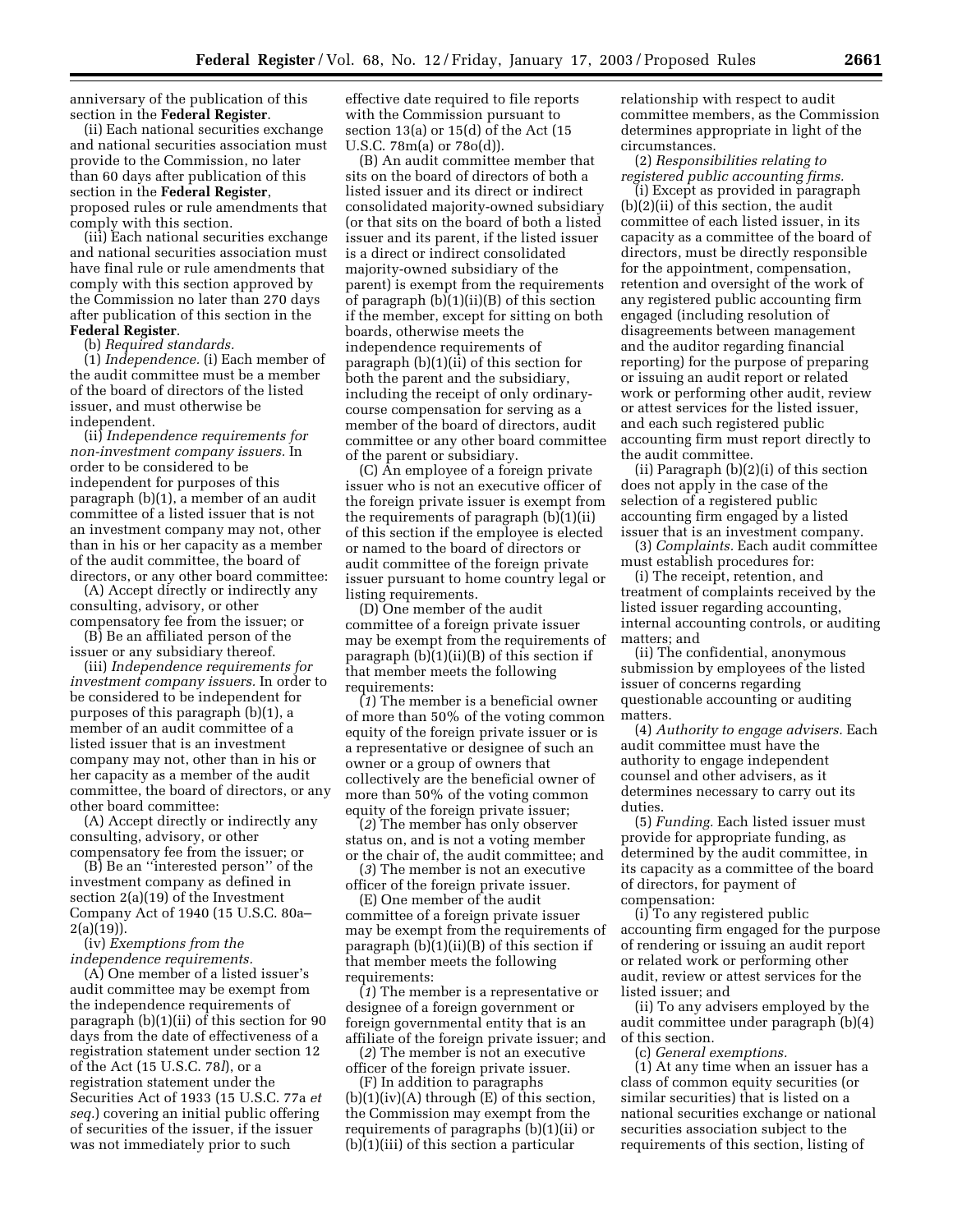anniversary of the publication of this section in the **Federal Register**.

(ii) Each national securities exchange and national securities association must provide to the Commission, no later than 60 days after publication of this section in the **Federal Register**, proposed rules or rule amendments that comply with this section.

(iii) Each national securities exchange and national securities association must have final rule or rule amendments that comply with this section approved by the Commission no later than 270 days after publication of this section in the **Federal Register**.

(b) *Required standards.*

(1) *Independence.* (i) Each member of the audit committee must be a member of the board of directors of the listed issuer, and must otherwise be independent.

(ii) *Independence requirements for non-investment company issuers.* In order to be considered to be independent for purposes of this paragraph (b)(1), a member of an audit committee of a listed issuer that is not an investment company may not, other than in his or her capacity as a member of the audit committee, the board of directors, or any other board committee:

(A) Accept directly or indirectly any consulting, advisory, or other compensatory fee from the issuer; or

(B) Be an affiliated person of the issuer or any subsidiary thereof.

(iii) *Independence requirements for investment company issuers.* In order to be considered to be independent for purposes of this paragraph (b)(1), a member of an audit committee of a listed issuer that is an investment company may not, other than in his or her capacity as a member of the audit committee, the board of directors, or any other board committee:

(A) Accept directly or indirectly any consulting, advisory, or other compensatory fee from the issuer; or

(B) Be an ''interested person'' of the investment company as defined in section 2(a)(19) of the Investment Company Act of 1940 (15 U.S.C. 80a– 2(a)(19)).

(iv) *Exemptions from the independence requirements.*

(A) One member of a listed issuer's audit committee may be exempt from the independence requirements of paragraph (b)(1)(ii) of this section for 90 days from the date of effectiveness of a registration statement under section 12 of the Act (15 U.S.C. 78*l*), or a registration statement under the Securities Act of 1933 (15 U.S.C. 77a *et seq.*) covering an initial public offering of securities of the issuer, if the issuer was not immediately prior to such

effective date required to file reports with the Commission pursuant to section 13(a) or 15(d) of the Act (15 U.S.C. 78m(a) or 78o(d)).

(B) An audit committee member that sits on the board of directors of both a listed issuer and its direct or indirect consolidated majority-owned subsidiary (or that sits on the board of both a listed issuer and its parent, if the listed issuer is a direct or indirect consolidated majority-owned subsidiary of the parent) is exempt from the requirements of paragraph (b)(1)(ii)(B) of this section if the member, except for sitting on both boards, otherwise meets the independence requirements of paragraph (b)(1)(ii) of this section for both the parent and the subsidiary, including the receipt of only ordinarycourse compensation for serving as a member of the board of directors, audit committee or any other board committee of the parent or subsidiary.

(C) An employee of a foreign private issuer who is not an executive officer of the foreign private issuer is exempt from the requirements of paragraph (b)(1)(ii) of this section if the employee is elected or named to the board of directors or audit committee of the foreign private issuer pursuant to home country legal or listing requirements.

(D) One member of the audit committee of a foreign private issuer may be exempt from the requirements of paragraph (b)(1)(ii)(B) of this section if that member meets the following requirements:

(*1*) The member is a beneficial owner of more than 50% of the voting common equity of the foreign private issuer or is a representative or designee of such an owner or a group of owners that collectively are the beneficial owner of more than 50% of the voting common equity of the foreign private issuer;

(*2*) The member has only observer status on, and is not a voting member or the chair of, the audit committee; and

(*3*) The member is not an executive officer of the foreign private issuer.

(E) One member of the audit committee of a foreign private issuer may be exempt from the requirements of paragraph (b)(1)(ii)(B) of this section if that member meets the following requirements:

(*1*) The member is a representative or designee of a foreign government or foreign governmental entity that is an affiliate of the foreign private issuer; and

(*2*) The member is not an executive officer of the foreign private issuer. (F) In addition to paragraphs  $(b)(1)(iv)(A)$  through  $(E)$  of this section, the Commission may exempt from the requirements of paragraphs (b)(1)(ii) or

(b)(1)(iii) of this section a particular

relationship with respect to audit committee members, as the Commission determines appropriate in light of the circumstances.

(2) *Responsibilities relating to registered public accounting firms.*

(i) Except as provided in paragraph (b)(2)(ii) of this section, the audit committee of each listed issuer, in its capacity as a committee of the board of directors, must be directly responsible for the appointment, compensation, retention and oversight of the work of any registered public accounting firm engaged (including resolution of disagreements between management and the auditor regarding financial reporting) for the purpose of preparing or issuing an audit report or related work or performing other audit, review or attest services for the listed issuer, and each such registered public accounting firm must report directly to the audit committee.

(ii) Paragraph (b)(2)(i) of this section does not apply in the case of the selection of a registered public accounting firm engaged by a listed issuer that is an investment company.

(3) *Complaints.* Each audit committee must establish procedures for:

(i) The receipt, retention, and treatment of complaints received by the listed issuer regarding accounting, internal accounting controls, or auditing matters; and

(ii) The confidential, anonymous submission by employees of the listed issuer of concerns regarding questionable accounting or auditing matters.

(4) *Authority to engage advisers.* Each audit committee must have the authority to engage independent counsel and other advisers, as it determines necessary to carry out its duties.

(5) *Funding.* Each listed issuer must provide for appropriate funding, as determined by the audit committee, in its capacity as a committee of the board of directors, for payment of compensation:

(i) To any registered public accounting firm engaged for the purpose of rendering or issuing an audit report or related work or performing other audit, review or attest services for the listed issuer; and

(ii) To any advisers employed by the audit committee under paragraph (b)(4) of this section.

(c) *General exemptions.*

(1) At any time when an issuer has a class of common equity securities (or similar securities) that is listed on a national securities exchange or national securities association subject to the requirements of this section, listing of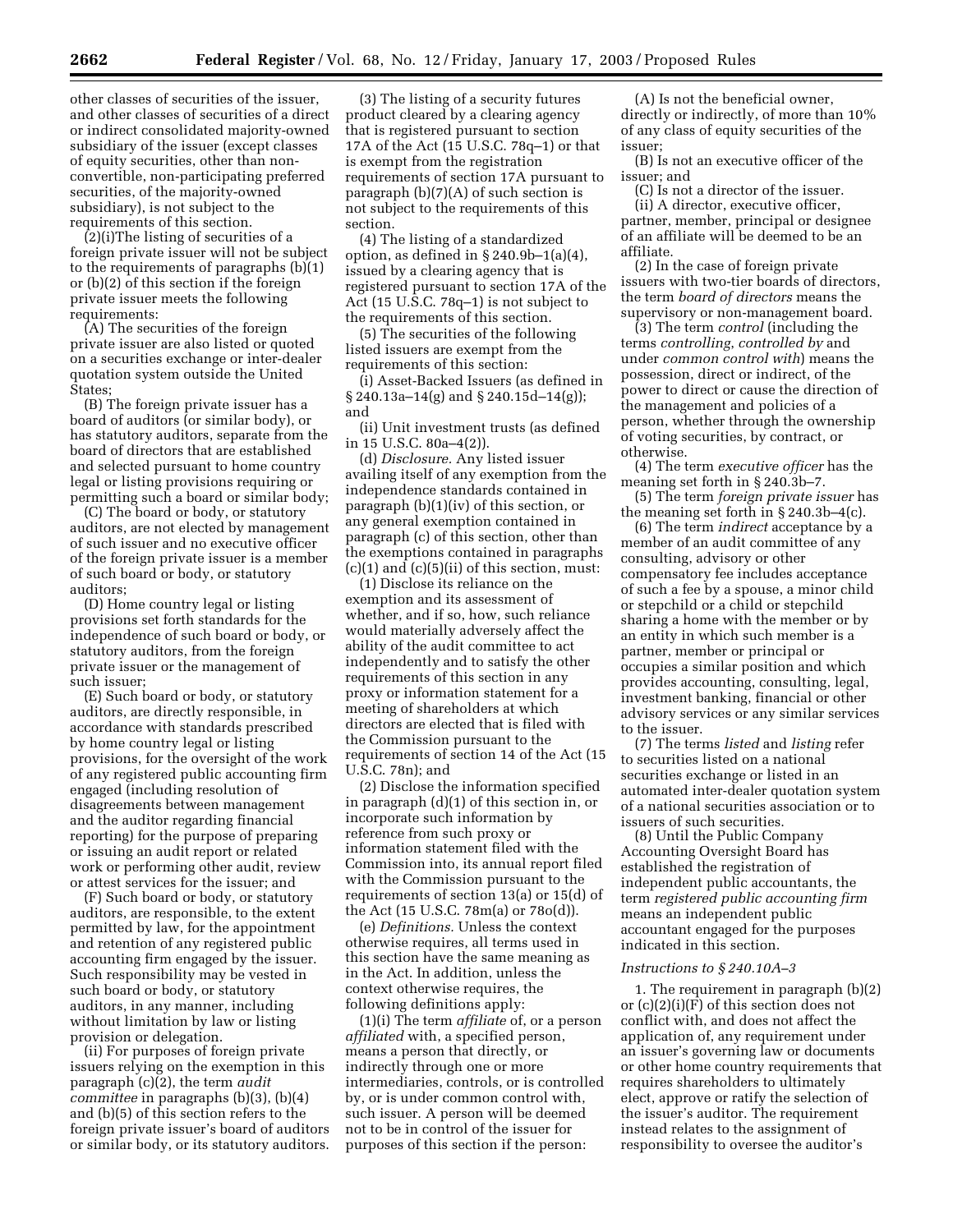other classes of securities of the issuer, and other classes of securities of a direct or indirect consolidated majority-owned subsidiary of the issuer (except classes of equity securities, other than nonconvertible, non-participating preferred securities, of the majority-owned subsidiary), is not subject to the requirements of this section.

(2)(i)The listing of securities of a foreign private issuer will not be subject to the requirements of paragraphs (b)(1) or (b)(2) of this section if the foreign private issuer meets the following requirements:

(A) The securities of the foreign private issuer are also listed or quoted on a securities exchange or inter-dealer quotation system outside the United States;

(B) The foreign private issuer has a board of auditors (or similar body), or has statutory auditors, separate from the board of directors that are established and selected pursuant to home country legal or listing provisions requiring or permitting such a board or similar body;

(C) The board or body, or statutory auditors, are not elected by management of such issuer and no executive officer of the foreign private issuer is a member of such board or body, or statutory auditors;

(D) Home country legal or listing provisions set forth standards for the independence of such board or body, or statutory auditors, from the foreign private issuer or the management of such issuer;

(E) Such board or body, or statutory auditors, are directly responsible, in accordance with standards prescribed by home country legal or listing provisions, for the oversight of the work of any registered public accounting firm engaged (including resolution of disagreements between management and the auditor regarding financial reporting) for the purpose of preparing or issuing an audit report or related work or performing other audit, review or attest services for the issuer; and

(F) Such board or body, or statutory auditors, are responsible, to the extent permitted by law, for the appointment and retention of any registered public accounting firm engaged by the issuer. Such responsibility may be vested in such board or body, or statutory auditors, in any manner, including without limitation by law or listing provision or delegation.

(ii) For purposes of foreign private issuers relying on the exemption in this paragraph (c)(2), the term *audit committee* in paragraphs (b)(3), (b)(4) and (b)(5) of this section refers to the foreign private issuer's board of auditors or similar body, or its statutory auditors.

(3) The listing of a security futures product cleared by a clearing agency that is registered pursuant to section 17A of the Act (15 U.S.C. 78q–1) or that is exempt from the registration requirements of section 17A pursuant to paragraph (b)(7)(A) of such section is not subject to the requirements of this section.

(4) The listing of a standardized option, as defined in  $\S 240.9b-1(a)(4)$ , issued by a clearing agency that is registered pursuant to section 17A of the Act (15 U.S.C. 78q–1) is not subject to the requirements of this section.

(5) The securities of the following listed issuers are exempt from the requirements of this section:

(i) Asset-Backed Issuers (as defined in § 240.13a–14(g) and § 240.15d–14(g)); and

(ii) Unit investment trusts (as defined in 15 U.S.C. 80a–4(2)).

(d) *Disclosure.* Any listed issuer availing itself of any exemption from the independence standards contained in paragraph (b)(1)(iv) of this section, or any general exemption contained in paragraph (c) of this section, other than the exemptions contained in paragraphs  $(c)(1)$  and  $(c)(5)(ii)$  of this section, must:

(1) Disclose its reliance on the exemption and its assessment of whether, and if so, how, such reliance would materially adversely affect the ability of the audit committee to act independently and to satisfy the other requirements of this section in any proxy or information statement for a meeting of shareholders at which directors are elected that is filed with the Commission pursuant to the requirements of section 14 of the Act (15 U.S.C. 78n); and

(2) Disclose the information specified in paragraph (d)(1) of this section in, or incorporate such information by reference from such proxy or information statement filed with the Commission into, its annual report filed with the Commission pursuant to the requirements of section 13(a) or 15(d) of the Act (15 U.S.C. 78m(a) or 78o(d)).

(e) *Definitions.* Unless the context otherwise requires, all terms used in this section have the same meaning as in the Act. In addition, unless the context otherwise requires, the following definitions apply:

(1)(i) The term *affiliate* of, or a person *affiliated* with, a specified person, means a person that directly, or indirectly through one or more intermediaries, controls, or is controlled by, or is under common control with, such issuer. A person will be deemed not to be in control of the issuer for purposes of this section if the person:

(A) Is not the beneficial owner, directly or indirectly, of more than 10% of any class of equity securities of the issuer;

(B) Is not an executive officer of the issuer; and

(C) Is not a director of the issuer. (ii) A director, executive officer, partner, member, principal or designee of an affiliate will be deemed to be an affiliate.

(2) In the case of foreign private issuers with two-tier boards of directors, the term *board of directors* means the supervisory or non-management board.

(3) The term *control* (including the terms *controlling*, *controlled by* and under *common control with*) means the possession, direct or indirect, of the power to direct or cause the direction of the management and policies of a person, whether through the ownership of voting securities, by contract, or otherwise.

(4) The term *executive officer* has the meaning set forth in § 240.3b–7.

(5) The term *foreign private issuer* has the meaning set forth in § 240.3b–4(c).

(6) The term *indirect* acceptance by a member of an audit committee of any consulting, advisory or other compensatory fee includes acceptance of such a fee by a spouse, a minor child or stepchild or a child or stepchild sharing a home with the member or by an entity in which such member is a partner, member or principal or occupies a similar position and which provides accounting, consulting, legal, investment banking, financial or other advisory services or any similar services to the issuer.

(7) The terms *listed* and *listing* refer to securities listed on a national securities exchange or listed in an automated inter-dealer quotation system of a national securities association or to issuers of such securities.

(8) Until the Public Company Accounting Oversight Board has established the registration of independent public accountants, the term *registered public accounting firm* means an independent public accountant engaged for the purposes indicated in this section.

#### *Instructions to § 240.10A–3*

1. The requirement in paragraph (b)(2) or (c)(2)(i)(F) of this section does not conflict with, and does not affect the application of, any requirement under an issuer's governing law or documents or other home country requirements that requires shareholders to ultimately elect, approve or ratify the selection of the issuer's auditor. The requirement instead relates to the assignment of responsibility to oversee the auditor's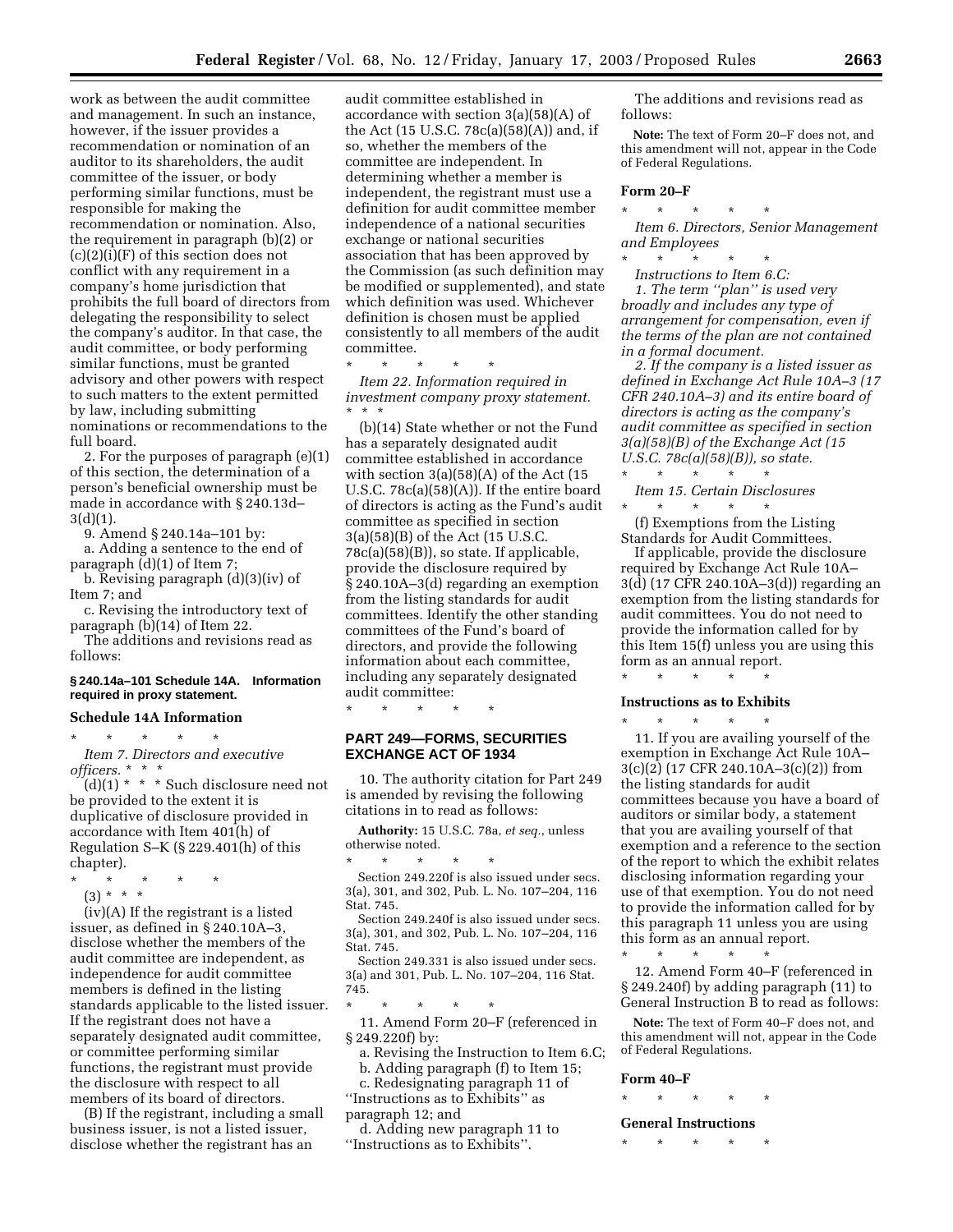work as between the audit committee and management. In such an instance, however, if the issuer provides a recommendation or nomination of an auditor to its shareholders, the audit committee of the issuer, or body performing similar functions, must be responsible for making the recommendation or nomination. Also, the requirement in paragraph (b)(2) or  $(c)(2)(i)(F)$  of this section does not conflict with any requirement in a company's home jurisdiction that prohibits the full board of directors from delegating the responsibility to select the company's auditor. In that case, the audit committee, or body performing similar functions, must be granted advisory and other powers with respect to such matters to the extent permitted by law, including submitting nominations or recommendations to the full board.

2. For the purposes of paragraph (e)(1) of this section, the determination of a person's beneficial ownership must be made in accordance with § 240.13d–  $3(d)(1)$ .

9. Amend § 240.14a–101 by:

a. Adding a sentence to the end of paragraph (d)(1) of Item 7;

b. Revising paragraph (d)(3)(iv) of Item 7; and

c. Revising the introductory text of paragraph (b)(14) of Item 22.

The additions and revisions read as follows:

#### **§ 240.14a–101 Schedule 14A. Information required in proxy statement.**

#### **Schedule 14A Information**

\* \* \* \* \* *Item 7. Directors and executive officers.* \*\*\*

 $(d)(1)$  \* \* \* Such disclosure need not be provided to the extent it is duplicative of disclosure provided in accordance with Item 401(h) of Regulation S–K (§ 229.401(h) of this chapter).

\* \* \* \* \*

(3) \* \* \*

(iv)(A) If the registrant is a listed issuer, as defined in § 240.10A–3, disclose whether the members of the audit committee are independent, as independence for audit committee members is defined in the listing standards applicable to the listed issuer. If the registrant does not have a separately designated audit committee, or committee performing similar functions, the registrant must provide the disclosure with respect to all members of its board of directors.

(B) If the registrant, including a small business issuer, is not a listed issuer, disclose whether the registrant has an

audit committee established in accordance with section 3(a)(58)(A) of the Act (15 U.S.C. 78c(a)(58)(A)) and, if so, whether the members of the committee are independent. In determining whether a member is independent, the registrant must use a definition for audit committee member independence of a national securities exchange or national securities association that has been approved by the Commission (as such definition may be modified or supplemented), and state which definition was used. Whichever definition is chosen must be applied consistently to all members of the audit committee.

\* \* \* \* \*

*Item 22. Information required in investment company proxy statement.* \*\*\*

(b)(14) State whether or not the Fund has a separately designated audit committee established in accordance with section 3(a)(58)(A) of the Act (15 U.S.C.  $78c(a)(58)(A)$ . If the entire board of directors is acting as the Fund's audit committee as specified in section 3(a)(58)(B) of the Act (15 U.S.C. 78c(a)(58)(B)), so state. If applicable, provide the disclosure required by § 240.10A–3(d) regarding an exemption from the listing standards for audit committees. Identify the other standing committees of the Fund's board of directors, and provide the following information about each committee, including any separately designated audit committee:

\* \* \* \* \*

# **PART 249—FORMS, SECURITIES EXCHANGE ACT OF 1934**

10. The authority citation for Part 249 is amended by revising the following citations in to read as follows:

**Authority:** 15 U.S.C. 78a, *et seq.*, unless otherwise noted.

\* \* \* \* \* Section 249.220f is also issued under secs. 3(a), 301, and 302, Pub. L. No. 107–204, 116 Stat. 745.

Section 249.240f is also issued under secs. 3(a), 301, and 302, Pub. L. No. 107–204, 116 Stat. 745.

Section 249.331 is also issued under secs. 3(a) and 301, Pub. L. No. 107–204, 116 Stat. 745.

\* \* \* \* \* 11. Amend Form 20–F (referenced in § 249.220f) by:

a. Revising the Instruction to Item 6.C; b. Adding paragraph (f) to Item 15;

c. Redesignating paragraph 11 of ''Instructions as to Exhibits'' as paragraph 12; and

d. Adding new paragraph 11 to ''Instructions as to Exhibits''.

The additions and revisions read as follows:

**Note:** The text of Form 20–F does not, and this amendment will not, appear in the Code of Federal Regulations.

#### **Form 20–F**

*Item 6. Directors, Senior Management and Employees*

\* \* \* \* \*

\* \* \* \* \* *Instructions to Item 6.C: 1. The term ''plan'' is used very broadly and includes any type of arrangement for compensation, even if the terms of the plan are not contained in a formal document.*

*2. If the company is a listed issuer as defined in Exchange Act Rule 10A–3 (17 CFR 240.10A–3) and its entire board of directors is acting as the company's audit committee as specified in section 3(a)(58)(B) of the Exchange Act (15 U.S.C. 78c(a)(58)(B)), so state.* \* \* \* \* \*

*Item 15. Certain Disclosures* \* \* \* \* \*

(f) Exemptions from the Listing Standards for Audit Committees.

If applicable, provide the disclosure required by Exchange Act Rule 10A– 3(d) (17 CFR 240.10A–3(d)) regarding an exemption from the listing standards for audit committees. You do not need to provide the information called for by this Item 15(f) unless you are using this form as an annual report.

\* \* \* \* \*

# **Instructions as to Exhibits**

\* \* \* \* \* 11. If you are availing yourself of the exemption in Exchange Act Rule 10A– 3(c)(2) (17 CFR 240.10A–3(c)(2)) from the listing standards for audit committees because you have a board of auditors or similar body, a statement that you are availing yourself of that exemption and a reference to the section of the report to which the exhibit relates disclosing information regarding your use of that exemption. You do not need to provide the information called for by this paragraph 11 unless you are using this form as an annual report.

\* \* \* \* \* 12. Amend Form 40–F (referenced in § 249.240f) by adding paragraph (11) to General Instruction B to read as follows:

**Note:** The text of Form 40–F does not, and this amendment will not, appear in the Code of Federal Regulations.

#### **Form 40–F**

\* \* \* \* \*

#### **General Instructions**

\* \* \* \* \*